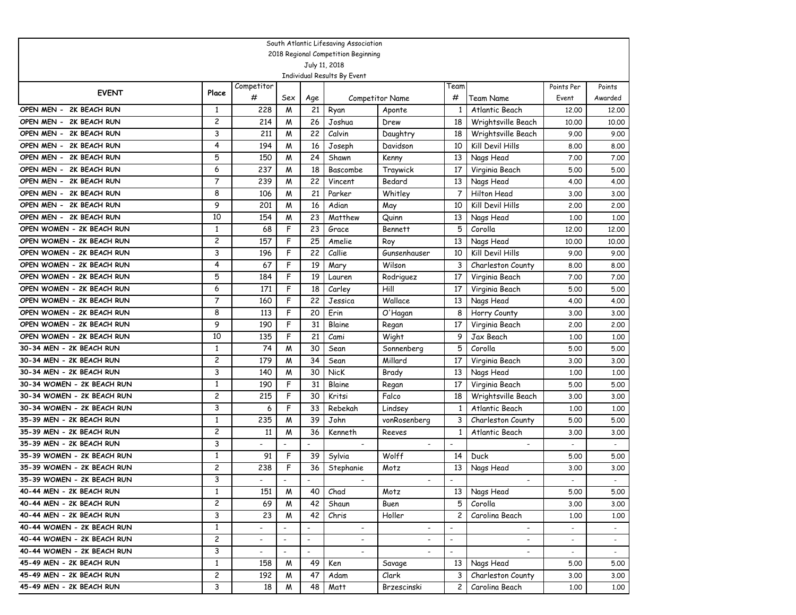|                            |                |                          |                          |                          | South Atlantic Lifesaving Association        |                          |                          |                          |                          |         |
|----------------------------|----------------|--------------------------|--------------------------|--------------------------|----------------------------------------------|--------------------------|--------------------------|--------------------------|--------------------------|---------|
|                            |                |                          |                          |                          | 2018 Regional Competition Beginning          |                          |                          |                          |                          |         |
|                            |                |                          |                          |                          | July 11, 2018<br>Individual Results By Event |                          |                          |                          |                          |         |
|                            |                | Competitor               |                          |                          |                                              |                          | Team                     |                          | Points Per               | Points  |
| <b>EVENT</b>               | Place          | #                        | Sex                      | Age                      |                                              | <b>Competitor Name</b>   | #                        | Team Name                | Event                    | Awarded |
| OPEN MEN - 2K BEACH RUN    | 1              | 228                      | M                        | 21                       | Ryan                                         | Aponte                   | -1                       | Atlantic Beach           | 12,00                    | 12,00   |
| OPEN MEN - 2K BEACH RUN    | 2              | 214                      | M                        | 26                       | Joshua                                       | Drew                     | 18                       | Wrightsville Beach       | 10,00                    | 10.00   |
| OPEN MEN - 2K BEACH RUN    | 3              | 211                      | M                        | 22                       | Calvin                                       | Daughtry                 | 18                       | Wrightsville Beach       | 9.00                     | 9.00    |
| OPEN MEN - 2K BEACH RUN    | 4              | 194                      | M                        | 16                       | Joseph                                       | Davidson                 | 10                       | Kill Devil Hills         | 8.00                     | 8.00    |
| OPEN MEN - 2K BEACH RUN    | 5              | 150                      | M                        | 24                       | Shawn                                        | Kenny                    | 13                       | Nags Head                | 7.00                     | 7.00    |
| OPEN MEN - 2K BEACH RUN    | 6              | 237                      | M                        | 18                       | Bascombe                                     | Traywick                 | 17                       | Virginia Beach           | 5.00                     | 5.00    |
| OPEN MEN - 2K BEACH RUN    | $\overline{7}$ | 239                      | M                        | 22                       | Vincent                                      | Bedard                   | 13                       | Nags Head                | 4.00                     | 4.00    |
| OPEN MEN - 2K BEACH RUN    | 8              | 106                      | M                        | 21                       | Parker                                       | Whitley                  | 7                        | Hilton Head              | 3.00                     | 3.00    |
| OPEN MEN - 2K BEACH RUN    | 9              | 201                      | M                        | 16                       | Adian                                        | May                      | 10                       | Kill Devil Hills         | 2,00                     | 2,00    |
| OPEN MEN - 2K BEACH RUN    | 10             | 154                      | M                        | 23                       | Matthew                                      | Quinn                    | 13                       | Nags Head                | 1,00                     | 1.00    |
| OPEN WOMEN - 2K BEACH RUN  | 1              | 68                       | F                        | 23                       | Grace                                        | <b>Bennett</b>           | 5                        | Corolla                  | 12,00                    | 12,00   |
| OPEN WOMEN - 2K BEACH RUN  | 2              | 157                      | F                        | 25                       | Amelie                                       | Roy                      | 13                       | Nags Head                | 10.00                    | 10.00   |
| OPEN WOMEN - 2K BEACH RUN  | 3              | 196                      | F                        | 22                       | Callie                                       | Gunsenhauser             | 10                       | Kill Devil Hills         | 9.00                     | 9.00    |
| OPEN WOMEN - 2K BEACH RUN  | 4              | 67                       | F                        | 19                       | Mary                                         | Wilson                   | 3                        | Charleston County        | 8.00                     | 8.00    |
| OPEN WOMEN - 2K BEACH RUN  | 5              | 184                      | F                        | 19                       | Lauren                                       | Rodriguez                | 17                       | Virginia Beach           | 7.00                     | 7.00    |
| OPEN WOMEN - 2K BEACH RUN  | 6              | 171                      | F                        | 18                       | Carley                                       | Hill                     | 17                       | Virginia Beach           | 5.00                     | 5.00    |
| OPEN WOMEN - 2K BEACH RUN  | 7              | 160                      | F                        | 22                       | Jessica                                      | Wallace                  | 13                       | Nags Head                | 4.00                     | 4.00    |
| OPEN WOMEN - 2K BEACH RUN  | 8              | 113                      | F                        | 20                       | Erin                                         | O'Hagan                  | 8                        | Horry County             | 3.00                     | 3.00    |
| OPEN WOMEN - 2K BEACH RUN  | 9              | 190                      | F                        | 31                       | Blaine                                       | Regan                    | 17                       | Virginia Beach           | 2.00                     | 2.00    |
| OPEN WOMEN - 2K BEACH RUN  | 10             | 135                      | F                        | 21                       | Cami                                         | Wight                    | 9                        | Jax Beach                | 1,00                     | 1.00    |
| 30-34 MEN - 2K BEACH RUN   | 1              | 74                       | W                        | 30                       | Sean                                         | Sonnenberg               | 5                        | Corolla                  | 5.00                     | 5.00    |
| 30-34 MEN - 2K BEACH RUN   | 2              | 179                      | M                        | 34                       | Sean                                         | Millard                  | 17                       | Virginia Beach           | 3.00                     | 3.00    |
| 30-34 MEN - 2K BEACH RUN   | 3              | 140                      | M                        | 30                       | NicK                                         | Brady                    | 13                       | Nags Head                | 1,00                     | 1.00    |
| 30-34 WOMEN - 2K BEACH RUN | 1              | 190                      | F                        | 31                       | Blaine                                       | Regan                    | 17                       | Virginia Beach           | 5.00                     | 5.00    |
| 30-34 WOMEN - 2K BEACH RUN | 2              | 215                      | F                        | 30                       | Kritsi                                       | Falco                    | 18                       | Wrightsville Beach       | 3.00                     | 3.00    |
| 30-34 WOMEN - 2K BEACH RUN | 3              | 6                        | F                        | 33                       | Rebekah                                      | Lindsey                  | 1                        | Atlantic Beach           | 1,00                     | 1.00    |
| 35-39 MEN - 2K BEACH RUN   | 1              | 235                      | W                        | 39                       | John                                         | vonRosenberg             | 3                        | Charleston County        | 5.00                     | 5.00    |
| 35-39 MEN - 2K BEACH RUN   | 2              | 11                       | M                        | 36                       | Kenneth                                      | Reeves                   | 1                        | Atlantic Beach           | 3.00                     | 3.00    |
| 35-39 MEN - 2K BEACH RUN   | 3              |                          |                          | $\overline{\phantom{a}}$ |                                              |                          | $\overline{a}$           |                          |                          |         |
| 35-39 WOMEN - 2K BEACH RUN | 1              | 91                       | F                        | 39                       | Sylvia                                       | Wolff                    | 14                       | Duck                     | 5.00                     | 5.00    |
| 35-39 WOMEN - 2K BEACH RUN | 2              | 238                      | F                        | 36                       | Stephanie                                    | Motz                     | 13                       | Nags Head                | 3.00                     | 3.00    |
| 35-39 WOMEN - 2K BEACH RUN | 3              |                          |                          |                          |                                              | $\overline{a}$           |                          | $\overline{a}$           |                          |         |
| 40-44 MEN - 2K BEACH RUN   | $\mathbf{1}$   | 151                      | M                        | 40                       | Chad                                         | Motz                     |                          | 13 Nags Head             | 5.00                     | 5.00    |
| 40-44 MEN - 2K BEACH RUN   | $\mathbf{2}$   | 69                       | M                        | 42                       | Shaun                                        | Buen                     | 5                        | Corolla                  | 3.00                     | 3.00    |
| 40-44 MEN - 2K BEACH RUN   | 3              | 23                       | M                        | 42                       | Chris                                        | Holler                   | $\mathbf{2}$             | Carolina Beach           | 1.00                     | 1.00    |
| 40-44 WOMEN - 2K BEACH RUN | $\mathbf{1}$   |                          |                          |                          | $\overline{\phantom{0}}$                     | $\overline{\phantom{a}}$ |                          |                          |                          |         |
| 40-44 WOMEN - 2K BEACH RUN | $\overline{c}$ | $\overline{\phantom{a}}$ | $\blacksquare$           | $\overline{\phantom{a}}$ | $\overline{\phantom{a}}$                     | $\overline{\phantom{a}}$ | $\overline{\phantom{a}}$ | $\overline{\phantom{a}}$ | $\overline{\phantom{a}}$ | $\sim$  |
| 40-44 WOMEN - 2K BEACH RUN | 3              | $\overline{\phantom{0}}$ | $\overline{\phantom{a}}$ | $\overline{\phantom{a}}$ | $\overline{\phantom{0}}$                     | $\overline{\phantom{a}}$ | $\overline{\phantom{a}}$ |                          | $\overline{\phantom{a}}$ | $\sim$  |
| 45-49 MEN - 2K BEACH RUN   | $\mathbf{1}$   | 158                      | M                        | 49                       | Ken                                          | Savage                   | 13 I                     | Nags Head                | 5.00                     | 5.00    |
| 45-49 MEN - 2K BEACH RUN   | $\overline{c}$ | 192                      | M                        | 47                       | Adam                                         | Clark                    | 3                        | Charleston County        | 3.00                     | 3.00    |
| 45-49 MEN - 2K BEACH RUN   | 3              | 18                       | M                        | 48                       | Matt                                         | Brzescinski              | $\overline{2}$           | Carolina Beach           | 1.00                     | 1.00    |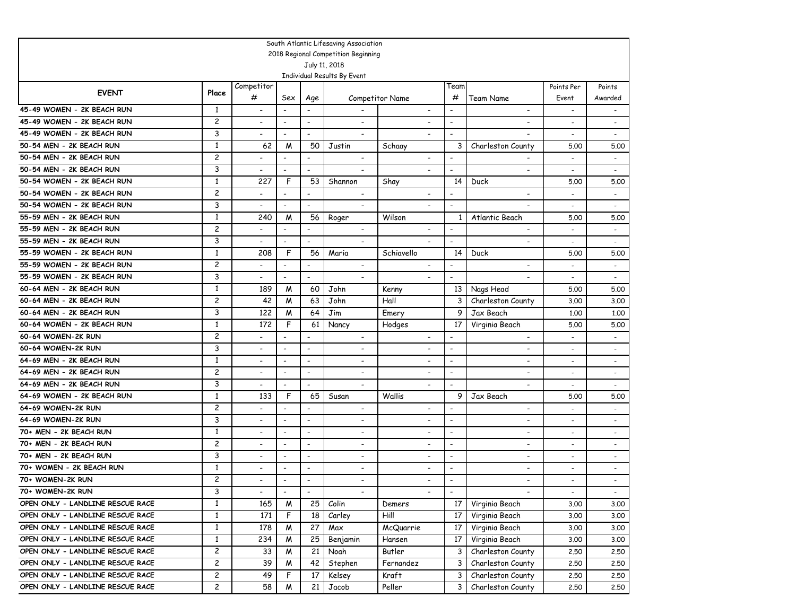|                                  |                         |                          |                          |                          | South Atlantic Lifesaving Association        |                          |                          |                              |                          |                          |
|----------------------------------|-------------------------|--------------------------|--------------------------|--------------------------|----------------------------------------------|--------------------------|--------------------------|------------------------------|--------------------------|--------------------------|
|                                  |                         |                          |                          |                          | 2018 Regional Competition Beginning          |                          |                          |                              |                          |                          |
|                                  |                         |                          |                          |                          | July 11, 2018<br>Individual Results By Event |                          |                          |                              |                          |                          |
|                                  |                         | Competitor               |                          |                          |                                              |                          | Team                     |                              | Points Per               | Points                   |
| <b>EVENT</b>                     | Place                   | #                        | Sex                      | Age                      |                                              | Competitor Name          | #                        | Team Name                    | Event                    | Awarded                  |
| 45-49 WOMEN - 2K BEACH RUN       | 1                       | $\overline{\phantom{a}}$ | $\overline{\phantom{0}}$ | $\overline{\phantom{a}}$ |                                              | $\overline{\phantom{a}}$ | $\overline{\phantom{a}}$ | $\overline{\phantom{a}}$     | $\overline{\phantom{a}}$ | $\overline{\phantom{a}}$ |
| 45-49 WOMEN - 2K BEACH RUN       | $\overline{c}$          | $\overline{\phantom{a}}$ | $\overline{a}$           | $\overline{\phantom{a}}$ | -                                            | $\overline{\phantom{a}}$ | $\overline{\phantom{a}}$ | $\qquad \qquad \blacksquare$ | $\overline{\phantom{a}}$ | $\overline{\phantom{a}}$ |
| 45-49 WOMEN - 2K BEACH RUN       | 3                       | $\overline{\phantom{a}}$ | -                        | $\overline{\phantom{a}}$ | ۰                                            | $\overline{\phantom{a}}$ | $\overline{\phantom{a}}$ | $\overline{\phantom{a}}$     | $\overline{\phantom{a}}$ | $\overline{\phantom{a}}$ |
| 50-54 MEN - 2K BEACH RUN         | $\mathbf{1}$            | 62                       | M                        | 50                       | Justin                                       | Schaay                   | 3                        | Charleston County            | 5.00                     | 5.00                     |
| 50-54 MEN - 2K BEACH RUN         | $\overline{\mathbf{c}}$ |                          | $\overline{a}$           |                          | $\overline{\phantom{0}}$                     |                          | $\overline{\phantom{a}}$ |                              | $\overline{\phantom{a}}$ | $\overline{\phantom{a}}$ |
| 50-54 MEN - 2K BEACH RUN         | 3                       |                          | $\overline{a}$           | $\overline{\phantom{a}}$ |                                              |                          | $\overline{\phantom{a}}$ | $\overline{\phantom{a}}$     | $\overline{\phantom{0}}$ |                          |
| 50-54 WOMEN - 2K BEACH RUN       | $\mathbf{1}$            | 227                      | F                        | 53                       | Shannon                                      | Shay                     | 14                       | Duck                         | 5.00                     | 5.00                     |
| 50-54 WOMEN - 2K BEACH RUN       | $\overline{c}$          |                          | $\overline{a}$           | $\overline{\phantom{a}}$ | $\overline{\phantom{a}}$                     |                          | $\overline{\phantom{a}}$ | $\overline{\phantom{a}}$     |                          | $\overline{a}$           |
| 50-54 WOMEN - 2K BEACH RUN       | 3                       |                          | $\overline{a}$           | $\overline{\phantom{a}}$ | $\overline{\phantom{0}}$                     |                          | $\overline{\phantom{a}}$ | $\overline{\phantom{a}}$     | $\overline{\phantom{a}}$ | $\overline{a}$           |
| 55-59 MEN - 2K BEACH RUN         | 1                       | 240                      | M                        | 56                       | Roger                                        | Wilson                   | 1                        | Atlantic Beach               | 5.00                     | 5.00                     |
| 55-59 MEN - 2K BEACH RUN         | $\overline{c}$          |                          | $\overline{\phantom{a}}$ | $\overline{\phantom{a}}$ | $\overline{\phantom{a}}$                     | $\overline{\phantom{a}}$ | $\blacksquare$           | $\overline{\phantom{a}}$     |                          | $\overline{\phantom{a}}$ |
| 55-59 MEN - 2K BEACH RUN         | 3                       |                          | $\overline{\phantom{a}}$ | $\overline{\phantom{a}}$ | ۰                                            |                          | $\blacksquare$           | $\overline{\phantom{a}}$     |                          | $\sim$                   |
| 55-59 WOMEN - 2K BEACH RUN       | $\mathbf{1}$            | 208                      | F                        | 56                       | Maria                                        | Schiavello               | 14                       | <b>Duck</b>                  | 5.00                     | 5.00                     |
| 55-59 WOMEN - 2K BEACH RUN       | $\overline{c}$          |                          | $\overline{\phantom{a}}$ | $\overline{\phantom{a}}$ | $\overline{\phantom{a}}$                     | $\overline{\phantom{0}}$ | $\overline{\phantom{a}}$ | $\overline{\phantom{0}}$     | $\overline{\phantom{0}}$ | $\sim$                   |
| 55-59 WOMEN - 2K BEACH RUN       | 3                       |                          | ٠                        | $\overline{\phantom{a}}$ | $\overline{\phantom{0}}$                     |                          | $\blacksquare$           | $\overline{\phantom{0}}$     | $\overline{\phantom{0}}$ | $\overline{\phantom{a}}$ |
| 60-64 MEN - 2K BEACH RUN         | $\mathbf{1}$            | 189                      | M                        | 60                       | John                                         | Kenny                    | 13                       | Nags Head                    | 5.00                     | 5.00                     |
| 60-64 MEN - 2K BEACH RUN         | $\overline{\mathbf{c}}$ | 42                       | M                        | 63                       | John                                         | Hall                     | 3                        | Charleston County            | 3.00                     | 3.00                     |
| 60-64 MEN - 2K BEACH RUN         | 3                       | 122                      | M                        | 64                       | Jim                                          | Emery                    | 9                        | Jax Beach                    | 1,00                     | 1,00                     |
| 60-64 WOMEN - 2K BEACH RUN       | $\mathbf{1}$            | 172                      | F                        | 61                       | Nancy                                        | Hodges                   | 17                       | Virginia Beach               | 5.00                     | 5.00                     |
| 60-64 WOMEN-2K RUN               | $\overline{\mathbf{c}}$ | $\overline{\phantom{0}}$ | $\overline{a}$           | $\overline{\phantom{a}}$ | $\overline{\phantom{a}}$                     | $\overline{\phantom{a}}$ | $\overline{\phantom{a}}$ | $\blacksquare$               | $\overline{a}$           | $\overline{\phantom{a}}$ |
| 60-64 WOMEN-2K RUN               | 3                       | $\overline{\phantom{a}}$ | $\overline{a}$           | $\overline{\phantom{a}}$ | $\overline{\phantom{a}}$                     | $\overline{\phantom{a}}$ | $\overline{\phantom{a}}$ | $\overline{\phantom{a}}$     | $\overline{a}$           | $\overline{\phantom{a}}$ |
| 64-69 MEN - 2K BEACH RUN         | 1                       | $\overline{\phantom{a}}$ | $\overline{a}$           | $\overline{\phantom{a}}$ | $\overline{\phantom{a}}$                     | $\overline{\phantom{a}}$ | $\blacksquare$           | $\overline{\phantom{a}}$     | $\overline{\phantom{a}}$ | $\overline{\phantom{a}}$ |
| 64-69 MEN - 2K BEACH RUN         | $\overline{c}$          | $\overline{\phantom{a}}$ | $\overline{a}$           | $\overline{\phantom{a}}$ | $\overline{\phantom{a}}$                     | $\overline{\phantom{a}}$ | $\blacksquare$           | $\overline{\phantom{a}}$     | $\overline{\phantom{a}}$ | $\overline{\phantom{a}}$ |
| 64-69 MEN - 2K BEACH RUN         | 3                       | $\overline{\phantom{a}}$ | $\overline{a}$           | $\overline{\phantom{a}}$ | -                                            | $\overline{\phantom{a}}$ | $\overline{\phantom{a}}$ | $\overline{\phantom{a}}$     |                          |                          |
| 64-69 WOMEN - 2K BEACH RUN       | 1                       | 133                      | F                        | 65                       | Susan                                        | Wallis                   | 9                        | Jax Beach                    | 5.00                     | 5.00                     |
| 64-69 WOMEN-2K RUN               | $\overline{\mathbf{c}}$ |                          | $\overline{\phantom{a}}$ | $\overline{\phantom{a}}$ | $\overline{\phantom{a}}$                     | $\overline{\phantom{a}}$ | $\blacksquare$           | $\overline{\phantom{a}}$     | $\overline{\phantom{a}}$ | $\overline{\phantom{a}}$ |
| 64-69 WOMEN-2K RUN               | 3                       | $\overline{\phantom{a}}$ | ٠                        | $\overline{\phantom{a}}$ | $\overline{\phantom{a}}$                     | $\overline{\phantom{a}}$ | $\overline{\phantom{a}}$ | $\overline{\phantom{a}}$     | $\overline{\phantom{a}}$ | $\overline{\phantom{a}}$ |
| 70+ MEN - 2K BEACH RUN           | $\mathbf{1}$            | $\overline{\phantom{a}}$ | ٠                        | $\overline{\phantom{a}}$ | $\overline{\phantom{a}}$                     | $\overline{\phantom{a}}$ | $\overline{\phantom{a}}$ | $\overline{\phantom{a}}$     | $\overline{\phantom{a}}$ | $\overline{\phantom{a}}$ |
| 70+ MEN - 2K BEACH RUN           | $\overline{\mathbf{c}}$ | $\overline{\phantom{a}}$ | $\overline{a}$           | $\overline{\phantom{a}}$ | $\overline{\phantom{0}}$                     | $\overline{\phantom{a}}$ | $\overline{a}$           | $\blacksquare$               |                          |                          |
| 70+ MEN - 2K BEACH RUN           | 3                       | $\overline{\phantom{a}}$ | $\overline{a}$           | $\overline{a}$           | -                                            | $\overline{\phantom{a}}$ | $\overline{\phantom{a}}$ | $\overline{\phantom{a}}$     | $\overline{\phantom{0}}$ | $\overline{\phantom{a}}$ |
| 70+ WOMEN - 2K BEACH RUN         | 1                       |                          | $\overline{a}$           | $\overline{\phantom{a}}$ | $\overline{\phantom{0}}$                     |                          | $\overline{\phantom{a}}$ | ٠                            | $\overline{\phantom{0}}$ |                          |
| 70+ WOMEN-2K RUN                 | $\overline{c}$          |                          | $\overline{a}$           | $\blacksquare$           | $\overline{\phantom{0}}$                     | $\overline{\phantom{a}}$ | $\blacksquare$           | $\overline{a}$               |                          |                          |
| 70+ WOMEN-2K RUN                 | 3                       | $\overline{\phantom{a}}$ | $\overline{\phantom{a}}$ |                          |                                              |                          | $\blacksquare$           |                              | $\overline{\phantom{a}}$ |                          |
| OPEN ONLY - LANDLINE RESCUE RACE | $\mathbf{1}$            | 165                      | W                        | 25                       | Colin                                        | Demers                   | 17                       | Virginia Beach               | 3.00                     | 3.00                     |
| OPEN ONLY - LANDLINE RESCUE RACE | $\mathbf{1}$            | 171                      | F                        | 18                       | Carley                                       | Hill                     | 17                       | Virginia Beach               | 3.00                     | 3.00                     |
| OPEN ONLY - LANDLINE RESCUE RACE | $\mathbf{1}$            | 178                      | W                        | 27                       | Max                                          | McQuarrie                | 17                       | Virginia Beach               | 3.00                     | 3.00                     |
| OPEN ONLY - LANDLINE RESCUE RACE | $\mathbf{1}$            | 234                      | M                        | 25                       | Benjamin                                     | Hansen                   | 17                       | Virginia Beach               | 3.00                     | 3.00                     |
| OPEN ONLY - LANDLINE RESCUE RACE | $\overline{c}$          | 33                       | M                        | 21                       | Noah                                         | Butler                   | 3                        | Charleston County            | 2.50                     | 2.50                     |
| OPEN ONLY - LANDLINE RESCUE RACE | $\overline{c}$          | 39                       | M                        | 42                       | Stephen                                      | Fernandez                | 3                        | Charleston County            | 2.50                     | 2.50                     |
| OPEN ONLY - LANDLINE RESCUE RACE | $\overline{c}$          | 49                       | F                        | 17                       | Kelsey                                       | Kraft                    | 3                        | Charleston County            | 2.50                     | 2.50                     |
| OPEN ONLY - LANDLINE RESCUE RACE | $\overline{c}$          | 58                       | W                        | 21                       | Jacob                                        | Peller                   | 3                        | Charleston County            | 2.50                     | 2.50                     |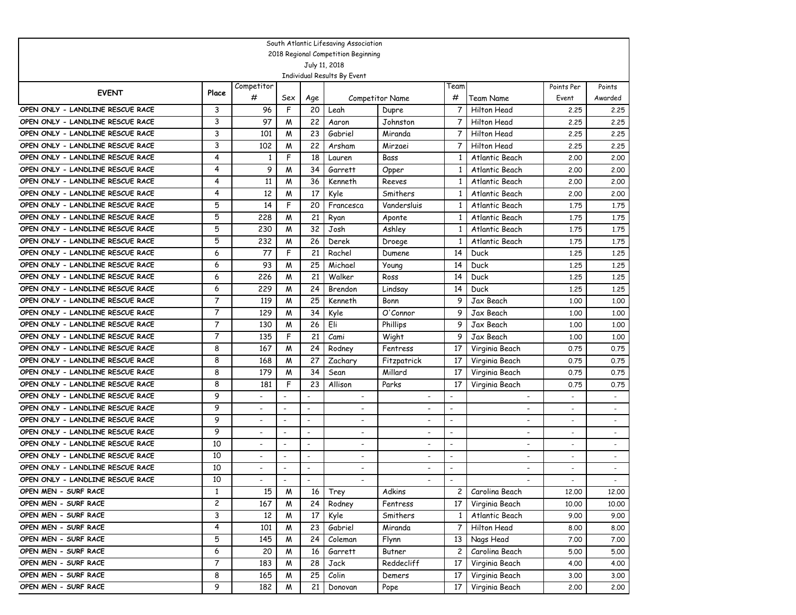|                                  |                |                          |                              |                          | South Atlantic Lifesaving Association                |                          |                          |                          |                          |                          |
|----------------------------------|----------------|--------------------------|------------------------------|--------------------------|------------------------------------------------------|--------------------------|--------------------------|--------------------------|--------------------------|--------------------------|
|                                  |                |                          |                              |                          | 2018 Regional Competition Beginning<br>July 11, 2018 |                          |                          |                          |                          |                          |
|                                  |                |                          |                              |                          | Individual Results By Event                          |                          |                          |                          |                          |                          |
|                                  |                | Competitor               |                              |                          |                                                      |                          | Team                     |                          | Points Per               | Points                   |
| <b>EVENT</b>                     | Place          | #                        | Sex                          | Age                      |                                                      | <b>Competitor Name</b>   | #                        | Team Name                | Event                    | Awarded                  |
| OPEN ONLY - LANDLINE RESCUE RACE | 3              | 96                       | F                            | 20                       | Leah                                                 | Dupre                    | 7                        | Hilton Head              | 2.25                     | 2.25                     |
| OPEN ONLY - LANDLINE RESCUE RACE | 3              | 97                       | M                            | 22                       | Aaron                                                | Johnston                 | 7                        | Hilton Head              | 2.25                     | 2,25                     |
| OPEN ONLY - LANDLINE RESCUE RACE | 3              | 101                      | M                            | 23                       | Gabriel                                              | Miranda                  | 7                        | Hilton Head              | 2.25                     | 2,25                     |
| OPEN ONLY - LANDLINE RESCUE RACE | 3              | 102                      | M                            | 22                       | Arsham                                               | Mirzaei                  | 7                        | Hilton Head              | 2.25                     | 2,25                     |
| OPEN ONLY - LANDLINE RESCUE RACE | 4              | 1                        | F                            | 18                       | Lauren                                               | Bass                     | 1                        | Atlantic Beach           | 2,00                     | 2,00                     |
| OPEN ONLY - LANDLINE RESCUE RACE | 4              | 9                        | M                            | 34                       | Garrett                                              | Opper                    | 1                        | Atlantic Beach           | 2,00                     | 2,00                     |
| OPEN ONLY - LANDLINE RESCUE RACE | 4              | 11                       | M                            | 36                       | Kenneth                                              | Reeves                   | 1                        | Atlantic Beach           | 2,00                     | 2,00                     |
| OPEN ONLY - LANDLINE RESCUE RACE | 4              | 12                       | M                            | 17                       | Kyle                                                 | Smithers                 | 1                        | Atlantic Beach           | 2,00                     | 2,00                     |
| OPEN ONLY - LANDLINE RESCUE RACE | 5              | 14                       | F                            | 20                       | Francesca                                            | Vandersluis              | 1                        | Atlantic Beach           | 1.75                     | 1.75                     |
| OPEN ONLY - LANDLINE RESCUE RACE | 5              | 228                      | M                            | 21                       | Ryan                                                 | Aponte                   | 1                        | Atlantic Beach           | 1.75                     | 1.75                     |
| OPEN ONLY - LANDLINE RESCUE RACE | 5              | 230                      | M                            | 32                       | Josh                                                 | Ashley                   | 1                        | Atlantic Beach           | 1.75                     | 1.75                     |
| OPEN ONLY - LANDLINE RESCUE RACE | 5              | 232                      | M                            | 26                       | Derek                                                | Droege                   | 1                        | Atlantic Beach           | 1.75                     | 1.75                     |
| OPEN ONLY - LANDLINE RESCUE RACE | 6              | 77                       | F                            | 21                       | Rachel                                               | Dumene                   | 14                       | Duck                     | 1,25                     | 1.25                     |
| OPEN ONLY - LANDLINE RESCUE RACE | 6              | 93                       | M                            | 25                       | Michael                                              | Young                    | 14                       | Duck                     | 1,25                     | 1,25                     |
| OPEN ONLY - LANDLINE RESCUE RACE | 6              | 226                      | M                            | 21                       | Walker                                               | Ross                     | 14                       | Duck                     | 1,25                     | 1.25                     |
| OPEN ONLY - LANDLINE RESCUE RACE | 6              | 229                      | M                            | 24                       | Brendon                                              | Lindsay                  | 14                       | Duck                     | 1,25                     | 1,25                     |
| OPEN ONLY - LANDLINE RESCUE RACE | 7              | 119                      | M                            | 25                       | Kenneth                                              | Bonn                     | 9                        | Jax Beach                | 1,00                     | 1,00                     |
| OPEN ONLY - LANDLINE RESCUE RACE | $\overline{7}$ | 129                      | M                            | 34                       | Kyle                                                 | O'Connor                 | 9                        | Jax Beach                | 1,00                     | 1,00                     |
| OPEN ONLY - LANDLINE RESCUE RACE | $\overline{7}$ | 130                      | M                            | 26                       | Eli                                                  | Phillips                 | 9                        | Jax Beach                | 1,00                     | 1,00                     |
| OPEN ONLY - LANDLINE RESCUE RACE | $\overline{7}$ | 135                      | F                            | 21                       | Cami                                                 | Wight                    | 9                        | Jax Beach                | 1,00                     | 1,00                     |
| OPEN ONLY - LANDLINE RESCUE RACE | 8              | 167                      | M                            | 24                       | Rodney                                               | Fentress                 | 17                       | Virginia Beach           | 0.75                     | 0.75                     |
| OPEN ONLY - LANDLINE RESCUE RACE | 8              | 168                      | M                            | 27                       | Zachary                                              | Fitzpatrick              | 17                       | Virginia Beach           | 0.75                     | 0.75                     |
| OPEN ONLY - LANDLINE RESCUE RACE | 8              | 179                      | M                            | 34                       | Sean                                                 | Millard                  | 17                       | Virginia Beach           | 0.75                     | 0.75                     |
| OPEN ONLY - LANDLINE RESCUE RACE | 8              | 181                      | F                            | 23                       | Allison                                              | Parks                    | 17                       | Virginia Beach           | 0.75                     | 0.75                     |
| OPEN ONLY - LANDLINE RESCUE RACE | 9              |                          | $\overline{a}$               | $\overline{\phantom{a}}$ | $\overline{\phantom{a}}$                             | $\overline{\phantom{a}}$ |                          | $\blacksquare$           |                          | $\overline{\phantom{a}}$ |
| OPEN ONLY - LANDLINE RESCUE RACE | 9              |                          | $\overline{a}$               | $\overline{\phantom{a}}$ | $\overline{\phantom{a}}$                             | $\blacksquare$           | $\blacksquare$           | $\overline{\phantom{a}}$ |                          | $\overline{\phantom{a}}$ |
| OPEN ONLY - LANDLINE RESCUE RACE | 9              |                          | $\overline{\phantom{a}}$     | $\overline{\phantom{a}}$ |                                                      | $\overline{\phantom{a}}$ | $\blacksquare$           | $\overline{\phantom{a}}$ |                          |                          |
| OPEN ONLY - LANDLINE RESCUE RACE | 9              |                          | $\overline{\phantom{a}}$     | $\overline{\phantom{a}}$ | $\overline{\phantom{a}}$                             | $\overline{\phantom{a}}$ | $\overline{\phantom{a}}$ | $\overline{\phantom{a}}$ | $\overline{\phantom{a}}$ | $\overline{\phantom{a}}$ |
| OPEN ONLY - LANDLINE RESCUE RACE | 10             |                          | $\qquad \qquad \blacksquare$ | $\overline{\phantom{a}}$ | $\overline{\phantom{a}}$                             | $\overline{\phantom{a}}$ | $\overline{\phantom{a}}$ | $\overline{\phantom{a}}$ | $\overline{\phantom{a}}$ | $\overline{\phantom{a}}$ |
| OPEN ONLY - LANDLINE RESCUE RACE | 10             |                          | $\qquad \qquad \blacksquare$ | $\overline{\phantom{a}}$ | $\overline{\phantom{a}}$                             | $\blacksquare$           | $\overline{\phantom{a}}$ | $\overline{\phantom{a}}$ | $\overline{\phantom{a}}$ | $\overline{\phantom{a}}$ |
| OPEN ONLY - LANDLINE RESCUE RACE | 10             | $\overline{\phantom{0}}$ | $\overline{\phantom{a}}$     | $\overline{\phantom{a}}$ | $\overline{\phantom{a}}$                             | $\overline{\phantom{a}}$ | $\overline{\phantom{a}}$ | $\overline{\phantom{a}}$ |                          |                          |
| OPEN ONLY - LANDLINE RESCUE RACE | 10             |                          | $\overline{a}$               |                          |                                                      |                          | $\overline{\phantom{a}}$ | $\overline{\phantom{a}}$ |                          |                          |
| OPEN MEN - SURF RACE             | 1              | 15                       | M                            | 16                       | Trey                                                 | Adkins                   | 2                        | Carolina Beach           | 12.00                    | 12.00                    |
| OPEN MEN - SURF RACE             | $\mathbf{2}$   | 167                      | M                            | 24                       | Rodney                                               | Fentress                 | 17                       | Virginia Beach           | 10.00                    | 10.00                    |
| OPEN MEN - SURF RACE             | 3              | 12                       | M                            | 17                       | Kyle                                                 | Smithers                 | 1                        | Atlantic Beach           | 9.00                     | 9.00                     |
| OPEN MEN - SURF RACE             | 4              | 101                      | M                            | 23                       | Gabriel                                              | Miranda                  | 7                        | Hilton Head              | 8.00                     | 8.00                     |
| OPEN MEN - SURF RACE             | 5              | 145                      | M                            | 24                       | Coleman                                              | Flynn                    | 13                       | Nags Head                | 7.00                     | 7.00                     |
| OPEN MEN - SURF RACE             | 6              | 20                       | M                            | 16                       | Garrett                                              | Butner                   | 2                        | Carolina Beach           | 5.00                     | 5.00                     |
| OPEN MEN - SURF RACE             | $\overline{7}$ | 183                      | M                            | 28                       | Jack                                                 | Reddecliff               | 17                       | Virginia Beach           | 4.00                     | 4.00                     |
| OPEN MEN - SURF RACE             | 8              | 165                      | M                            | 25                       | Colin                                                | Demers                   | 17                       | Virginia Beach           | 3.00                     | 3.00                     |
| OPEN MEN - SURF RACE             | 9              | 182                      | M                            | 21                       | Donovan                                              | Pope                     | 17 <sup>2</sup>          | Virginia Beach           | 2,00                     | 2.00                     |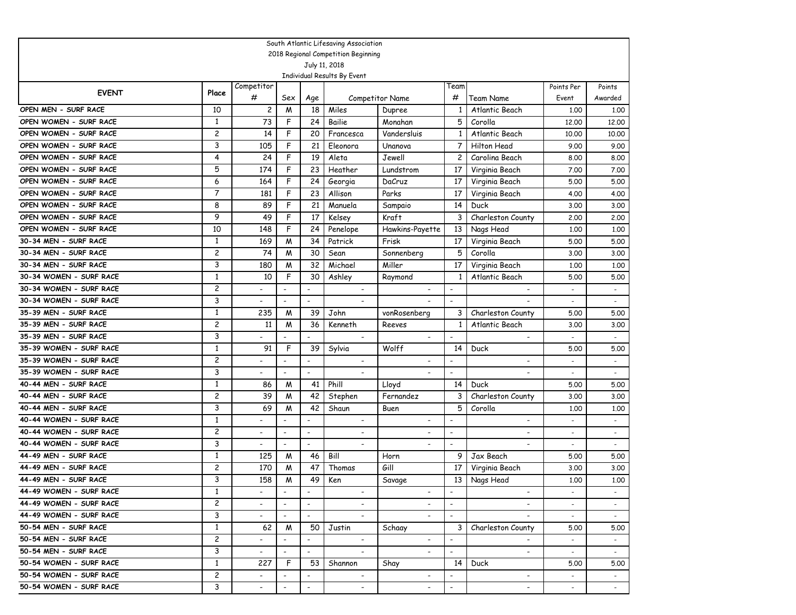|                         |              |                          |                              |                          | South Atlantic Lifesaving Association                |                          |                          |                          |                          |                          |
|-------------------------|--------------|--------------------------|------------------------------|--------------------------|------------------------------------------------------|--------------------------|--------------------------|--------------------------|--------------------------|--------------------------|
|                         |              |                          |                              |                          | 2018 Regional Competition Beginning<br>July 11, 2018 |                          |                          |                          |                          |                          |
|                         |              |                          |                              |                          | Individual Results By Event                          |                          |                          |                          |                          |                          |
|                         |              | Competitor               |                              |                          |                                                      |                          | Team                     |                          | Points Per               | Points                   |
| <b>EVENT</b>            | Place        | #                        | Sex                          | Age                      |                                                      | <b>Competitor Name</b>   | #                        | Team Name                | Event                    | Awarded                  |
| OPEN MEN - SURF RACE    | 10           | $\overline{c}$           | M                            | 18                       | Miles                                                | Dupree                   | 1                        | Atlantic Beach           | 1,00                     | 1,00                     |
| OPEN WOMEN - SURF RACE  | 1            | 73                       | F                            | 24                       | Bailie                                               | Monahan                  | 5                        | Corolla                  | 12,00                    | 12,00                    |
| OPEN WOMEN - SURF RACE  | 2            | 14                       | F                            | 20                       | Francesca                                            | Vandersluis              | 1                        | Atlantic Beach           | 10.00                    | 10.00                    |
| OPEN WOMEN - SURF RACE  | 3            | 105                      | F                            | 21                       | Eleonora                                             | Unanova                  | 7                        | Hilton Head              | 9.00                     | 9.00                     |
| OPEN WOMEN - SURF RACE  | 4            | 24                       | F                            | 19                       | Aleta                                                | Jewell                   | 2                        | Carolina Beach           | 8.00                     | 8.00                     |
| OPEN WOMEN - SURF RACE  | 5            | 174                      | F                            | 23                       | Heather                                              | Lundstrom                | 17                       | Virginia Beach           | 7.00                     | 7.00                     |
| OPEN WOMEN - SURF RACE  | 6            | 164                      | F                            | 24                       | Georgia                                              | DaCruz                   | 17                       | Virginia Beach           | 5.00                     | 5.00                     |
| OPEN WOMEN - SURF RACE  | 7            | 181                      | F                            | 23                       | Allison                                              | Parks                    | 17                       | Virginia Beach           | 4.00                     | 4.00                     |
| OPEN WOMEN - SURF RACE  | 8            | 89                       | F                            | 21                       | Manuela                                              | Sampaio                  | 14                       | Duck                     | 3.00                     | 3.00                     |
| OPEN WOMEN - SURF RACE  | 9            | 49                       | F                            | 17                       | Kelsey                                               | <b>Kraft</b>             | 3                        | Charleston County        | 2,00                     | 2.00                     |
| OPEN WOMEN - SURF RACE  | 10           | 148                      | F                            | 24                       | Penelope                                             | Hawkins-Payette          | 13                       | Nags Head                | 1,00                     | 1,00                     |
| 30-34 MEN - SURF RACE   | 1            | 169                      | W                            | 34                       | Patrick                                              | Frisk                    | 17                       | Virginia Beach           | 5.00                     | 5.00                     |
| 30-34 MEN - SURF RACE   | 2            | 74                       | M                            | 30                       | Sean                                                 | Sonnenberg               | 5                        | Corolla                  | 3.00                     | 3.00                     |
| 30-34 MEN - SURF RACE   | 3            | 180                      | M                            | 32                       | Michael                                              | Miller                   | 17                       | Virginia Beach           | 1,00                     | 1,00                     |
| 30-34 WOMEN - SURF RACE | $\mathbf{1}$ | 10                       | F                            | 30                       | Ashley                                               | Raymond                  | 1                        | Atlantic Beach           | 5.00                     | 5.00                     |
| 30-34 WOMEN - SURF RACE | 2            |                          | $\overline{a}$               | $\blacksquare$           | $\overline{\phantom{a}}$                             |                          | $\overline{\phantom{0}}$ | $\overline{\phantom{a}}$ | $\overline{a}$           | $\blacksquare$           |
| 30-34 WOMEN - SURF RACE | 3            |                          |                              |                          | $\overline{\phantom{0}}$                             |                          |                          |                          |                          | $\overline{\phantom{a}}$ |
| 35-39 MEN - SURF RACE   | $\mathbf{1}$ | 235                      | M                            | 39                       | John                                                 | vonRosenberg             | 3                        | Charleston County        | 5.00                     | 5.00                     |
| 35-39 MEN - SURF RACE   | 2            | 11                       | M                            | 36                       | Kenneth                                              | Reeves                   | 1                        | Atlantic Beach           | 3.00                     | 3.00                     |
| 35-39 MEN - SURF RACE   | 3            |                          |                              |                          | $\blacksquare$                                       |                          |                          | $\overline{a}$           |                          | $\overline{\phantom{a}}$ |
| 35-39 WOMEN - SURF RACE | 1            | 91                       | F                            | 39                       | Sylvia                                               | Wolff                    | 14                       | Duck                     | 5.00                     | 5.00                     |
| 35-39 WOMEN - SURF RACE | 2            |                          | $\overline{a}$               |                          | $\overline{\phantom{a}}$                             | $\overline{\phantom{a}}$ |                          | $\overline{\phantom{a}}$ |                          | $\overline{a}$           |
| 35-39 WOMEN - SURF RACE | 3            | $\overline{\phantom{a}}$ |                              |                          | $\overline{\phantom{a}}$                             |                          |                          | $\overline{\phantom{a}}$ |                          | $\overline{a}$           |
| 40-44 MEN - SURF RACE   | 1            | 86                       | M                            | 41                       | Phill                                                | Lloyd                    | 14                       | Duck                     | 5.00                     | 5.00                     |
| 40-44 MEN - SURF RACE   | 2            | 39                       | M                            | 42                       | Stephen                                              | Fernandez                | 3                        | Charleston County        | 3.00                     | 3.00                     |
| 40-44 MEN - SURF RACE   | 3            | 69                       | M                            | 42                       | Shaun                                                | Buen                     | 5                        | Corolla                  | 1,00                     | 1,00                     |
| 40-44 WOMEN - SURF RACE | 1            |                          | $\qquad \qquad \blacksquare$ |                          | $\overline{\phantom{a}}$                             |                          |                          | $\overline{\phantom{a}}$ |                          | $\overline{\phantom{a}}$ |
| 40-44 WOMEN - SURF RACE | 2            | $\overline{\phantom{0}}$ | $\overline{\phantom{a}}$     | $\overline{\phantom{a}}$ | $\overline{\phantom{a}}$                             | $\overline{\phantom{0}}$ | $\overline{\phantom{0}}$ | $\blacksquare$           |                          | $\overline{\phantom{a}}$ |
| 40-44 WOMEN - SURF RACE | 3            | $\overline{\phantom{a}}$ | $\blacksquare$               | $\overline{\phantom{a}}$ | $\overline{\phantom{a}}$                             |                          | $\overline{a}$           |                          |                          |                          |
| 44-49 MEN - SURF RACE   | 1            | 125                      | M                            | 46                       | Bill                                                 | Horn                     | 9                        | Jax Beach                | 5.00                     | 5.00                     |
| 44-49 MEN - SURF RACE   | 2            | 170                      | M                            | 47                       | Thomas                                               | Gill                     | 17                       | Virginia Beach           | 3.00                     | 3.00                     |
| 44-49 MEN - SURF RACE   | 3            | 158                      | M                            | 49                       | Ken                                                  | Savage                   | 13                       | Nags Head                | 1,00                     | 1,00                     |
| 44-49 WOMEN - SURF RACE | 1            |                          | $\overline{\phantom{a}}$     | $\overline{\phantom{a}}$ | $\overline{\phantom{a}}$                             | $\overline{\phantom{a}}$ | $\blacksquare$           | $\overline{\phantom{a}}$ | $\overline{\phantom{a}}$ |                          |
| 44-49 WOMEN - SURF RACE | $\mathbf{2}$ | $\overline{\phantom{0}}$ | $\mathbb{Z}^2$               | $\overline{\phantom{a}}$ | $\overline{\phantom{0}}$                             | $\overline{\phantom{a}}$ | $\overline{a}$           | $\overline{\phantom{a}}$ | $\sim$                   | $\sim$                   |
| 44-49 WOMEN - SURF RACE | 3            | $\overline{\phantom{0}}$ | $\sim$                       | $\blacksquare$           |                                                      |                          | $\blacksquare$           |                          | $\sim$                   | $\sim$                   |
| 50-54 MEN - SURF RACE   | $\mathbf{1}$ | 62                       | M                            | 50                       | Justin                                               | Schaay                   | 3                        | Charleston County        | 5.00                     | 5.00                     |
| 50-54 MEN - SURF RACE   | $\mathbf{2}$ |                          | $\overline{\phantom{a}}$     | $\overline{\phantom{a}}$ | $\overline{\phantom{a}}$                             | $\overline{\phantom{a}}$ | $\blacksquare$           |                          | $\overline{\phantom{a}}$ | $\sim$                   |
| 50-54 MEN - SURF RACE   | 3            | $\overline{\phantom{0}}$ | $\sim$                       | $\overline{\phantom{a}}$ | $\sim$                                               | $\overline{\phantom{a}}$ | $\blacksquare$           | $\overline{\phantom{0}}$ | $\sim$                   | $\sim$                   |
| 50-54 WOMEN - SURF RACE | $\mathbf{1}$ | 227                      | $\mathsf{F}$                 | 53                       | Shannon                                              | Shay                     | 14 I                     | Duck                     | 5.00                     | 5.00                     |
| 50-54 WOMEN - SURF RACE | $\mathbf{2}$ | $\overline{\phantom{0}}$ | $\overline{\phantom{a}}$     | $\overline{\phantom{a}}$ | $\overline{\phantom{a}}$                             | $\overline{\phantom{a}}$ | $\blacksquare$           | $\overline{\phantom{a}}$ | $\overline{\phantom{0}}$ | $\sim$                   |
| 50-54 WOMEN - SURF RACE | 3            | $\overline{\phantom{a}}$ | $\overline{\phantom{a}}$     | $\overline{\phantom{a}}$ | $\overline{\phantom{a}}$                             | $\overline{\phantom{a}}$ | $\blacksquare$           | $\overline{\phantom{a}}$ | $\overline{\phantom{0}}$ | $\sim$                   |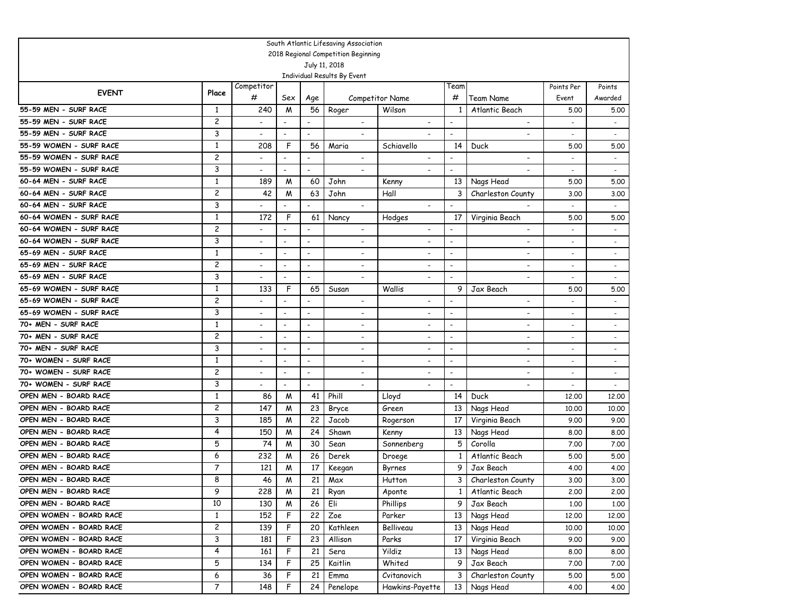|                         |                |                          |                          |                          | South Atlantic Lifesaving Association |                          |                          |                          |                          |                          |
|-------------------------|----------------|--------------------------|--------------------------|--------------------------|---------------------------------------|--------------------------|--------------------------|--------------------------|--------------------------|--------------------------|
|                         |                |                          |                          |                          | 2018 Regional Competition Beginning   |                          |                          |                          |                          |                          |
|                         |                |                          |                          |                          | July 11, 2018                         |                          |                          |                          |                          |                          |
|                         |                |                          |                          |                          | Individual Results By Event           |                          |                          |                          |                          |                          |
| <b>EVENT</b>            | Place          | Competitor               |                          |                          |                                       |                          | Feam                     |                          | Points Per               | Points                   |
|                         |                | #                        | Sex                      | Age                      |                                       | <b>Competitor Name</b>   | #                        | Team Name                | Event                    | Awarded                  |
| 55-59 MEN - SURF RACE   | 1              | 240                      | M                        | 56                       | Roger                                 | Wilson                   |                          | Atlantic Beach           | 5.00                     | 5.00                     |
| 55-59 MEN - SURF RACE   | 2              | $\overline{\phantom{0}}$ | $\overline{\phantom{a}}$ | $\overline{\phantom{a}}$ | $\overline{\phantom{a}}$              |                          | $\overline{\phantom{a}}$ | $\blacksquare$           |                          | $\overline{\phantom{a}}$ |
| 55-59 MEN - SURF RACE   | 3              | $\overline{\phantom{0}}$ | $\overline{\phantom{a}}$ | $\overline{a}$           | $\overline{\phantom{a}}$              |                          | $\overline{\phantom{0}}$ |                          |                          | $\blacksquare$           |
| 55-59 WOMEN - SURF RACE | $\mathbf{1}$   | 208                      | F                        | 56                       | Maria                                 | Schiavello               | 14                       | Duck                     | 5.00                     | 5.00                     |
| 55-59 WOMEN - SURF RACE | 2              | $\overline{\phantom{0}}$ | $\overline{\phantom{a}}$ | $\overline{\phantom{a}}$ | $\overline{\phantom{a}}$              | $\overline{\phantom{a}}$ | $\overline{\phantom{a}}$ | $\overline{\phantom{a}}$ | $\overline{\phantom{a}}$ | $\overline{\phantom{a}}$ |
| 55-59 WOMEN - SURF RACE | 3              | $\overline{a}$           | $\overline{\phantom{a}}$ | $\overline{\phantom{a}}$ | $\overline{\phantom{0}}$              |                          | $\overline{\phantom{a}}$ |                          |                          | $\overline{\phantom{a}}$ |
| 60-64 MEN - SURF RACE   | $\mathbf{1}$   | 189                      | M                        | 60                       | John                                  | Kenny                    | 13                       | Nags Head                | 5.00                     | 5.00                     |
| 60-64 MEN - SURF RACE   | 2              | 42                       | M                        | 63                       | John                                  | Hall                     | 3                        | Charleston County        | 3.00                     | 3.00                     |
| 60-64 MEN - SURF RACE   | 3              | $\overline{a}$           | $\overline{\phantom{a}}$ | $\blacksquare$           | $\overline{\phantom{a}}$              | $\overline{\phantom{0}}$ | $\overline{\phantom{0}}$ |                          |                          | $\overline{\phantom{a}}$ |
| 60-64 WOMEN - SURF RACE | $\mathbf{1}$   | 172                      | F                        | 61                       | Nancy                                 | Hodges                   | 17                       | Virginia Beach           | 5.00                     | 5.00                     |
| 60-64 WOMEN - SURF RACE | 2              | $\overline{a}$           | ٠                        | $\overline{\phantom{a}}$ | $\overline{\phantom{a}}$              | $\overline{\phantom{a}}$ | $\overline{\phantom{a}}$ | $\overline{\phantom{a}}$ |                          |                          |
| 60-64 WOMEN - SURF RACE | 3              | $\overline{a}$           | $\overline{\phantom{a}}$ | $\overline{\phantom{a}}$ | $\overline{\phantom{a}}$              | $\overline{\phantom{a}}$ | $\overline{a}$           | $\overline{\phantom{a}}$ |                          | $\overline{\phantom{a}}$ |
| 65-69 MEN - SURF RACE   | $\mathbf{1}$   | $\overline{a}$           | $\overline{\phantom{a}}$ | $\overline{\phantom{a}}$ | $\overline{\phantom{a}}$              | $\overline{\phantom{a}}$ | $\overline{\phantom{0}}$ | $\overline{\phantom{a}}$ | $\overline{\phantom{a}}$ | $\overline{\phantom{a}}$ |
| 65-69 MEN - SURF RACE   | 2              | $\overline{a}$           | $\overline{\phantom{a}}$ | $\overline{\phantom{a}}$ | $\overline{\phantom{a}}$              | $\overline{\phantom{a}}$ | $\overline{\phantom{a}}$ | $\overline{\phantom{a}}$ | $\overline{\phantom{a}}$ | $\overline{\phantom{a}}$ |
| 65-69 MEN - SURF RACE   | 3              | $\overline{a}$           |                          | $\overline{\phantom{a}}$ | $\overline{\phantom{a}}$              | $\overline{\phantom{a}}$ | $\overline{\phantom{a}}$ | $\overline{a}$           |                          |                          |
| 65-69 WOMEN - SURF RACE | 1              | 133                      | F                        | 65                       | Susan                                 | Wallis                   | 9                        | Jax Beach                | 5.00                     | 5.00                     |
| 65-69 WOMEN - SURF RACE | 2              | $\overline{a}$           |                          |                          | $\overline{\phantom{a}}$              | $\overline{\phantom{a}}$ | $\overline{\phantom{a}}$ | $\overline{a}$           |                          |                          |
| 65-69 WOMEN - SURF RACE | 3              | -                        | ٠                        | $\overline{\phantom{a}}$ | $\blacksquare$                        | $\overline{\phantom{a}}$ | $\blacksquare$           | $\overline{\phantom{a}}$ | $\overline{\phantom{a}}$ |                          |
| 70+ MEN - SURF RACE     | 1              | -                        | $\overline{a}$           | $\overline{\phantom{0}}$ | $\overline{\phantom{a}}$              | $\overline{\phantom{a}}$ | $\overline{\phantom{a}}$ | $\overline{\phantom{a}}$ | $\blacksquare$           | $\overline{\phantom{a}}$ |
| 70+ MEN - SURF RACE     | 2              | $\overline{a}$           | $\overline{\phantom{a}}$ | $\overline{\phantom{0}}$ | $\overline{\phantom{a}}$              | $\overline{\phantom{a}}$ | $\blacksquare$           |                          | $\blacksquare$           | $\overline{\phantom{a}}$ |
| 70+ MEN - SURF RACE     | 3              | ۰                        | $\blacksquare$           | $\blacksquare$           | $\overline{\phantom{a}}$              | $\overline{\phantom{a}}$ | $\overline{a}$           | $\overline{\phantom{a}}$ |                          |                          |
| 70+ WOMEN - SURF RACE   | 1              | -                        | $\blacksquare$           | $\overline{\phantom{a}}$ | $\overline{\phantom{a}}$              | $\overline{\phantom{a}}$ | $\overline{\phantom{0}}$ | $\overline{\phantom{a}}$ | $\overline{\phantom{a}}$ |                          |
| 70+ WOMEN - SURF RACE   | 2              | -                        | ٠                        | $\overline{\phantom{0}}$ | $\overline{\phantom{a}}$              | $\overline{\phantom{0}}$ | $\overline{\phantom{0}}$ |                          | $\overline{\phantom{a}}$ |                          |
| 70+ WOMEN - SURF RACE   | 3              | $\overline{\phantom{0}}$ | $\overline{\phantom{a}}$ | $\overline{a}$           |                                       |                          | $\overline{\phantom{0}}$ |                          |                          |                          |
| OPEN MEN - BOARD RACE   | 1              | 86                       | M                        | 41                       | Phill                                 | Lloyd                    | 14                       | Duck                     | 12,00                    | 12,00                    |
| OPEN MEN - BOARD RACE   | 2              | 147                      | M                        | 23                       | Bryce                                 | Green                    | 13                       | Nags Head                | 10,00                    | 10.00                    |
| OPEN MEN - BOARD RACE   | 3              | 185                      | M                        | 22                       | Jacob                                 | Rogerson                 | 17                       | Virginia Beach           | 9.00                     | 9.00                     |
| OPEN MEN - BOARD RACE   | 4              | 150                      | M                        | 24                       | Shawn                                 | Kenny                    | 13                       | Nags Head                | 8.00                     | 8.00                     |
| OPEN MEN - BOARD RACE   | 5              | 74                       | M                        | 30                       | Sean                                  | Sonnenberg               | 5                        | Corolla                  | 7.00                     | 7.00                     |
| OPEN MEN - BOARD RACE   | 6              | 232                      | M                        | 26                       | Derek                                 | Droege                   | 1                        | Atlantic Beach           | 5.00                     | 5.00                     |
| OPEN MEN - BOARD RACE   | 7              | 121                      | M                        | 17                       | Keegan                                | Byrnes                   | 9                        | Jax Beach                | 4.00                     | 4.00                     |
| OPEN MEN - BOARD RACE   | 8              | 46                       | W                        | 21                       | Max                                   | Hutton                   | 3                        | Charleston County        | 3.00                     | 3.00                     |
| OPEN MEN - BOARD RACE   | 9              | 228                      | M                        | 21                       | Ryan                                  | Aponte                   | 1 <sub>1</sub>           | Atlantic Beach           | 2.00                     | 2.00                     |
| OPEN MEN - BOARD RACE   | 10             | 130                      | W                        | 26                       | Eli                                   | Phillips                 | 9                        | Jax Beach                | 1.00                     | 1.00                     |
| OPEN WOMEN - BOARD RACE | $\mathbf{1}$   | 152                      | F                        | 22                       | Zoe                                   | Parker                   | 13                       | Nags Head                | 12,00                    | 12.00                    |
| OPEN WOMEN - BOARD RACE | $\overline{c}$ | 139                      | F                        | 20                       | Kathleen                              | Belliveau                | 13 <sup>1</sup>          | Nags Head                | 10.00                    | 10.00                    |
| OPEN WOMEN - BOARD RACE | 3              | 181                      | F                        | 23                       | Allison                               | Parks                    | 17                       | Virginia Beach           | 9.00                     | 9.00                     |
| OPEN WOMEN - BOARD RACE | 4              | 161                      | F                        | 21                       | Sera                                  | Yildiz                   | 13 <sup>1</sup>          | Nags Head                | 8.00                     | 8.00                     |
| OPEN WOMEN - BOARD RACE | 5              | 134                      | F                        | 25                       | Kaitlin                               | Whited                   | 9                        | Jax Beach                | 7.00                     | 7.00                     |
| OPEN WOMEN - BOARD RACE | 6              | 36                       | F                        | 21                       | Emma                                  | Cvitanovich              | 3                        | Charleston County        | 5.00                     | 5.00                     |
| OPEN WOMEN - BOARD RACE | 7              | 148                      | F.                       | 24                       | Penelope                              | Hawkins-Payette          |                          | 13 Nags Head             | 4.00                     | 4.00                     |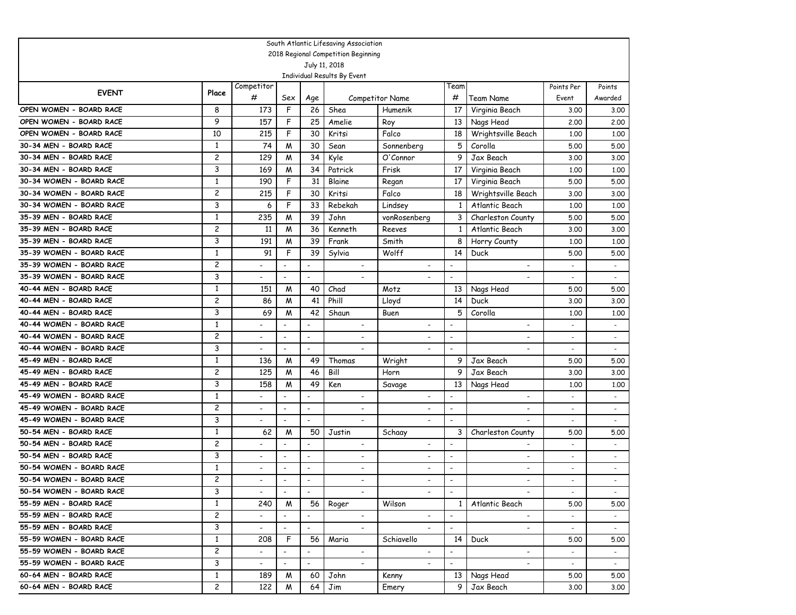|                          |                |                          |                          |                              | South Atlantic Lifesaving Association                |                          |                          |                          |                          |                          |
|--------------------------|----------------|--------------------------|--------------------------|------------------------------|------------------------------------------------------|--------------------------|--------------------------|--------------------------|--------------------------|--------------------------|
|                          |                |                          |                          |                              | 2018 Regional Competition Beginning<br>July 11, 2018 |                          |                          |                          |                          |                          |
|                          |                |                          |                          |                              | Individual Results By Event                          |                          |                          |                          |                          |                          |
|                          |                | Competitor               |                          |                              |                                                      |                          | Team                     |                          | Points Per               | Points                   |
| <b>EVENT</b>             | Place          | #                        | Sex                      | Age                          |                                                      | <b>Competitor Name</b>   | #                        | Team Name                | Event                    | Awarded                  |
| OPEN WOMEN - BOARD RACE  | 8              | 173                      | F                        | 26                           | Shea                                                 | Humenik                  | 17                       | Virginia Beach           | 3.00                     | 3.00                     |
| OPEN WOMEN - BOARD RACE  | 9              | 157                      | F                        | 25                           | Amelie                                               | Roy                      | 13                       | Nags Head                | 2,00                     | 2,00                     |
| OPEN WOMEN - BOARD RACE  | 10             | 215                      | F                        | 30                           | Kritsi                                               | Falco                    | 18                       | Wrightsville Beach       | 1,00                     | 1,00                     |
| 30-34 MEN - BOARD RACE   | $\mathbf{1}$   | 74                       | M                        | 30                           | Sean                                                 | Sonnenberg               | 5                        | Corolla                  | 5.00                     | 5.00                     |
| 30-34 MEN - BOARD RACE   | 2              | 129                      | M                        | 34                           | Kyle                                                 | O'Connor                 | 9                        | Jax Beach                | 3.00                     | 3.00                     |
| 30-34 MEN - BOARD RACE   | 3              | 169                      | M                        | 34                           | Patrick                                              | Frisk                    | 17                       | Virginia Beach           | 1,00                     | 1,00                     |
| 30-34 WOMEN - BOARD RACE | $\mathbf{1}$   | 190                      | F                        | 31                           | Blaine                                               | Regan                    | 17                       | Virginia Beach           | 5.00                     | 5.00                     |
| 30-34 WOMEN - BOARD RACE | $\overline{c}$ | 215                      | F                        | 30                           | Kritsi                                               | Falco                    | 18                       | Wrightsville Beach       | 3.00                     | 3.00                     |
| 30-34 WOMEN - BOARD RACE | 3              | 6                        | F                        | 33                           | Rebekah                                              | Lindsey                  | 1                        | Atlantic Beach           | 1,00                     | 1.00                     |
| 35-39 MEN - BOARD RACE   | $\mathbf{1}$   | 235                      | M                        | 39                           | John                                                 | vonRosenberg             | 3                        | Charleston County        | 5.00                     | 5.00                     |
| 35-39 MEN - BOARD RACE   | $\overline{c}$ | 11                       | M                        | 36                           | Kenneth                                              | Reeves                   | 1                        | Atlantic Beach           | 3.00                     | 3.00                     |
| 35-39 MEN - BOARD RACE   | 3              | 191                      | M                        | 39                           | Frank                                                | Smith                    | 8                        | Horry County             | 1,00                     | 1.00                     |
| 35-39 WOMEN - BOARD RACE | $\mathbf{1}$   | 91                       | F                        | 39                           | Sylvia                                               | Wolff                    | 14                       | Duck                     | 5.00                     | 5.00                     |
| 35-39 WOMEN - BOARD RACE | 2              | $\blacksquare$           | $\overline{\phantom{a}}$ | $\overline{\phantom{a}}$     | $\overline{\phantom{a}}$                             | $\overline{\phantom{a}}$ | $\overline{\phantom{a}}$ | $\blacksquare$           |                          | $\sim$                   |
| 35-39 WOMEN - BOARD RACE | 3              | $\blacksquare$           | $\overline{\phantom{a}}$ | $\overline{\phantom{a}}$     | $\overline{\phantom{a}}$                             |                          | $\overline{\phantom{a}}$ | $\overline{\phantom{a}}$ |                          | $\overline{\phantom{a}}$ |
| 40-44 MEN - BOARD RACE   | $\mathbf{1}$   | 151                      | M                        | 40                           | Chad                                                 | Motz                     | 13                       | Nags Head                | 5.00                     | 5.00                     |
| 40-44 MEN - BOARD RACE   | 2              | 86                       | M                        | 41                           | Phill                                                | Lloyd                    | 14                       | Duck                     | 3.00                     | 3.00                     |
| 40-44 MEN - BOARD RACE   | 3              | 69                       | M                        | 42                           | Shaun                                                | Buen                     | 5                        | Corolla                  | 1,00                     | 1,00                     |
| 40-44 WOMEN - BOARD RACE | $\mathbf{1}$   |                          | $\overline{\phantom{a}}$ | $\overline{\phantom{a}}$     | $\overline{\phantom{a}}$                             |                          | $\overline{\phantom{a}}$ | $\overline{\phantom{a}}$ | $\overline{\phantom{a}}$ | $\overline{\phantom{a}}$ |
| 40-44 WOMEN - BOARD RACE | 2              |                          | $\overline{\phantom{a}}$ | $\overline{\phantom{a}}$     | $\overline{\phantom{0}}$                             | $\overline{\phantom{a}}$ | $\overline{\phantom{a}}$ | $\overline{\phantom{a}}$ | $\overline{\phantom{0}}$ | $\overline{\phantom{a}}$ |
| 40-44 WOMEN - BOARD RACE | 3              | $\blacksquare$           | $\overline{\phantom{a}}$ | $\overline{\phantom{a}}$     | $\overline{a}$                                       |                          | $\overline{\phantom{a}}$ | $\overline{a}$           |                          | $\overline{\phantom{a}}$ |
| 45-49 MEN - BOARD RACE   | 1              | 136                      | M                        | 49                           | Thomas                                               | Wright                   | 9                        | Jax Beach                | 5.00                     | 5.00                     |
| 45-49 MEN - BOARD RACE   | 2              | 125                      | M                        | 46                           | Bill                                                 | Horn                     | 9                        | Jax Beach                | 3.00                     | 3.00                     |
| 45-49 MEN - BOARD RACE   | 3              | 158                      | М                        | 49                           | Ken                                                  | Savage                   | 13                       | Nags Head                | 1,00                     | 1,00                     |
| 45-49 WOMEN - BOARD RACE | 1              |                          | $\overline{a}$           | $\overline{\phantom{a}}$     | $\blacksquare$                                       | $\blacksquare$           |                          | $\overline{\phantom{a}}$ |                          | $\overline{\phantom{a}}$ |
| 45-49 WOMEN - BOARD RACE | 2              | $\overline{\phantom{a}}$ | $\overline{a}$           | $\overline{\phantom{a}}$     | $\overline{\phantom{a}}$                             | $\blacksquare$           | $\overline{\phantom{a}}$ | $\overline{\phantom{0}}$ | $\overline{\phantom{a}}$ | $\overline{a}$           |
| 45-49 WOMEN - BOARD RACE | 3              |                          | $\overline{a}$           | $\overline{\phantom{a}}$     | $\overline{\phantom{a}}$                             | $\overline{\phantom{a}}$ | $\overline{\phantom{a}}$ |                          |                          |                          |
| 50-54 MEN - BOARD RACE   | 1              | 62                       | M                        | 50                           | Justin                                               | Schaay                   | 3                        | Charleston County        | 5.00                     | 5.00                     |
| 50-54 MEN - BOARD RACE   | 2              |                          | $\overline{\phantom{a}}$ | $\overline{\phantom{a}}$     | $\overline{\phantom{a}}$                             |                          |                          | $\overline{\phantom{a}}$ | $\overline{\phantom{a}}$ | $\overline{\phantom{a}}$ |
| 50-54 MEN - BOARD RACE   | 3              |                          | $\overline{a}$           | $\overline{\phantom{a}}$     |                                                      | $\overline{\phantom{a}}$ | $\overline{\phantom{a}}$ | $\overline{\phantom{a}}$ | $\overline{\phantom{a}}$ | $\overline{\phantom{a}}$ |
| 50-54 WOMEN - BOARD RACE | $\mathbf{1}$   | $\overline{\phantom{a}}$ | $\overline{\phantom{a}}$ | $\overline{\phantom{a}}$     | $\overline{\phantom{a}}$                             | $\overline{\phantom{a}}$ | $\overline{\phantom{a}}$ | $\overline{\phantom{a}}$ | $\overline{\phantom{a}}$ | $\overline{\phantom{a}}$ |
| 50-54 WOMEN - BOARD RACE | 2              |                          | $\overline{\phantom{a}}$ | $\overline{\phantom{a}}$     | $\overline{\phantom{a}}$                             | $\blacksquare$           | $\overline{\phantom{a}}$ | $\overline{\phantom{a}}$ | $\overline{\phantom{a}}$ |                          |
| 50-54 WOMEN - BOARD RACE | 3              | $\overline{\phantom{a}}$ | $\overline{\phantom{a}}$ | $\overline{\phantom{a}}$     |                                                      |                          | $\overline{\phantom{a}}$ |                          | $\sim$                   |                          |
| 55-59 MEN - BOARD RACE   | $\mathbf{1}$   | 240                      | M                        | 56                           | Roger                                                | Wilson                   | $1\vert$                 | Atlantic Beach           | 5.00                     | 5.00                     |
| 55-59 MEN - BOARD RACE   | $\mathbf{2}$   |                          | $\blacksquare$           |                              | $\overline{\phantom{0}}$                             |                          | $\blacksquare$           |                          |                          |                          |
| 55-59 MEN - BOARD RACE   | 3              |                          | $\blacksquare$           | $\blacksquare$               |                                                      |                          | $\blacksquare$           |                          |                          |                          |
| 55-59 WOMEN - BOARD RACE | $\mathbf{1}$   | 208                      | F                        | 56                           | Maria                                                | Schiavello               | 14                       | Duck                     | 5.00                     | 5.00                     |
| 55-59 WOMEN - BOARD RACE | $\mathbf{2}$   |                          | $\blacksquare$           | $\qquad \qquad \blacksquare$ | $\overline{\phantom{0}}$                             | $\overline{\phantom{a}}$ | $\blacksquare$           | $\blacksquare$           |                          | $\sim$                   |
| 55-59 WOMEN - BOARD RACE | 3              | $\overline{\phantom{0}}$ | $\overline{\phantom{a}}$ | $\qquad \qquad \blacksquare$ |                                                      |                          | $\overline{\phantom{a}}$ |                          | $\sim$                   | $\sim$                   |
| 60-64 MEN - BOARD RACE   | $\mathbf{1}$   | 189                      | M                        | 60                           | John                                                 | Kenny                    | 13 <sup>1</sup>          | Nags Head                | 5.00                     | 5.00                     |
| 60-64 MEN - BOARD RACE   | $\mathbf{2}$   | 122                      | M                        | 64                           | Jim                                                  | Emery                    | 9 I                      | Jax Beach                | 3,00                     | 3.00                     |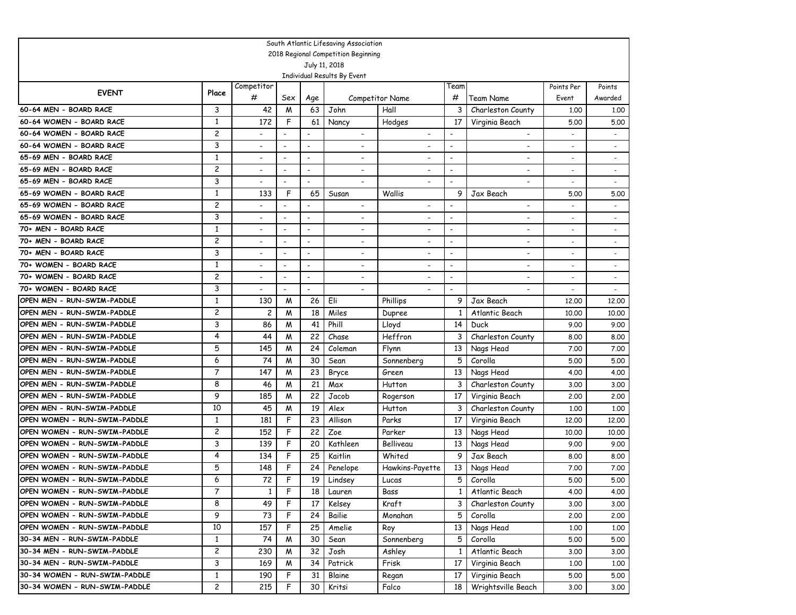|                                                      |                |                          |                          |                          | South Atlantic Lifesaving Association |                                |                          |                                            |                          |                          |
|------------------------------------------------------|----------------|--------------------------|--------------------------|--------------------------|---------------------------------------|--------------------------------|--------------------------|--------------------------------------------|--------------------------|--------------------------|
| 2018 Regional Competition Beginning<br>July 11, 2018 |                |                          |                          |                          |                                       |                                |                          |                                            |                          |                          |
|                                                      |                |                          |                          |                          |                                       |                                |                          |                                            |                          |                          |
|                                                      |                |                          |                          |                          | Individual Results By Event           |                                |                          |                                            |                          |                          |
| <b>EVENT</b>                                         | Place          | Competitor<br>#          |                          |                          |                                       |                                | Team<br>#                |                                            | Points Per               | Points                   |
| 60-64 MEN - BOARD RACE                               | 3              |                          | Sex                      | Age                      |                                       | <b>Competitor Name</b><br>Hall | 3                        | Team Name                                  | Event                    | Awarded                  |
| 60-64 WOMEN - BOARD RACE                             | $\mathbf{1}$   | 42<br>172                | M<br>F                   | 63<br>61                 | John                                  |                                | 17                       | Charleston County                          | 1,00                     | 1.00<br>5.00             |
| 60-64 WOMEN - BOARD RACE                             | 2              |                          |                          |                          | Nancy<br>$\overline{\phantom{a}}$     | Hodges                         |                          | Virginia Beach<br>$\overline{\phantom{a}}$ | 5.00                     |                          |
| 60-64 WOMEN - BOARD RACE                             | 3              | $\overline{\phantom{a}}$ | $\overline{\phantom{a}}$ | $\overline{\phantom{a}}$ | $\overline{\phantom{a}}$              |                                | $\overline{a}$           | $\blacksquare$                             |                          |                          |
| 65-69 MEN - BOARD RACE                               | $\mathbf{1}$   |                          | $\overline{a}$           | $\overline{\phantom{a}}$ | $\overline{a}$                        |                                | $\blacksquare$           | $\overline{\phantom{a}}$                   |                          | $\blacksquare$           |
| 65-69 MEN - BOARD RACE                               | $\overline{c}$ |                          | $\overline{\phantom{a}}$ | $\overline{\phantom{a}}$ | $\overline{\phantom{a}}$              |                                | $\blacksquare$           | $\overline{\phantom{a}}$                   | $\overline{\phantom{a}}$ | $\overline{\phantom{a}}$ |
| 65-69 MEN - BOARD RACE                               | 3              |                          | $\overline{\phantom{a}}$ | $\overline{\phantom{a}}$ | $\overline{a}$                        |                                | $\blacksquare$           |                                            |                          |                          |
| 65-69 WOMEN - BOARD RACE                             | $\mathbf{1}$   | 133                      | F                        | 65                       | Susan                                 | Wallis                         | 9                        | Jax Beach                                  | 5.00                     | 5.00                     |
| 65-69 WOMEN - BOARD RACE                             | $\overline{c}$ |                          | $\overline{\phantom{a}}$ | $\overline{\phantom{a}}$ | $\overline{\phantom{a}}$              |                                | $\blacksquare$           | $\overline{\phantom{0}}$                   |                          | $\overline{\phantom{a}}$ |
| 65-69 WOMEN - BOARD RACE                             | 3              |                          | $\overline{\phantom{a}}$ | $\overline{\phantom{a}}$ | $\overline{\phantom{a}}$              |                                | $\blacksquare$           | $\overline{\phantom{0}}$                   |                          |                          |
| 70+ MEN - BOARD RACE                                 | $\mathbf{1}$   |                          | $\overline{\phantom{0}}$ | $\overline{\phantom{a}}$ | $\overline{\phantom{0}}$              |                                | $\overline{\phantom{a}}$ | $\overline{\phantom{0}}$                   | $\overline{\phantom{a}}$ |                          |
| 70+ MEN - BOARD RACE                                 | 2              |                          | $\overline{\phantom{a}}$ | $\overline{\phantom{a}}$ | $\overline{\phantom{a}}$              | $\overline{\phantom{0}}$       | $\overline{\phantom{a}}$ | $\overline{\phantom{0}}$                   | $\overline{\phantom{a}}$ | $\overline{\phantom{a}}$ |
| 70+ MEN - BOARD RACE                                 | 3              |                          | $\overline{\phantom{a}}$ | $\overline{\phantom{a}}$ | $\overline{\phantom{a}}$              | $\overline{\phantom{0}}$       | $\overline{\phantom{a}}$ | $\overline{\phantom{a}}$                   | $\overline{\phantom{a}}$ |                          |
| 70+ WOMEN - BOARD RACE                               | $\mathbf{1}$   |                          | $\overline{\phantom{a}}$ |                          | $\overline{\phantom{a}}$              | $\overline{\phantom{0}}$       | $\overline{\phantom{a}}$ | $\overline{\phantom{a}}$                   | $\overline{\phantom{a}}$ |                          |
| 70+ WOMEN - BOARD RACE                               | 2              | $\overline{\phantom{0}}$ | $\overline{\phantom{a}}$ | $\overline{\phantom{a}}$ | $\overline{\phantom{a}}$              | $\overline{\phantom{a}}$       | $\overline{\phantom{0}}$ | $\overline{\phantom{a}}$                   |                          | $\overline{\phantom{a}}$ |
| 70+ WOMEN - BOARD RACE                               | 3              |                          |                          | $\overline{a}$           | $\overline{a}$                        |                                |                          |                                            |                          | $\overline{\phantom{a}}$ |
| OPEN MEN - RUN-SWIM-PADDLE                           | 1              | 130                      | M                        | 26                       | Eli                                   | Phillips                       | 9                        | Jax Beach                                  | 12,00                    | 12,00                    |
| OPEN MEN - RUN-SWIM-PADDLE                           | 2              | 2                        | W                        | 18                       | Miles                                 | Dupree                         | 1                        | Atlantic Beach                             | 10,00                    | 10,00                    |
| OPEN MEN - RUN-SWIM-PADDLE                           | 3              | 86                       | M                        | 41                       | Phill                                 | Lloyd                          | 14                       | Duck                                       | 9.00                     | 9.00                     |
| OPEN MEN - RUN-SWIM-PADDLE                           | 4              | 44                       | W                        | 22                       | Chase                                 | Heffron                        | 3                        | Charleston County                          | 8.00                     | 8.00                     |
| OPEN MEN - RUN-SWIM-PADDLE                           | 5              | 145                      | M                        | 24                       | Coleman                               | Flynn                          | 13                       | Nags Head                                  | 7.00                     | 7.00                     |
| OPEN MEN - RUN-SWIM-PADDLE                           | 6              | 74                       | M                        | 30                       | Sean                                  | Sonnenberg                     | 5                        | Corolla                                    | 5.00                     | 5.00                     |
| OPEN MEN - RUN-SWIM-PADDLE                           | 7              | 147                      | M                        | 23                       | Bryce                                 | Green                          | 13                       | Nags Head                                  | 4.00                     | 4.00                     |
| OPEN MEN - RUN-SWIM-PADDLE                           | 8              | 46                       | M                        | 21                       | Max                                   | Hutton                         | 3                        | Charleston County                          | 3.00                     | 3.00                     |
| OPEN MEN - RUN-SWIM-PADDLE                           | 9              | 185                      | M                        | 22                       | Jacob                                 | Rogerson                       | 17                       | Virginia Beach                             | 2,00                     | 2.00                     |
| OPEN MEN - RUN-SWIM-PADDLE                           | 10             | 45                       | W                        | 19                       | Alex                                  | Hutton                         | 3                        | Charleston County                          | 1,00                     | 1.00                     |
| OPEN WOMEN - RUN-SWIM-PADDLE                         | 1              | 181                      | F                        | 23                       | Allison                               | Parks                          | 17                       | Virginia Beach                             | 12,00                    | 12,00                    |
| OPEN WOMEN - RUN-SWIM-PADDLE                         | 2              | 152                      | F                        | 22                       | Zoe                                   | Parker                         | 13                       | Nags Head                                  | 10,00                    | 10.00                    |
| OPEN WOMEN - RUN-SWIM-PADDLE                         | 3              | 139                      | F                        | 20                       | Kathleen                              | Belliveau                      | 13                       | Nags Head                                  | 9.00                     | 9.00                     |
| OPEN WOMEN - RUN-SWIM-PADDLE                         | 4              | 134                      | F                        | 25                       | Kaitlin                               | Whited                         | 9                        | Jax Beach                                  | 8.00                     | 8.00                     |
| OPEN WOMEN - RUN-SWIM-PADDLE                         | 5              | 148                      | F                        | 24                       | Penelope                              | Hawkins-Payette                | 13                       | Nags Head                                  | 7.00                     | 7.00                     |
| OPEN WOMEN - RUN-SWIM-PADDLE                         | 6              | 72                       | F                        | 19                       | Lindsey                               | Lucas                          | 5                        | Corolla                                    | 5.00                     | 5.00                     |
| OPEN WOMEN - RUN-SWIM-PADDLE                         | 7              | $\mathbf{1}$             | F.                       | 18                       | Lauren                                | Bass                           | 1 <sub>1</sub>           | Atlantic Beach                             | 4.00                     | 4.00                     |
| OPEN WOMEN - RUN-SWIM-PADDLE                         | 8              | 49                       | F                        | 17                       | Kelsey                                | Kraft                          | 3                        | Charleston County                          | 3.00                     | 3.00                     |
| OPEN WOMEN - RUN-SWIM-PADDLE                         | 9              | 73                       | F                        | 24                       | Bailie                                | Monahan                        | 5                        | Corolla                                    | 2.00                     | 2.00                     |
| OPEN WOMEN - RUN-SWIM-PADDLE                         | 10             | 157                      | F                        | 25                       | Amelie                                | Roy                            | 13                       | Nags Head                                  | 1.00                     | 1.00                     |
| 30-34 MEN - RUN-SWIM-PADDLE                          | $\mathbf{1}$   | 74                       | M                        | 30                       | Sean                                  | Sonnenberg                     | 5                        | Corolla                                    | 5.00                     | 5.00                     |
| 30-34 MEN - RUN-SWIM-PADDLE                          | $\overline{c}$ | 230                      | M                        | 32                       | Josh                                  | Ashley                         | 1                        | Atlantic Beach                             | 3.00                     | 3.00                     |
| 30-34 MEN - RUN-SWIM-PADDLE                          | 3              | 169                      | M                        | 34                       | Patrick                               | Frisk                          | 17                       | Virginia Beach                             | 1.00                     | 1.00                     |
| 30-34 WOMEN - RUN-SWIM-PADDLE                        | $\mathbf{1}$   | 190                      | F                        | 31                       | Blaine                                | Regan                          | 17                       | Virginia Beach                             | 5.00                     | 5.00                     |
| 30-34 WOMEN - RUN-SWIM-PADDLE                        | 2              | 215                      | F                        | 30                       | Kritsi                                | Falco                          | 18                       | Wrightsville Beach                         | 3.00                     | 3.00                     |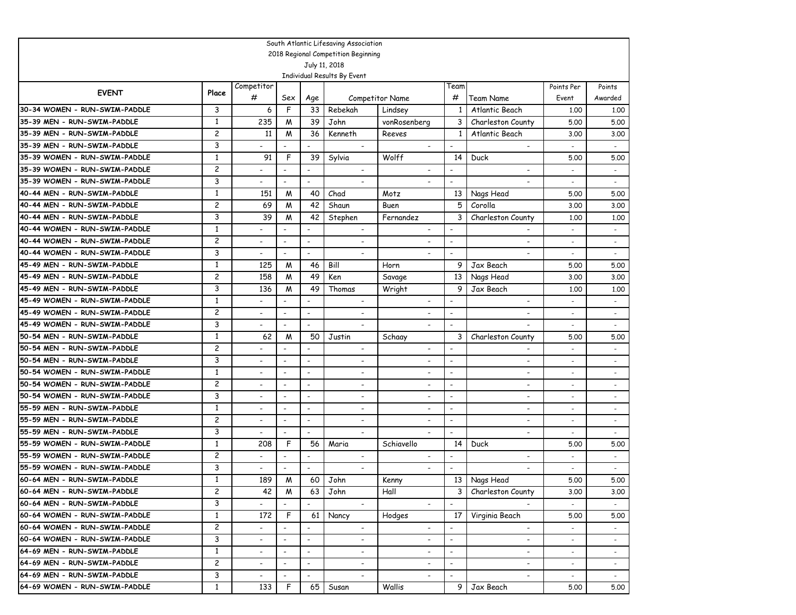|                               |                |                          |                          |                              | South Atlantic Lifesaving Association        |                          |                          |                          |                          |                          |
|-------------------------------|----------------|--------------------------|--------------------------|------------------------------|----------------------------------------------|--------------------------|--------------------------|--------------------------|--------------------------|--------------------------|
|                               |                |                          |                          |                              | 2018 Regional Competition Beginning          |                          |                          |                          |                          |                          |
|                               |                |                          |                          |                              | July 11, 2018<br>Individual Results By Event |                          |                          |                          |                          |                          |
|                               |                | Competitor               |                          |                              |                                              |                          | Team                     |                          | Points Per               | Points                   |
| <b>EVENT</b>                  | Place          | #                        | Sex                      | Age                          |                                              | <b>Competitor Name</b>   | #                        | Team Name                | Event                    | Awarded                  |
| 30-34 WOMEN - RUN-SWIM-PADDLE | 3              | 6                        | F                        | 33                           | Rebekah                                      | Lindsey                  | 1                        | Atlantic Beach           | 1,00                     | 1.00                     |
| 35-39 MEN - RUN-SWIM-PADDLE   | 1              | 235                      | M                        | 39                           | John                                         | vonRosenberg             | 3                        | Charleston County        | 5.00                     | 5.00                     |
| 35-39 MEN - RUN-SWIM-PADDLE   | 2              | 11                       | M                        | 36                           | Kenneth                                      | Reeves                   | $\mathbf{1}$             | Atlantic Beach           | 3.00                     | 3.00                     |
| 35-39 MEN - RUN-SWIM-PADDLE   | 3              |                          | $\overline{\phantom{a}}$ | $\overline{\phantom{0}}$     | $\overline{\phantom{a}}$                     | $\overline{\phantom{a}}$ | $\overline{\phantom{a}}$ | $\overline{\phantom{a}}$ | $\overline{\phantom{a}}$ | $\overline{\phantom{a}}$ |
| 35-39 WOMEN - RUN-SWIM-PADDLE | 1              | 91                       | F                        | 39                           | Sylvia                                       | Wolff                    | 14                       | Duck                     | 5.00                     | 5.00                     |
| 35-39 WOMEN - RUN-SWIM-PADDLE | 2              | $\overline{\phantom{a}}$ | $\overline{\phantom{a}}$ | $\qquad \qquad \blacksquare$ | $\overline{\phantom{a}}$                     | $\overline{\phantom{a}}$ | $\overline{\phantom{a}}$ | $\overline{\phantom{a}}$ | $\blacksquare$           | $\sim$                   |
| 35-39 WOMEN - RUN-SWIM-PADDLE | 3              | $\blacksquare$           | $\overline{\phantom{a}}$ | $\blacksquare$               |                                              |                          | $\overline{\phantom{a}}$ |                          |                          | $\sim$                   |
| 40-44 MEN - RUN-SWIM-PADDLE   | 1              | 151                      | M                        | 40                           | Chad                                         | Motz                     | 13                       | Nags Head                | 5.00                     | 5.00                     |
| 40-44 MEN - RUN-SWIM-PADDLE   | $\overline{c}$ | 69                       | M                        | 42                           | Shaun                                        | Buen                     | 5                        | Corolla                  | 3.00                     | 3.00                     |
| 40-44 MEN - RUN-SWIM-PADDLE   | 3              | 39                       | M                        | 42                           | Stephen                                      | Fernandez                | 3                        | Charleston County        | 1,00                     | 1,00                     |
| 40-44 WOMEN - RUN-SWIM-PADDLE | 1              |                          | $\overline{\phantom{a}}$ | $\overline{\phantom{a}}$     | $\overline{\phantom{a}}$                     | $\overline{\phantom{a}}$ | $\overline{\phantom{a}}$ |                          | $\overline{\phantom{a}}$ | $\sim$                   |
| 40-44 WOMEN - RUN-SWIM-PADDLE | $\overline{c}$ | $\blacksquare$           | $\overline{\phantom{0}}$ | $\overline{\phantom{a}}$     |                                              |                          | $\overline{\phantom{a}}$ | $\overline{\phantom{a}}$ | $\overline{a}$           | $\sim$                   |
| 40-44 WOMEN - RUN-SWIM-PADDLE | 3              | $\blacksquare$           | $\overline{\phantom{0}}$ | $\overline{\phantom{a}}$     |                                              |                          | $\overline{\phantom{a}}$ |                          |                          | $\sim$                   |
| 45-49 MEN - RUN-SWIM-PADDLE   | $\mathbf{1}$   | 125                      | M                        | 46                           | Bill                                         | Horn                     | 9                        | Jax Beach                | 5.00                     | 5.00                     |
| 45-49 MEN - RUN-SWIM-PADDLE   | $\overline{c}$ | 158                      | M                        | 49                           | Ken                                          | Savage                   | 13                       | Nags Head                | 3.00                     | 3.00                     |
| 45-49 MEN - RUN-SWIM-PADDLE   | 3              | 136                      | M                        | 49                           | Thomas                                       | Wright                   | 9                        | Jax Beach                | 1.00                     | 1,00                     |
| 45-49 WOMEN - RUN-SWIM-PADDLE | $\mathbf{1}$   | $\overline{\phantom{a}}$ | $\overline{\phantom{a}}$ | $\overline{\phantom{a}}$     | $\overline{\phantom{a}}$                     |                          | $\overline{\phantom{a}}$ | $\overline{\phantom{a}}$ |                          | $\overline{\phantom{a}}$ |
| 45-49 WOMEN - RUN-SWIM-PADDLE | $\overline{c}$ | $\overline{\phantom{a}}$ | $\overline{a}$           | $\overline{\phantom{a}}$     | $\overline{\phantom{0}}$                     | $\overline{\phantom{0}}$ | $\overline{\phantom{a}}$ | $\overline{\phantom{a}}$ | $\overline{\phantom{0}}$ | $\overline{\phantom{a}}$ |
| 45-49 WOMEN - RUN-SWIM-PADDLE | 3              | $\overline{\phantom{a}}$ | $\overline{\phantom{a}}$ | $\overline{\phantom{a}}$     | $\overline{\phantom{a}}$                     |                          | $\overline{\phantom{a}}$ |                          | $\overline{\phantom{a}}$ | $\overline{\phantom{a}}$ |
| 50-54 MEN - RUN-SWIM-PADDLE   | 1              | 62                       | M                        | 50                           | Justin                                       | Schaay                   | 3                        | Charleston County        | 5.00                     | 5.00                     |
| 50-54 MEN - RUN-SWIM-PADDLE   | 2              | $\overline{a}$           | $\overline{\phantom{a}}$ | $\overline{\phantom{a}}$     | $\overline{\phantom{a}}$                     | $\overline{\phantom{a}}$ | $\overline{\phantom{a}}$ | $\overline{\phantom{a}}$ |                          | $\overline{\phantom{a}}$ |
| 50-54 MEN - RUN-SWIM-PADDLE   | 3              |                          | ٠                        | $\overline{\phantom{a}}$     | $\overline{\phantom{a}}$                     | $\overline{\phantom{a}}$ | $\overline{\phantom{a}}$ | $\overline{\phantom{0}}$ |                          | $\overline{\phantom{a}}$ |
| 50-54 WOMEN - RUN-SWIM-PADDLE | 1              | $\overline{a}$           | $\overline{a}$           | $\overline{\phantom{a}}$     | $\blacksquare$                               | $\overline{\phantom{a}}$ | $\overline{\phantom{a}}$ | $\overline{\phantom{a}}$ | $\overline{\phantom{0}}$ | $\overline{\phantom{a}}$ |
| 50-54 WOMEN - RUN-SWIM-PADDLE | 2              | $\overline{\phantom{a}}$ | $\overline{\phantom{a}}$ | $\overline{\phantom{a}}$     | $\overline{\phantom{a}}$                     | $\overline{\phantom{a}}$ | $\overline{\phantom{a}}$ | $\overline{\phantom{a}}$ |                          | $\overline{a}$           |
| 50-54 WOMEN - RUN-SWIM-PADDLE | 3              | $\overline{\phantom{a}}$ | $\overline{\phantom{a}}$ | $\overline{\phantom{a}}$     | $\overline{\phantom{a}}$                     | $\overline{\phantom{a}}$ | $\overline{\phantom{a}}$ | $\blacksquare$           | $\overline{a}$           | $\blacksquare$           |
| 55-59 MEN - RUN-SWIM-PADDLE   | 1              | $\overline{\phantom{a}}$ | $\overline{\phantom{a}}$ | $\overline{\phantom{a}}$     | $\overline{\phantom{a}}$                     | $\overline{a}$           | $\overline{\phantom{a}}$ | $\overline{\phantom{a}}$ |                          | $\overline{a}$           |
| 55-59 MEN - RUN-SWIM-PADDLE   | 2              | $\overline{\phantom{a}}$ | $\overline{\phantom{a}}$ | $\overline{\phantom{a}}$     | $\overline{\phantom{a}}$                     | $\overline{\phantom{a}}$ | $\overline{\phantom{a}}$ | $\overline{\phantom{a}}$ |                          | $\overline{\phantom{a}}$ |
| 55-59 MEN - RUN-SWIM-PADDLE   | 3              |                          |                          | $\overline{\phantom{a}}$     | $\overline{\phantom{a}}$                     |                          | $\overline{\phantom{a}}$ | $\overline{\phantom{a}}$ |                          |                          |
| 55-59 WOMEN - RUN-SWIM-PADDLE | 1              | 208                      | $\mathsf{F}$             | 56                           | Maria                                        | Schiavello               | 14                       | Duck                     | 5.00                     | 5.00                     |
| 55-59 WOMEN - RUN-SWIM-PADDLE | 2              |                          | $\overline{\phantom{a}}$ | $\overline{\phantom{a}}$     |                                              |                          |                          |                          |                          | $\overline{\phantom{a}}$ |
| 55-59 WOMEN - RUN-SWIM-PADDLE | 3              | $\overline{\phantom{a}}$ |                          | $\overline{\phantom{a}}$     |                                              | $\overline{\phantom{0}}$ | $\overline{\phantom{a}}$ |                          |                          |                          |
| 60-64 MEN - RUN-SWIM-PADDLE   | 1              | 189                      | M                        | 60                           | John                                         | Kenny                    | 13 <sup>1</sup>          | Nags Head                | 5.00                     | 5.00                     |
| 60-64 MEN - RUN-SWIM-PADDLE   | 2              | 42                       | M                        | 63                           | John                                         | Hall                     | 3                        | Charleston County        | 3.00                     | 3.00                     |
| 60-64 MEN - RUN-SWIM-PADDLE   | 3              |                          |                          |                              |                                              | $\blacksquare$           | $\overline{\phantom{a}}$ |                          |                          |                          |
| 60-64 WOMEN - RUN-SWIM-PADDLE | $\mathbf{1}$   | 172                      | F                        | 61                           | Nancy                                        | Hodges                   | 17                       | Virginia Beach           | 5.00                     | 5.00                     |
| 60-64 WOMEN - RUN-SWIM-PADDLE | $\overline{c}$ |                          | $\overline{\phantom{a}}$ | $\overline{\phantom{a}}$     | $\blacksquare$                               | $\blacksquare$           | $\overline{\phantom{a}}$ | $\blacksquare$           |                          |                          |
| 60-64 WOMEN - RUN-SWIM-PADDLE | 3              | $\overline{\phantom{a}}$ | $\blacksquare$           | $\blacksquare$               | $\overline{\phantom{a}}$                     | $\blacksquare$           | $\blacksquare$           | $\overline{\phantom{a}}$ |                          |                          |
| 64-69 MEN - RUN-SWIM-PADDLE   | 1              | $\overline{a}$           | $\blacksquare$           | $\blacksquare$               | $\overline{\phantom{a}}$                     | $\overline{\phantom{a}}$ | $\blacksquare$           | $\overline{\phantom{a}}$ | $\sim$                   | $\sim$                   |
| 64-69 MEN - RUN-SWIM-PADDLE   | $\overline{c}$ | $\overline{\phantom{0}}$ | $\overline{a}$           | $\overline{\phantom{a}}$     | $\overline{\phantom{a}}$                     | $\overline{\phantom{a}}$ | $\overline{\phantom{a}}$ | $\blacksquare$           | $\overline{\phantom{0}}$ | $\sim$                   |
| 64-69 MEN - RUN-SWIM-PADDLE   | 3              | $\overline{\phantom{a}}$ | $\blacksquare$           | $\overline{\phantom{a}}$     | $\blacksquare$                               | $\overline{\phantom{a}}$ | $\blacksquare$           | $\blacksquare$           | $\overline{\phantom{a}}$ | $\sim$                   |
| 64-69 WOMEN - RUN-SWIM-PADDLE | $\mathbf{1}$   | 133                      | F                        | 65                           | Susan                                        | Wallis                   | 9 I                      | Jax Beach                | 5.00                     | 5.00                     |
|                               |                |                          |                          |                              |                                              |                          |                          |                          |                          |                          |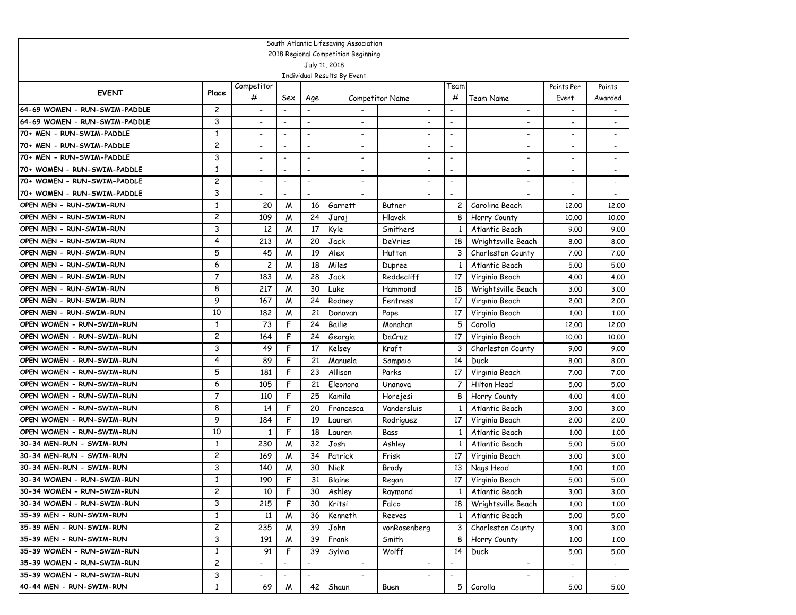|                               |                |                                            |                          |                          | South Atlantic Lifesaving Association |                          |                          |                                            |                          |                   |
|-------------------------------|----------------|--------------------------------------------|--------------------------|--------------------------|---------------------------------------|--------------------------|--------------------------|--------------------------------------------|--------------------------|-------------------|
|                               |                |                                            |                          |                          | 2018 Regional Competition Beginning   |                          |                          |                                            |                          |                   |
|                               |                |                                            |                          |                          | July 11, 2018                         |                          |                          |                                            |                          |                   |
|                               |                |                                            |                          |                          | Individual Results By Event           |                          |                          |                                            |                          |                   |
| <b>EVENT</b>                  | Place          | Competitor<br>#                            | Sex                      |                          |                                       | <b>Competitor Name</b>   | Team<br>#                |                                            | Points Per               | Points<br>Awarded |
| 64-69 WOMEN - RUN-SWIM-PADDLE | 2              |                                            |                          | Age                      |                                       | $\overline{\phantom{a}}$ | $\overline{a}$           | Team Name                                  | Event                    |                   |
| 64-69 WOMEN - RUN-SWIM-PADDLE | 3              | $\overline{\phantom{a}}$<br>$\overline{a}$ | $\overline{\phantom{a}}$ | $\overline{\phantom{a}}$ | $\overline{\phantom{a}}$              |                          | $\overline{\phantom{0}}$ | $\overline{\phantom{a}}$<br>$\blacksquare$ |                          |                   |
| 70+ MEN - RUN-SWIM-PADDLE     | $\mathbf{1}$   |                                            |                          | $\overline{\phantom{a}}$ |                                       |                          | $\overline{\phantom{a}}$ |                                            |                          |                   |
| 70+ MEN - RUN-SWIM-PADDLE     | 2              | $\overline{\phantom{a}}$                   | $\blacksquare$           | $\overline{\phantom{a}}$ | $\overline{a}$                        | $\overline{\phantom{a}}$ | $\overline{\phantom{a}}$ | $\overline{\phantom{a}}$                   |                          |                   |
| 70+ MEN - RUN-SWIM-PADDLE     | 3              | $\overline{\phantom{a}}$                   | $\overline{\phantom{a}}$ | $\overline{\phantom{a}}$ | $\overline{\phantom{a}}$              | $\overline{\phantom{a}}$ | $\overline{\phantom{a}}$ | $\overline{\phantom{a}}$                   |                          |                   |
| 70+ WOMEN - RUN-SWIM-PADDLE   | $\mathbf{1}$   | $\overline{a}$                             | $\overline{\phantom{a}}$ | $\overline{a}$           | $\overline{\phantom{a}}$              | $\overline{\phantom{a}}$ | $\overline{\phantom{a}}$ | $\overline{\phantom{a}}$                   |                          | $\blacksquare$    |
| 70+ WOMEN - RUN-SWIM-PADDLE   | 2              | $\overline{a}$                             | $\overline{\phantom{a}}$ | $\overline{a}$           |                                       |                          | $\overline{\phantom{a}}$ |                                            |                          |                   |
| 70+ WOMEN - RUN-SWIM-PADDLE   | 3              | $\overline{\phantom{0}}$                   | $\overline{\phantom{a}}$ | $\overline{\phantom{a}}$ | $\overline{a}$                        |                          | $\overline{\phantom{a}}$ |                                            |                          |                   |
| OPEN MEN - RUN-SWIM-RUN       | $\mathbf{1}$   | 20                                         | M                        | 16                       | Garrett                               | Butner                   | 2                        | Carolina Beach                             | 12,00                    | 12,00             |
| OPEN MEN - RUN-SWIM-RUN       | 2              | 109                                        | M                        | 24                       | Juraj                                 | Hlavek                   | 8                        | Horry County                               | 10.00                    | 10.00             |
| OPEN MEN - RUN-SWIM-RUN       | 3              | 12                                         | M                        | 17                       | Kyle                                  | Smithers                 | 1                        | Atlantic Beach                             | 9.00                     | 9.00              |
| OPEN MEN - RUN-SWIM-RUN       | 4              | 213                                        | M                        | 20                       | Jack                                  | DeVries                  | 18                       | Wrightsville Beach                         | 8.00                     | 8.00              |
| OPEN MEN - RUN-SWIM-RUN       | 5              | 45                                         | M                        | 19                       | Alex                                  | Hutton                   | 3                        | Charleston County                          | 7.00                     | 7.00              |
| OPEN MEN - RUN-SWIM-RUN       | 6              | 2                                          | M                        | 18                       | Miles                                 | Dupree                   | 1                        | Atlantic Beach                             | 5.00                     | 5.00              |
| OPEN MEN - RUN-SWIM-RUN       | 7              | 183                                        | M                        | 28                       | Jack                                  | Reddecliff               | 17                       | Virginia Beach                             | 4.00                     | 4.00              |
| OPEN MEN - RUN-SWIM-RUN       | 8              | 217                                        | M                        | 30                       | Luke                                  | Hammond                  | 18                       | Wrightsville Beach                         | 3.00                     | 3.00              |
| OPEN MEN - RUN-SWIM-RUN       | 9              | 167                                        | M                        | 24                       | Rodney                                | Fentress                 | 17                       | Virginia Beach                             | 2.00                     | 2.00              |
| OPEN MEN - RUN-SWIM-RUN       | 10             | 182                                        | M                        | 21                       | Donovan                               | Pope                     | 17                       | Virginia Beach                             | 1,00                     | 1.00              |
| OPEN WOMEN - RUN-SWIM-RUN     | 1              | 73                                         | F                        | 24                       | Bailie                                | Monahan                  | 5                        | Corolla                                    | 12,00                    | 12,00             |
| OPEN WOMEN - RUN-SWIM-RUN     | 2              | 164                                        | F                        | 24                       | Georgia                               | DaCruz                   | 17                       | Virginia Beach                             | 10,00                    | 10,00             |
| OPEN WOMEN - RUN-SWIM-RUN     | 3              | 49                                         | F                        | 17                       | Kelsey                                | Kraft                    | 3                        | Charleston County                          | 9.00                     | 9.00              |
| OPEN WOMEN - RUN-SWIM-RUN     | 4              | 89                                         | F                        | 21                       | Manuela                               | Sampaio                  | 14                       | Duck                                       | 8.00                     | 8.00              |
| OPEN WOMEN - RUN-SWIM-RUN     | 5              | 181                                        | F                        | 23                       | Allison                               | Parks                    | 17                       | Virginia Beach                             | 7.00                     | 7.00              |
| OPEN WOMEN - RUN-SWIM-RUN     | 6              | 105                                        | F                        | 21                       | Eleonora                              | Unanova                  | 7                        | Hilton Head                                | 5.00                     | 5.00              |
| OPEN WOMEN - RUN-SWIM-RUN     | 7              | 110                                        | F                        | 25                       | Kamila                                | Horejesi                 | 8                        | Horry County                               | 4.00                     | 4.00              |
| OPEN WOMEN - RUN-SWIM-RUN     | 8              | 14                                         | F                        | 20                       | Francesca                             | Vandersluis              | 1                        | Atlantic Beach                             | 3.00                     | 3.00              |
| OPEN WOMEN - RUN-SWIM-RUN     | 9              | 184                                        | F                        | 19                       | Lauren                                | Rodriguez                | 17                       | Virginia Beach                             | 2,00                     | 2.00              |
| OPEN WOMEN - RUN-SWIM-RUN     | 10             | 1                                          | F                        | 18                       | Lauren                                | Bass                     |                          | Atlantic Beach                             | 1,00                     | 1.00              |
| 30-34 MEN-RUN - SWIM-RUN      | $\mathbf{1}$   | 230                                        | M                        | 32                       | Josh                                  | Ashley                   |                          | Atlantic Beach                             | 5.00                     | 5.00              |
| 30-34 MEN-RUN - SWIM-RUN      | 2              | 169                                        | M                        | 34                       | Patrick                               | Frisk                    | 17                       | Virginia Beach                             | 3.00                     | 3.00              |
| 30-34 MEN-RUN - SWIM-RUN      | 3              | 140                                        | M                        | 30                       | NicK                                  | Brady                    | 13                       | Nags Head                                  | 1,00                     | 1.00              |
| 30-34 WOMEN - RUN-SWIM-RUN    | $\mathbf{1}$   | 190                                        | F                        | 31                       | Blaine                                | Regan                    | 17                       | Virginia Beach                             | 5.00                     | 5.00              |
| 30-34 WOMEN - RUN-SWIM-RUN    | 2              | 10                                         | F.                       | 30                       | Ashley                                | Raymond                  | 1 <sub>1</sub>           | Atlantic Beach                             | 3.00                     | 3.00              |
| 30-34 WOMEN - RUN-SWIM-RUN    | 3              | 215                                        | F                        | 30                       | Kritsi                                | Falco                    | 18                       | Wrightsville Beach                         | 1.00                     | 1.00              |
| 35-39 MEN - RUN-SWIM-RUN      | $\mathbf{1}$   | 11                                         | M                        | 36                       | Kenneth                               | Reeves                   | $\mathbf{1}$             | Atlantic Beach                             | 5.00                     | 5.00              |
| 35-39 MEN - RUN-SWIM-RUN      | $\overline{c}$ | 235                                        | M                        | 39                       | John                                  | vonRosenberg             | 3                        | Charleston County                          | 3.00                     | 3.00              |
| 35-39 MEN - RUN-SWIM-RUN      | 3              | 191                                        | M                        | 39                       | Frank                                 | Smith                    | 8                        | Horry County                               | 1.00                     | 1.00              |
| 35-39 WOMEN - RUN-SWIM-RUN    | $\mathbf{1}$   | 91                                         | F                        | 39                       | Sylvia                                | Wolff                    | 14                       | Duck                                       | 5.00                     | 5.00              |
| 35-39 WOMEN - RUN-SWIM-RUN    | $\overline{c}$ | $\overline{\phantom{0}}$                   |                          |                          | $\overline{\phantom{a}}$              | $\overline{\phantom{a}}$ | $\overline{a}$           | $\overline{\phantom{a}}$                   |                          | $\sim$            |
| 35-39 WOMEN - RUN-SWIM-RUN    | 3              | $\overline{\phantom{0}}$                   | $\overline{\phantom{a}}$ | $\overline{\phantom{a}}$ |                                       | $\overline{\phantom{a}}$ | $\overline{a}$           | $\overline{\phantom{0}}$                   | $\overline{\phantom{a}}$ | $\sim$            |
| 40-44 MEN - RUN-SWIM-RUN      | 1              | 69                                         | M                        | 42                       | Shaun                                 | Buen                     |                          | 5 Corolla                                  | 5.00                     | 5.00              |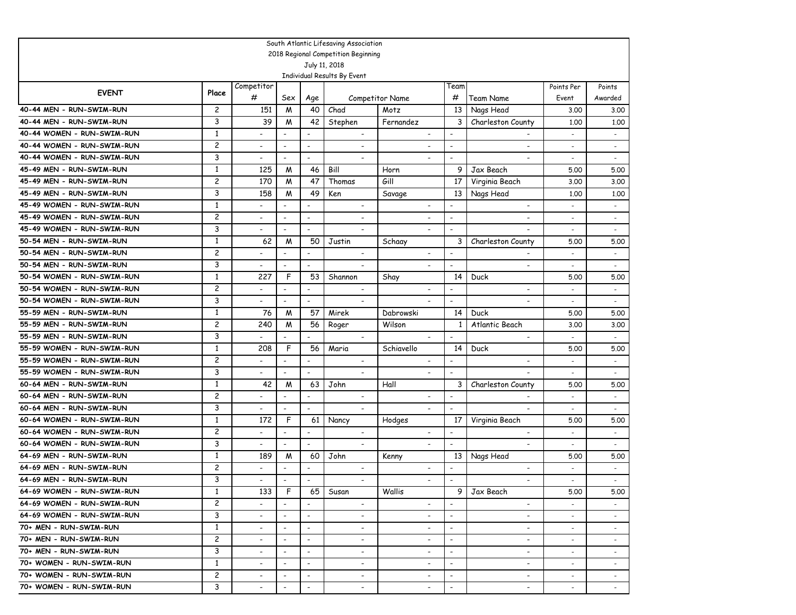|                            |                |                          |                              |                          | South Atlantic Lifesaving Association        |                          |                          |                          |                          |                          |
|----------------------------|----------------|--------------------------|------------------------------|--------------------------|----------------------------------------------|--------------------------|--------------------------|--------------------------|--------------------------|--------------------------|
|                            |                |                          |                              |                          | 2018 Regional Competition Beginning          |                          |                          |                          |                          |                          |
|                            |                |                          |                              |                          | July 11, 2018<br>Individual Results By Event |                          |                          |                          |                          |                          |
|                            |                | Competitor               |                              |                          |                                              |                          | Team                     |                          | Points Per               | Points                   |
| <b>EVENT</b>               | Place          | #                        | Sex                          | Age                      |                                              | <b>Competitor Name</b>   | #                        | Team Name                | Event                    | Awarded                  |
| 40-44 MEN - RUN-SWIM-RUN   | 2              | 151                      | M                            | 40                       | Chad                                         | Motz                     | 13                       | Nags Head                | 3.00                     | 3.00                     |
| 40-44 MEN - RUN-SWIM-RUN   | 3              | 39                       | M                            | 42                       | Stephen                                      | Fernandez                | 3                        | Charleston County        | 1,00                     | 1,00                     |
| 40-44 WOMEN - RUN-SWIM-RUN | $\mathbf{1}$   | $\overline{\phantom{a}}$ | $\qquad \qquad \blacksquare$ | $\overline{\phantom{a}}$ | $\overline{\phantom{a}}$                     | $\overline{\phantom{a}}$ | $\overline{\phantom{a}}$ | $\overline{\phantom{a}}$ | $\overline{\phantom{a}}$ | $\overline{\phantom{a}}$ |
| 40-44 WOMEN - RUN-SWIM-RUN | 2              | $\overline{\phantom{a}}$ | $\overline{\phantom{a}}$     | $\overline{\phantom{a}}$ | $\overline{\phantom{0}}$                     |                          | $\overline{\phantom{a}}$ | $\overline{\phantom{a}}$ |                          | $\overline{\phantom{a}}$ |
| 40-44 WOMEN - RUN-SWIM-RUN | 3              | $\blacksquare$           | $\overline{\phantom{a}}$     | $\overline{\phantom{a}}$ | $\overline{a}$                               |                          | $\overline{\phantom{a}}$ | $\overline{\phantom{a}}$ | $\overline{\phantom{a}}$ | $\overline{\phantom{a}}$ |
| 45-49 MEN - RUN-SWIM-RUN   | 1              | 125                      | M                            | 46                       | Bill                                         | Horn                     | 9                        | Jax Beach                | 5.00                     | 5.00                     |
| 45-49 MEN - RUN-SWIM-RUN   | $\overline{c}$ | 170                      | M                            | 47                       | Thomas                                       | Gill                     | 17                       | Virginia Beach           | 3.00                     | 3.00                     |
| 45-49 MEN - RUN-SWIM-RUN   | 3              | 158                      | M                            | 49                       | Ken                                          | Savage                   | 13                       | Nags Head                | 1,00                     | 1,00                     |
| 45-49 WOMEN - RUN-SWIM-RUN | $\mathbf{1}$   |                          | $\overline{a}$               | $\overline{\phantom{a}}$ | $\overline{\phantom{a}}$                     | $\blacksquare$           | $\overline{\phantom{a}}$ | $\overline{\phantom{a}}$ | $\overline{a}$           | $\overline{a}$           |
| 45-49 WOMEN - RUN-SWIM-RUN | $\overline{c}$ |                          | L,                           | $\overline{\phantom{a}}$ |                                              |                          | $\overline{\phantom{a}}$ | $\overline{\phantom{a}}$ | $\overline{\phantom{a}}$ | $\overline{\phantom{a}}$ |
| 45-49 WOMEN - RUN-SWIM-RUN | 3              | $\overline{\phantom{a}}$ | $\overline{\phantom{a}}$     | $\overline{\phantom{a}}$ | $\overline{\phantom{0}}$                     |                          | $\overline{\phantom{a}}$ |                          |                          | $\blacksquare$           |
| 50-54 MEN - RUN-SWIM-RUN   | $\mathbf{1}$   | 62                       | M                            | 50                       | Justin                                       | Schaay                   | 3                        | Charleston County        | 5.00                     | 5.00                     |
| 50-54 MEN - RUN-SWIM-RUN   | $\overline{c}$ |                          | ٠                            | $\overline{\phantom{a}}$ | $\overline{\phantom{a}}$                     |                          | $\overline{\phantom{a}}$ |                          |                          | $\overline{\phantom{a}}$ |
| 50-54 MEN - RUN-SWIM-RUN   | 3              |                          | $\overline{\phantom{0}}$     | $\overline{\phantom{a}}$ | $\overline{\phantom{0}}$                     |                          | $\overline{\phantom{a}}$ | $\overline{\phantom{0}}$ | $\overline{\phantom{0}}$ | $\overline{\phantom{a}}$ |
| 50-54 WOMEN - RUN-SWIM-RUN | $\mathbf{1}$   | 227                      | F                            | 53                       | Shannon                                      | Shay                     | 14                       | Duck                     | 5.00                     | 5.00                     |
| 50-54 WOMEN - RUN-SWIM-RUN | 2              |                          | ٠                            | $\overline{\phantom{a}}$ | $\overline{\phantom{a}}$                     | $\overline{\phantom{a}}$ | $\overline{\phantom{0}}$ | $\overline{\phantom{a}}$ | $\overline{\phantom{a}}$ | $\overline{\phantom{a}}$ |
| 50-54 WOMEN - RUN-SWIM-RUN | 3              |                          | L.                           | $\overline{\phantom{a}}$ | $\overline{a}$                               |                          | $\overline{\phantom{a}}$ | $\overline{\phantom{a}}$ |                          | $\overline{\phantom{a}}$ |
| 55-59 MEN - RUN-SWIM-RUN   | $\mathbf{1}$   | 76                       | M                            | 57                       | Mirek                                        | Dabrowski                | 14                       | Duck                     | 5.00                     | 5.00                     |
| 55-59 MEN - RUN-SWIM-RUN   | 2              | 240                      | M                            | 56                       | Roger                                        | Wilson                   | 1                        | Atlantic Beach           | 3.00                     | 3.00                     |
| 55-59 MEN - RUN-SWIM-RUN   | 3              |                          |                              |                          | $\overline{\phantom{a}}$                     |                          | $\overline{\phantom{a}}$ | $\overline{\phantom{a}}$ |                          | $\overline{\phantom{a}}$ |
| 55-59 WOMEN - RUN-SWIM-RUN | 1              | 208                      | F                            | 56                       | Maria                                        | Schiavello               | 14                       | Duck                     | 5.00                     | 5.00                     |
| 55-59 WOMEN - RUN-SWIM-RUN | $\overline{c}$ |                          | $\overline{\phantom{a}}$     | $\overline{\phantom{a}}$ | $\overline{\phantom{a}}$                     | $\blacksquare$           |                          | $\overline{\phantom{a}}$ | $\overline{a}$           | $\overline{\phantom{a}}$ |
| 55-59 WOMEN - RUN-SWIM-RUN | 3              |                          |                              | $\overline{\phantom{a}}$ | $\blacksquare$                               | $\tilde{\phantom{a}}$    | $\overline{\phantom{a}}$ |                          |                          | $\overline{\phantom{a}}$ |
| 60-64 MEN - RUN-SWIM-RUN   | 1              | 42                       | M                            | 63                       | John                                         | Hall                     | 3                        | Charleston County        | 5.00                     | 5.00                     |
| 60-64 MEN - RUN-SWIM-RUN   | 2              |                          | $\overline{\phantom{a}}$     | $\overline{\phantom{a}}$ | $\overline{\phantom{a}}$                     | $\overline{\phantom{a}}$ | $\overline{\phantom{a}}$ |                          | $\overline{\phantom{a}}$ | $\overline{\phantom{a}}$ |
| 60-64 MEN - RUN-SWIM-RUN   | 3              |                          |                              | $\overline{\phantom{a}}$ | $\overline{\phantom{a}}$                     | $\overline{\phantom{a}}$ | $\overline{\phantom{a}}$ |                          |                          |                          |
| 60-64 WOMEN - RUN-SWIM-RUN | 1              | 172                      | F                            | 61                       | Nancy                                        | Hodges                   | 17                       | Virginia Beach           | 5.00                     | 5.00                     |
| 60-64 WOMEN - RUN-SWIM-RUN | 2              | $\overline{\phantom{a}}$ | $\overline{\phantom{a}}$     | $\overline{\phantom{a}}$ | $\overline{\phantom{a}}$                     | $\overline{\phantom{a}}$ | $\overline{\phantom{a}}$ | $\blacksquare$           | $\overline{\phantom{a}}$ | $\overline{\phantom{a}}$ |
| 60-64 WOMEN - RUN-SWIM-RUN | 3              |                          | $\overline{a}$               | $\overline{\phantom{a}}$ | $\blacksquare$                               | $\blacksquare$           | $\blacksquare$           | $\overline{\phantom{a}}$ |                          |                          |
| 64-69 MEN - RUN-SWIM-RUN   | 1              | 189                      | M                            | 60                       | John                                         | Kenny                    | 13                       | Nags Head                | 5.00                     | 5.00                     |
| 64-69 MEN - RUN-SWIM-RUN   | 2              |                          |                              |                          | $\overline{\phantom{a}}$                     |                          |                          |                          |                          |                          |
| 64-69 MEN - RUN-SWIM-RUN   | 3              |                          | $\overline{\phantom{a}}$     | $\overline{\phantom{a}}$ | $\overline{a}$                               | $\overline{\phantom{a}}$ | $\overline{\phantom{a}}$ | $\overline{a}$           |                          |                          |
| 64-69 WOMEN - RUN-SWIM-RUN | 1              | 133                      | F.                           | 65                       | Susan                                        | Wallis                   |                          | 9   Jax Beach            | 5.00                     | 5.00                     |
| 64-69 WOMEN - RUN-SWIM-RUN | $\overline{c}$ |                          | $\blacksquare$               |                          | $\overline{\phantom{a}}$                     | $\blacksquare$           | $\blacksquare$           | $\overline{\phantom{a}}$ | $\overline{\phantom{0}}$ | $\sim$                   |
| 64-69 WOMEN - RUN-SWIM-RUN | 3              |                          | $\overline{\phantom{a}}$     | $\overline{\phantom{a}}$ | $\overline{\phantom{0}}$                     | $\overline{\phantom{a}}$ | $\blacksquare$           | $\overline{\phantom{a}}$ |                          |                          |
| 70+ MEN - RUN-SWIM-RUN     | $\mathbf{1}$   |                          | $\overline{\phantom{a}}$     | $\overline{\phantom{a}}$ | $\overline{\phantom{a}}$                     | $\overline{\phantom{a}}$ | $\overline{\phantom{a}}$ | $\overline{\phantom{a}}$ | $\overline{\phantom{a}}$ |                          |
| 70+ MEN - RUN-SWIM-RUN     | $\mathbf{2}$   | $\overline{\phantom{a}}$ | $\overline{\phantom{a}}$     | $\overline{\phantom{a}}$ | $\overline{\phantom{a}}$                     | $\overline{\phantom{a}}$ | $\overline{\phantom{a}}$ | $\overline{\phantom{a}}$ | $\overline{\phantom{a}}$ | $\sim$                   |
| 70+ MEN - RUN-SWIM-RUN     | 3              | $\overline{\phantom{a}}$ | $\overline{\phantom{a}}$     | $\overline{\phantom{a}}$ | $\overline{\phantom{0}}$                     | $\overline{\phantom{a}}$ | $\overline{\phantom{a}}$ | $\overline{\phantom{a}}$ | $\overline{\phantom{a}}$ | $\sim$                   |
| 70+ WOMEN - RUN-SWIM-RUN   | $\mathbf{1}$   |                          | $\overline{\phantom{a}}$     | $\overline{\phantom{a}}$ | $\overline{\phantom{a}}$                     | $\overline{\phantom{a}}$ | $\overline{\phantom{a}}$ | $\overline{\phantom{a}}$ |                          |                          |
| 70+ WOMEN - RUN-SWIM-RUN   | $\overline{c}$ | $\overline{\phantom{a}}$ | $\overline{\phantom{a}}$     | $\overline{\phantom{a}}$ | $\overline{\phantom{0}}$                     | $\overline{\phantom{a}}$ | $\overline{\phantom{a}}$ | $\overline{\phantom{a}}$ | $\overline{\phantom{0}}$ | $\sim$                   |
| 70+ WOMEN - RUN-SWIM-RUN   | 3              |                          | $\overline{\phantom{a}}$     | $\overline{\phantom{a}}$ | $\overline{\phantom{a}}$                     | $\overline{\phantom{a}}$ | $\overline{\phantom{a}}$ | $\overline{\phantom{a}}$ | $\overline{\phantom{a}}$ | $\sim$                   |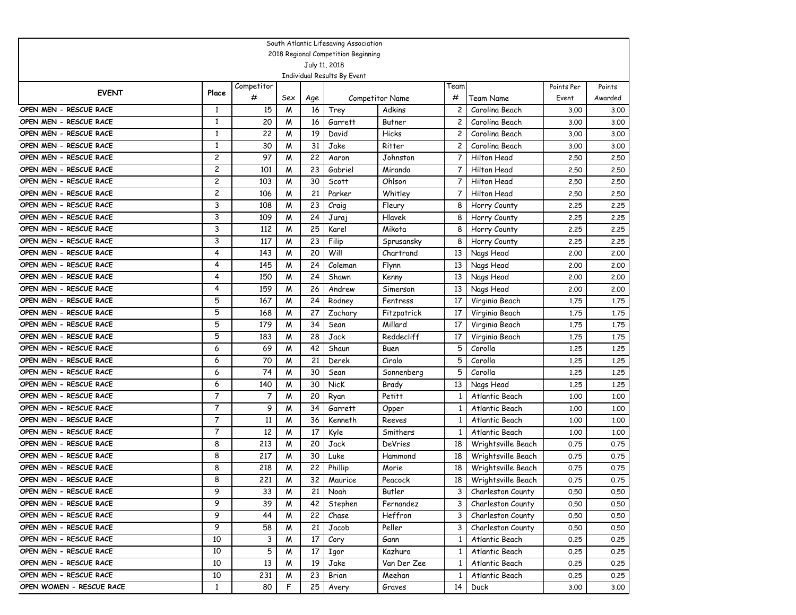|                                                      |              |                 |        |          | South Atlantic Lifesaving Association |                  |                 |                                  |              |                   |
|------------------------------------------------------|--------------|-----------------|--------|----------|---------------------------------------|------------------|-----------------|----------------------------------|--------------|-------------------|
| 2018 Regional Competition Beginning<br>July 11, 2018 |              |                 |        |          |                                       |                  |                 |                                  |              |                   |
|                                                      |              |                 |        |          |                                       |                  |                 |                                  |              |                   |
|                                                      |              |                 |        |          | Individual Results By Event           |                  |                 |                                  |              |                   |
| <b>EVENT</b>                                         | Place        | Competitor<br># |        |          |                                       |                  | Team<br>#       |                                  | Points Per   | Points<br>Awarded |
| OPEN MEN - RESCUE RACE                               |              |                 | Sex    | Age      |                                       | Competitor Name  |                 | Team Name                        | Event        |                   |
| OPEN MEN - RESCUE RACE                               | 1<br>1       | 15<br>20        | M<br>M | 16<br>16 | Trey<br>Garrett                       | Adkins<br>Butner | 2<br>2          | Carolina Beach<br>Carolina Beach | 3.00         | 3.00              |
| OPEN MEN - RESCUE RACE                               | $\mathbf{1}$ | 22              | M      | 19       | David                                 | Hicks            | 2               | Carolina Beach                   | 3.00         | 3.00              |
| OPEN MEN - RESCUE RACE                               | 1            | 30              | M      | 31       | Jake                                  | Ritter           | 2               | Carolina Beach                   | 3.00<br>3.00 | 3.00<br>3.00      |
| OPEN MEN - RESCUE RACE                               | 2            | 97              | M      | 22       | Aaron                                 | Johnston         | 7               | Hilton Head                      | 2.50         | 2.50              |
| OPEN MEN - RESCUE RACE                               | 2            | 101             | M      | 23       | Gabriel                               | Miranda          | 7               | Hilton Head                      | 2.50         | 2.50              |
| OPEN MEN - RESCUE RACE                               | 2            | 103             | M      | 30       | Scott                                 | Ohlson           | $\overline{7}$  | Hilton Head                      | 2.50         | 2.50              |
| OPEN MEN - RESCUE RACE                               | 2            | 106             | M      | 21       | Parker                                | Whitley          | 7               | Hilton Head                      | 2.50         | 2.50              |
| OPEN MEN - RESCUE RACE                               | 3            | 108             | M      | 23       | Craig                                 | Fleury           | 8               | Horry County                     | 2.25         | 2.25              |
| OPEN MEN - RESCUE RACE                               | 3            | 109             | M      | 24       | Juraj                                 | Hlavek           | 8               | Horry County                     | 2.25         | 2.25              |
| OPEN MEN - RESCUE RACE                               | 3            | 112             | M      | 25       | Karel                                 | Mikota           | 8               | Horry County                     | 2.25         | 2.25              |
| OPEN MEN - RESCUE RACE                               | 3            | 117             | M      | 23       | Filip                                 | Sprusansky       | 8               | Horry County                     | 2.25         | 2.25              |
| OPEN MEN - RESCUE RACE                               | 4            | 143             | M      | 20       | Will                                  | Chartrand        | 13              | Nags Head                        | 2,00         | 2,00              |
| OPEN MEN - RESCUE RACE                               | 4            | 145             | M      | 24       | $\overline{C}$ oleman                 | Flynn            | 13              | Nags Head                        | 2,00         | 2,00              |
| OPEN MEN - RESCUE RACE                               | 4            | 150             | M      | 24       | Shawn                                 | Kenny            | 13              | Nags Head                        | 2,00         | 2,00              |
| OPEN MEN - RESCUE RACE                               | 4            | 159             | M      | 26       | Andrew                                | Simerson         | 13              | Nags Head                        | 2.00         | 2,00              |
| OPEN MEN - RESCUE RACE                               | 5            | 167             | M      | 24       | Rodney                                | Fentress         | 17              | Virginia Beach                   | 1.75         | 1.75              |
| OPEN MEN - RESCUE RACE                               | 5            | 168             | M      | 27       | Zachary                               | Fitzpatrick      | 17              | Virginia Beach                   | 1.75         | 1.75              |
| OPEN MEN - RESCUE RACE                               | 5            | 179             | W      | 34       | Sean                                  | Millard          | 17              | Virginia Beach                   | 1.75         | 1.75              |
| OPEN MEN - RESCUE RACE                               | 5            | 183             | M      | 28       | Jack                                  | Reddecliff       | 17              | Virginia Beach                   | 1.75         | 1.75              |
| OPEN MEN - RESCUE RACE                               | 6            | 69              | M      | 42       | Shaun                                 | Buen             | 5               | Corolla                          | 1.25         | 1.25              |
| OPEN MEN - RESCUE RACE                               | 6            | 70              | M      | 21       | Derek                                 | Ciralo           | 5               | Corolla                          | 1.25         | 1.25              |
| OPEN MEN - RESCUE RACE                               | 6            | 74              | M      | 30       | Sean                                  | Sonnenberg       | 5               | Corolla                          | 1.25         | 1,25              |
| OPEN MEN - RESCUE RACE                               | 6            | 140             | M      | 30       | NicK                                  | Brady            | 13              | Nags Head                        | 1,25         | 1.25              |
| OPEN MEN - RESCUE RACE                               | 7            | 7               | M      | 20       | Ryan                                  | Petitt           | 1               | Atlantic Beach                   | 1,00         | 1.00              |
| OPEN MEN - RESCUE RACE                               | 7            | 9               | M      | 34       | Garrett                               | Opper            | 1               | Atlantic Beach                   | 1,00         | 1,00              |
| OPEN MEN - RESCUE RACE                               | 7            | 11              | M      | 36       | Kenneth                               | Reeves           | 1               | Atlantic Beach                   | 1,00         | 1,00              |
| OPEN MEN - RESCUE RACE                               | 7            | 12              | M      | 17       | Kyle                                  | Smithers         | 1               | Atlantic Beach                   | 1,00         | 1.00              |
| OPEN MEN - RESCUE RACE                               | 8            | 213             | M      | 20       | Jack                                  | DeVries          | 18              | Wrightsville Beach               | 0.75         | 0.75              |
| OPEN MEN - RESCUE RACE                               | 8            | 217             | M      | 30       | Luke                                  | Hammond          | 18              | Wrightsville Beach               | 0.75         | 0.75              |
| OPEN MEN - RESCUE RACE                               | 8            | 218             | M      | 22       | Phillip                               | Morie            | 18              | Wrightsville Beach               | 0.75         | 0.75              |
| OPEN MEN - RESCUE RACE                               | 8            | 221             | W      | 32       | Maurice                               | Peacock          | 18              | Wrightsville Beach               | 0.75         | 0.75              |
| OPEN MEN - RESCUE RACE                               | 9            | 33              | M      | 21       | Noah                                  | Butler           | 3 I             | Charleston County                | 0.50         | 0.50              |
| OPEN MEN - RESCUE RACE                               | 9            | 39              | M      | 42       | Stephen                               | Fernandez        | 3               | Charleston County                | 0.50         | 0.50              |
| OPEN MEN - RESCUE RACE                               | 9            | 44              | M      | 22       | Chase                                 | Heffron          | 3               | Charleston County                | 0.50         | 0.50              |
| OPEN MEN - RESCUE RACE                               | 9            | 58              | M      | 21       | Jacob                                 | Peller           | 3               | Charleston County                | 0.50         | 0.50              |
| OPEN MEN - RESCUE RACE                               | 10           | 3               | M      | 17       | Cory                                  | Gann             | $\mathbf{1}$    | Atlantic Beach                   | 0.25         | 0.25              |
| OPEN MEN - RESCUE RACE                               | 10           | 5               | M      | 17       | Igor                                  | Kazhuro          | $\mathbf{1}$    | Atlantic Beach                   | 0.25         | 0.25              |
| OPEN MEN - RESCUE RACE                               | 10           | 13              | M      | 19       | Jake                                  | Van Der Zee      | $\mathbf{1}$    | Atlantic Beach                   | 0.25         | 0.25              |
| OPEN MEN - RESCUE RACE                               | 10           | 231             | M      | 23       | Brian                                 | Meehan           | 1               | Atlantic Beach                   | 0.25         | 0.25              |
| OPEN WOMEN - RESCUE RACE                             | $\mathbf{1}$ | 80              | F.     | 25       | Avery                                 | Graves           | 14 <sup>1</sup> | Duck                             | 3.00         | 3.00              |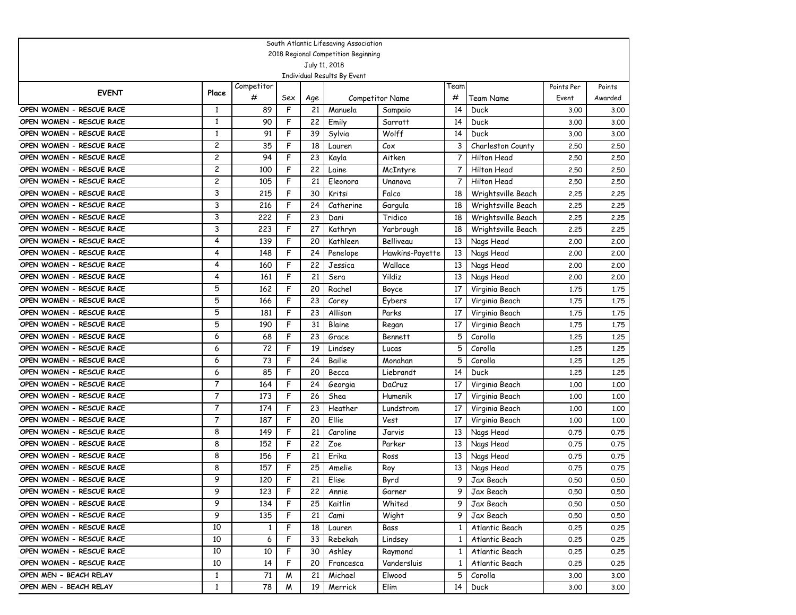|                          |                         |              |     |     | South Atlantic Lifesaving Association        |                        |                 |                    |            |         |
|--------------------------|-------------------------|--------------|-----|-----|----------------------------------------------|------------------------|-----------------|--------------------|------------|---------|
|                          |                         |              |     |     | 2018 Regional Competition Beginning          |                        |                 |                    |            |         |
|                          |                         |              |     |     | July 11, 2018<br>Individual Results By Event |                        |                 |                    |            |         |
|                          |                         | Competitor   |     |     |                                              |                        | Team            |                    | Points Per | Points  |
| <b>EVENT</b>             | Place                   | #            | Sex | Age |                                              | <b>Competitor Name</b> | #               | Team Name          | Event      | Awarded |
| OPEN WOMEN - RESCUE RACE | 1                       | 89           | F   | 21  | Manuela                                      | Sampaio                | 14              | Duck               | 3.00       | 3.00    |
| OPEN WOMEN - RESCUE RACE | 1                       | 90           | F   | 22  | Emily                                        | Sarratt                | 14              | Duck               | 3.00       | 3.00    |
| OPEN WOMEN - RESCUE RACE | 1                       | 91           | F   | 39  | Sylvia                                       | Wolff                  | 14              | Duck               | 3.00       | 3.00    |
| OPEN WOMEN - RESCUE RACE | $\overline{c}$          | 35           | F   | 18  | Lauren                                       | Cox                    | 3               | Charleston County  | 2.50       | 2.50    |
| OPEN WOMEN - RESCUE RACE | $\overline{\mathbf{c}}$ | 94           | F   | 23  | Kayla                                        | Aitken                 | $\overline{7}$  | <b>Hilton Head</b> | 2.50       | 2.50    |
| OPEN WOMEN - RESCUE RACE | $\overline{\mathbf{c}}$ | 100          | F   | 22  | Laine                                        | McIntyre               | 7               | Hilton Head        | 2.50       | 2.50    |
| OPEN WOMEN - RESCUE RACE | $\overline{c}$          | 105          | F   | 21  | Eleonora                                     | Unanova                | $\overline{7}$  | <b>Hilton Head</b> | 2.50       | 2.50    |
| OPEN WOMEN - RESCUE RACE | 3                       | 215          | F   | 30  | Kritsi                                       | Falco                  | 18              | Wrightsville Beach | 2.25       | 2.25    |
| OPEN WOMEN - RESCUE RACE | 3                       | 216          | F   | 24  | Catherine                                    | Gargula                | 18              | Wrightsville Beach | 2.25       | 2.25    |
| OPEN WOMEN - RESCUE RACE | 3                       | 222          | F   | 23  | Dani                                         | Tridico                | 18              | Wrightsville Beach | 2.25       | 2.25    |
| OPEN WOMEN - RESCUE RACE | 3                       | 223          | F   | 27  | Kathryn                                      | Yarbrough              | 18              | Wrightsville Beach | 2,25       | 2.25    |
| OPEN WOMEN - RESCUE RACE | 4                       | 139          | F   | 20  | Kathleen                                     | Belliveau              | 13              | Nags Head          | 2,00       | 2,00    |
| OPEN WOMEN - RESCUE RACE | 4                       | 148          | F   | 24  | Penelope                                     | Hawkins-Payette        | 13              | Nags Head          | 2,00       | 2.00    |
| OPEN WOMEN - RESCUE RACE | 4                       | 160          | F   | 22  | Jessica                                      | Wallace                | 13              | Nags Head          | 2,00       | 2.00    |
| OPEN WOMEN - RESCUE RACE | 4                       | 161          | F   | 21  | Sera                                         | <b>Yildiz</b>          | 13              | Nags Head          | 2,00       | 2.00    |
| OPEN WOMEN - RESCUE RACE | 5                       | 162          | F   | 20  | Rachel                                       | Boyce                  | 17              | Virginia Beach     | 1,75       | 1.75    |
| OPEN WOMEN - RESCUE RACE | 5                       | 166          | F   | 23  | Corey                                        | Eybers                 | 17              | Virginia Beach     | 1.75       | 1.75    |
| OPEN WOMEN - RESCUE RACE | 5                       | 181          | F   | 23  | Allison                                      | Parks                  | 17              | Virginia Beach     | 1.75       | 1.75    |
| OPEN WOMEN - RESCUE RACE | 5                       | 190          | F   | 31  | Blaine                                       | Regan                  | 17              | Virginia Beach     | 1,75       | 1.75    |
| OPEN WOMEN - RESCUE RACE | 6                       | 68           | F   | 23  | Grace                                        | <b>Bennett</b>         | 5               | Corolla            | 1,25       | 1,25    |
| OPEN WOMEN - RESCUE RACE | 6                       | 72           | F   | 19  | Lindsey                                      | Lucas                  | 5               | Corolla            | 1.25       | 1.25    |
| OPEN WOMEN - RESCUE RACE | 6                       | 73           | F   | 24  | Bailie                                       | Monahan                | 5               | Corolla            | 1.25       | 1.25    |
| OPEN WOMEN - RESCUE RACE | 6                       | 85           | F   | 20  | Becca                                        | Liebrandt              | 14              | Duck               | 1.25       | 1.25    |
| OPEN WOMEN - RESCUE RACE | 7                       | 164          | F   | 24  | Georgia                                      | DaCruz                 | 17              | Virginia Beach     | 1,00       | 1.00    |
| OPEN WOMEN - RESCUE RACE | $\overline{7}$          | 173          | F   | 26  | Shea                                         | Humenik                | 17              | Virginia Beach     | 1,00       | 1.00    |
| OPEN WOMEN - RESCUE RACE | $\overline{7}$          | 174          | F   | 23  | Heather                                      | Lundstrom              | 17              | Virginia Beach     | 1,00       | 1.00    |
| OPEN WOMEN - RESCUE RACE | $\overline{7}$          | 187          | F   | 20  | Ellie                                        | <b>Vest</b>            | 17              | Virginia Beach     | 1,00       | 1.00    |
| OPEN WOMEN - RESCUE RACE | 8                       | 149          | F   | 21  | Caroline                                     | Jarvis                 | 13              | Nags Head          | 0.75       | 0.75    |
| OPEN WOMEN - RESCUE RACE | 8                       | 152          | F   | 22  | Zoe                                          | Parker                 | 13              | Nags Head          | 0.75       | 0.75    |
| OPEN WOMEN - RESCUE RACE | 8                       | 156          | F   | 21  | Erika                                        | Ross                   | 13              | Nags Head          | 0.75       | 0.75    |
| OPEN WOMEN - RESCUE RACE | 8                       | 157          | F   | 25  | Amelie                                       | Roy                    | 13              | Nags Head          | 0.75       | 0.75    |
| OPEN WOMEN - RESCUE RACE | 9                       | 120          | F   | 21  | Elise                                        | Byrd                   | 9               | Jax Beach          | 0.50       | 0.50    |
| OPEN WOMEN - RESCUE RACE | 9                       | 123          | F   | 22  | Annie                                        | Garner                 | 9 I             | Jax Beach          | 0.50       | 0.50    |
| OPEN WOMEN - RESCUE RACE | 9                       | 134          | F   | 25  | Kaitlin                                      | Whited                 | 9               | Jax Beach          | 0.50       | 0.50    |
| OPEN WOMEN - RESCUE RACE | 9                       | 135          | F   | 21  | Cami                                         | Wight                  | 9               | Jax Beach          | 0.50       | 0.50    |
| OPEN WOMEN - RESCUE RACE | 10                      | $\mathbf{1}$ | F   | 18  | Lauren                                       | Bass                   | $\mathbf{1}$    | Atlantic Beach     | 0.25       | 0.25    |
| OPEN WOMEN - RESCUE RACE | 10                      | 6            | F   | 33  | Rebekah                                      | Lindsey                | $\mathbf{1}$    | Atlantic Beach     | 0.25       | 0.25    |
| OPEN WOMEN - RESCUE RACE | 10                      | 10           | F   | 30  | Ashley                                       | Raymond                | $\mathbf{1}$    | Atlantic Beach     | 0.25       | 0.25    |
| OPEN WOMEN - RESCUE RACE | 10                      | 14           | F   | 20  | Francesca                                    | Vandersluis            | $\mathbf{1}$    | Atlantic Beach     | 0.25       | 0.25    |
| OPEN MEN - BEACH RELAY   | $\mathbf{1}$            | 71           | M   | 21  | Michael                                      | Elwood                 | 5               | Corolla            | 3.00       | 3.00    |
| OPEN MEN - BEACH RELAY   | $\mathbf{1}$            | 78           | M   | 19  | Merrick                                      | Elim                   | 14 <sup>1</sup> | Duck               | 3.00       | 3.00    |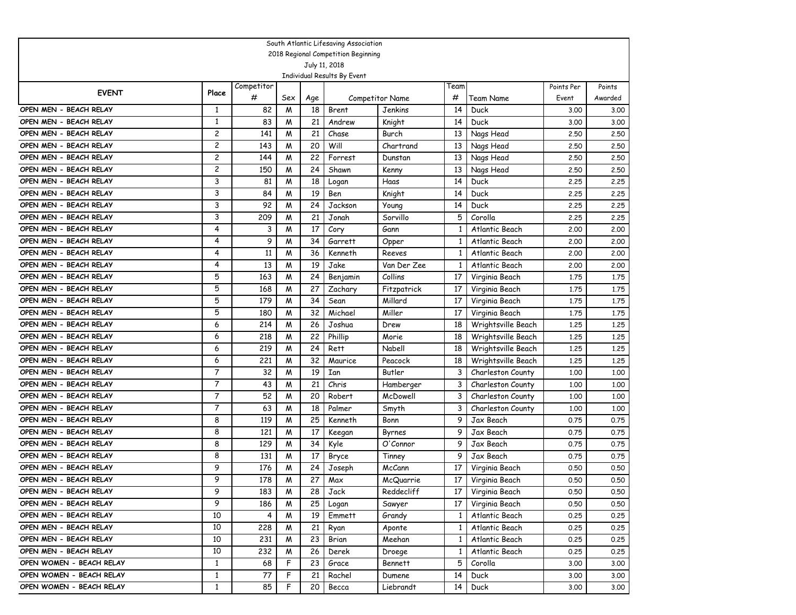|                          |              |            |     |     | South Atlantic Lifesaving Association        |                        |              |                    |            |         |
|--------------------------|--------------|------------|-----|-----|----------------------------------------------|------------------------|--------------|--------------------|------------|---------|
|                          |              |            |     |     | 2018 Regional Competition Beginning          |                        |              |                    |            |         |
|                          |              |            |     |     | July 11, 2018<br>Individual Results By Event |                        |              |                    |            |         |
|                          |              | Competitor |     |     |                                              |                        | Team         |                    | Points Per | Points  |
| <b>EVENT</b>             | Place        | #          | Sex | Age |                                              | <b>Competitor Name</b> | #            | Team Name          | Event      | Awarded |
| OPEN MEN - BEACH RELAY   | 1            | 82         | M   | 18  | Brent                                        | Jenkins                | 14           | Duck               | 3.00       | 3.00    |
| OPEN MEN - BEACH RELAY   | 1            | 83         | M   | 21  | Andrew                                       | Knight                 | 14           | Duck               | 3.00       | 3.00    |
| OPEN MEN - BEACH RELAY   | 2            | 141        | M   | 21  | Chase                                        | Burch                  | 13           | Nags Head          | 2.50       | 2.50    |
| OPEN MEN - BEACH RELAY   | 2            | 143        | M   | 20  | Will                                         | Chartrand              | 13           | Nags Head          | 2.50       | 2.50    |
| OPEN MEN - BEACH RELAY   | 2            | 144        | M   | 22  | Forrest                                      | Dunstan                | 13           | Nags Head          | 2.50       | 2.50    |
| OPEN MEN - BEACH RELAY   | 2            | 150        | M   | 24  | Shawn                                        | Kenny                  | 13           | Nags Head          | 2.50       | 2.50    |
| OPEN MEN - BEACH RELAY   | 3            | 81         | M   | 18  | Logan                                        | Haas                   | 14           | Duck               | 2,25       | 2.25    |
| OPEN MEN - BEACH RELAY   | 3            | 84         | M   | 19  | Ben                                          | Knight                 | 14           | Duck               | 2.25       | 2.25    |
| OPEN MEN - BEACH RELAY   | 3            | 92         | M   | 24  | Jackson                                      | Young                  | 14           | Duck               | 2.25       | 2.25    |
| OPEN MEN - BEACH RELAY   | 3            | 209        | W   | 21  | Jonah                                        | Sorvillo               | 5            | Corolla            | 2.25       | 2.25    |
| OPEN MEN - BEACH RELAY   | 4            | 3          | M   | 17  | Cory                                         | Gann                   | 1            | Atlantic Beach     | 2,00       | 2.00    |
| OPEN MEN - BEACH RELAY   | 4            | 9          | M   | 34  | Garrett                                      | Opper                  | 1            | Atlantic Beach     | 2,00       | 2.00    |
| OPEN MEN - BEACH RELAY   | 4            | 11         | M   | 36  | Kenneth                                      | Reeves                 | 1            | Atlantic Beach     | 2,00       | 2,00    |
| OPEN MEN - BEACH RELAY   | 4            | 13         | W   | 19  | Jake                                         | Van Der Zee            | 1            | Atlantic Beach     | 2,00       | 2.00    |
| OPEN MEN - BEACH RELAY   | 5            | 163        | M   | 24  | Benjamin                                     | Collins                | 17           | Virginia Beach     | 1.75       | 1.75    |
| OPEN MEN - BEACH RELAY   | 5            | 168        | M   | 27  | Zachary                                      | Fitzpatrick            | 17           | Virginia Beach     | 1.75       | 1.75    |
| OPEN MEN - BEACH RELAY   | 5            | 179        | M   | 34  | Sean                                         | Millard                | 17           | Virginia Beach     | 1.75       | 1.75    |
| OPEN MEN - BEACH RELAY   | 5            | 180        | M   | 32  | Michael                                      | Miller                 | -17          | Virginia Beach     | 1.75       | 1.75    |
| OPEN MEN - BEACH RELAY   | 6            | 214        | M   | 26  | Joshua                                       | Drew                   | 18           | Wrightsville Beach | 1,25       | 1.25    |
| OPEN MEN - BEACH RELAY   | 6            | 218        | M   | 22  | Phillip                                      | Morie                  | 18           | Wrightsville Beach | 1,25       | 1.25    |
| OPEN MEN - BEACH RELAY   | 6            | 219        | M   | 24  | Rett                                         | Nabell                 | 18           | Wrightsville Beach | 1.25       | 1.25    |
| OPEN MEN - BEACH RELAY   | 6            | 221        | M   | 32  | Maurice                                      | Peacock                | 18           | Wrightsville Beach | 1.25       | 1.25    |
| OPEN MEN - BEACH RELAY   | 7            | 32         | M   | 19  | Ian                                          | Butler                 | 3            | Charleston County  | 1.00       | 1.00    |
| OPEN MEN - BEACH RELAY   | 7            | 43         | M   | 21  | Chris                                        | Hamberger              | 3            | Charleston County  | 1,00       | 1,00    |
| OPEN MEN - BEACH RELAY   | 7            | 52         | M   | 20  | Robert                                       | McDowell               | 3            | Charleston County  | 1,00       | 1,00    |
| OPEN MEN - BEACH RELAY   | 7            | 63         | M   | 18  | Palmer                                       | Smyth                  | 3            | Charleston County  | 1,00       | 1,00    |
| OPEN MEN - BEACH RELAY   | 8            | 119        | M   | 25  | Kenneth                                      | Bonn                   | 9            | Jax Beach          | 0.75       | 0.75    |
| OPEN MEN - BEACH RELAY   | 8            | 121        | M   | 17  | Keegan                                       | Byrnes                 | 9            | Jax Beach          | 0.75       | 0.75    |
| OPEN MEN - BEACH RELAY   | 8            | 129        | M   | 34  | Kyle                                         | O'Connor               | 9            | Jax Beach          | 0.75       | 0.75    |
| OPEN MEN - BEACH RELAY   | 8            | 131        | M   | 17  | Bryce                                        | Tinney                 | 9            | Jax Beach          | 0.75       | 0.75    |
| OPEN MEN - BEACH RELAY   | 9            | 176        | M   | 24  | Joseph                                       | McCann                 | 17           | Virginia Beach     | 0.50       | 0.50    |
| OPEN MEN - BEACH RELAY   | 9            | 178        | M   | 27  | Max                                          | McQuarrie              | 17           | Virginia Beach     | 0.50       | 0.50    |
| OPEN MEN - BEACH RELAY   | 9            | 183        | M   | 28  | Jack                                         | Reddecliff             | 17 I         | Virginia Beach     | 0.50       | 0.50    |
| OPEN MEN - BEACH RELAY   | 9            | 186        | M   | 25  | Logan                                        | Sawyer                 | 17           | Virginia Beach     | 0.50       | 0.50    |
| OPEN MEN - BEACH RELAY   | 10           | 4          | M   | 19  | Emmett                                       | Grandy                 | $\mathbf{1}$ | Atlantic Beach     | 0.25       | 0.25    |
| OPEN MEN - BEACH RELAY   | 10           | 228        | M   | 21  | Ryan                                         | Aponte                 | $\mathbf{1}$ | Atlantic Beach     | 0.25       | 0.25    |
| OPEN MEN - BEACH RELAY   | 10           | 231        | M   | 23  | Brian                                        | Meehan                 | $\mathbf{1}$ | Atlantic Beach     | 0.25       | 0.25    |
| OPEN MEN - BEACH RELAY   | 10           | 232        | M   | 26  | Derek                                        | Droege                 | $\mathbf{1}$ | Atlantic Beach     | 0.25       | 0.25    |
| OPEN WOMEN - BEACH RELAY | $\mathbf{1}$ | 68         | F   | 23  | Grace                                        | <b>Bennett</b>         | 5            | Corolla            | 3.00       | 3.00    |
| OPEN WOMEN - BEACH RELAY | $\mathbf{1}$ | 77         | F   | 21  | Rachel                                       | Dumene                 | 14           | Duck               | 3.00       | 3.00    |
| OPEN WOMEN - BEACH RELAY | $\mathbf{1}$ | 85         | F   | 20  | Becca                                        | Liebrandt              | 14           | Duck               | 3.00       | 3.00    |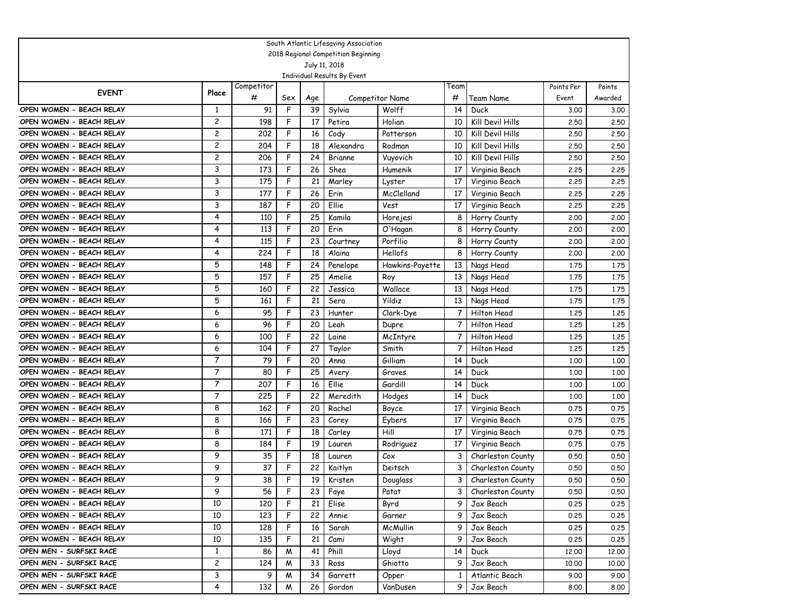|                          |                |            |     |     | South Atlantic Lifesaving Association |                        |              |                   |            |         |
|--------------------------|----------------|------------|-----|-----|---------------------------------------|------------------------|--------------|-------------------|------------|---------|
|                          |                |            |     |     | 2018 Regional Competition Beginning   |                        |              |                   |            |         |
|                          |                |            |     |     | July 11, 2018                         |                        |              |                   |            |         |
|                          |                | Competitor |     |     | Individual Results By Event           |                        | Team         |                   | Points Per | Points  |
| <b>EVENT</b>             | Place          | #          | Sex | Age |                                       | <b>Competitor Name</b> | #            | Team Name         | Event      | Awarded |
| OPEN WOMEN - BEACH RELAY | $\mathbf{1}$   | 91         | F   | 39  | Sylvia                                | Wolff                  | 14           | Duck              | 3.00       | 3.00    |
| OPEN WOMEN - BEACH RELAY | 2              | 198        | F   | 17  | Petira                                | Holian                 | 10           | Kill Devil Hills  | 2.50       | 2.50    |
| OPEN WOMEN - BEACH RELAY | $\overline{c}$ | 202        | F   | 16  | Cody                                  | Patterson              | 10           | Kill Devil Hills  | 2.50       | 2.50    |
| OPEN WOMEN - BEACH RELAY | $\overline{c}$ | 204        | F   | 18  | Alexandra                             | Rodman                 | 10           | Kill Devil Hills  | 2.50       | 2.50    |
| OPEN WOMEN - BEACH RELAY | $\overline{c}$ | 206        | F   | 24  | <b>Brianne</b>                        | Vuyovich               | 10           | Kill Devil Hills  | 2,50       | 2.50    |
| OPEN WOMEN - BEACH RELAY | 3              | 173        | F   | 26  | Shea                                  | Humenik                | 17           | Virginia Beach    | 2,25       | 2.25    |
| OPEN WOMEN - BEACH RELAY | 3              | 175        | F   | 21  | Marley                                | Lyster                 | 17           | Virginia Beach    | 2,25       | 2.25    |
| OPEN WOMEN - BEACH RELAY | 3              | 177        | F   | 26  | Erin                                  | McClelland             | 17           | Virginia Beach    | 2.25       | 2.25    |
| OPEN WOMEN - BEACH RELAY | 3              | 187        | F   | 20  | Ellie                                 | Vest                   | 17           | Virginia Beach    | 2.25       | 2.25    |
| OPEN WOMEN - BEACH RELAY | 4              | 110        | F   | 25  | Kamila                                | Horejesi               | 8            | Horry County      | 2,00       | 2.00    |
| OPEN WOMEN - BEACH RELAY | 4              | 113        | F   | 20  | Erin                                  | O'Hagan                | 8            | Horry County      | 2,00       | 2,00    |
| OPEN WOMEN - BEACH RELAY | 4              | 115        | F   | 23  | Courtney                              | Porfilio               | 8            | Horry County      | 2,00       | 2,00    |
| OPEN WOMEN - BEACH RELAY | 4              | 224        | F   | 18  | Alaina                                | Hellofs                | 8            | Horry County      | 2,00       | 2,00    |
| OPEN WOMEN - BEACH RELAY | 5              | 148        | F   | 24  | Penelope                              | Hawkins-Payette        | 13           | Nags Head         | 1.75       | 1.75    |
| OPEN WOMEN - BEACH RELAY | 5              | 157        | F   | 25  | Amelie                                | Roy                    | 13           | Nags Head         | 1.75       | 1.75    |
| OPEN WOMEN - BEACH RELAY | 5              | 160        | F   | 22  | Jessica                               | Wallace                | 13           | Nags Head         | 1.75       | 1.75    |
| OPEN WOMEN - BEACH RELAY | 5              | 161        | F   | 21  | Sera                                  | Yildiz                 | 13           | Nags Head         | 1.75       | 1.75    |
| OPEN WOMEN - BEACH RELAY | 6              | 95         | F   | 23  | Hunter                                | Clark-Dye              | 7            | Hilton Head       | 1,25       | 1.25    |
| OPEN WOMEN - BEACH RELAY | 6              | 96         | F   | 20  | Leah                                  | Dupre                  | 7            | Hilton Head       | 1,25       | 1,25    |
| OPEN WOMEN - BEACH RELAY | 6              | 100        | F   | 22  | Laine                                 | McIntyre               | 7            | Hilton Head       | 1,25       | 1,25    |
| OPEN WOMEN - BEACH RELAY | 6              | 104        | F   | 27  | Taylor                                | Smith                  | 7            | Hilton Head       | 1.25       | 1.25    |
| OPEN WOMEN - BEACH RELAY | 7              | 79         | F   | 20  | Anna                                  | Gilliam                | 14           | Duck              | 1,00       | 1,00    |
| OPEN WOMEN - BEACH RELAY | 7              | 80         | F   | 25  | Avery                                 | Graves                 | 14           | Duck              | 1.00       | 1.00    |
| OPEN WOMEN - BEACH RELAY | 7              | 207        | F   | 16  | Ellie                                 | Gardill                | 14           | Duck              | 1,00       | 1,00    |
| OPEN WOMEN - BEACH RELAY | 7              | 225        | F   | 22  | Meredith                              | Hodges                 | 14           | Duck              | 1,00       | 1,00    |
| OPEN WOMEN - BEACH RELAY | 8              | 162        | F   | 20  | Rachel                                | Boyce                  | 17           | Virginia Beach    | 0.75       | 0.75    |
| OPEN WOMEN - BEACH RELAY | 8              | 166        | F   | 23  | Corey                                 | Eybers                 | 17           | Virginia Beach    | 0.75       | 0.75    |
| OPEN WOMEN - BEACH RELAY | 8              | 171        | F   | 18  | Carley                                | Hill                   | 17           | Virginia Beach    | 0.75       | 0.75    |
| OPEN WOMEN - BEACH RELAY | 8              | 184        | F   | 19  | Lauren                                | Rodriguez              | 17           | Virginia Beach    | 0.75       | 0.75    |
| OPEN WOMEN - BEACH RELAY | 9              | 35         | F   | 18  | Lauren                                | Cox                    | 3            | Charleston County | 0.50       | 0.50    |
| OPEN WOMEN - BEACH RELAY | 9              | 37         | F   | 22  | Kaitlyn                               | Deitsch                | 3            | Charleston County | 0.50       | 0.50    |
| OPEN WOMEN - BEACH RELAY | 9              | 38         | F   | 19  | Kristen                               | Douglass               | 3            | Charleston County | 0.50       | 0.50    |
| OPEN WOMEN - BEACH RELAY | 9              | 56         | F.  | 23  | Faye                                  | Patat                  | 3 I          | Charleston County | 0.50       | 0.50    |
| OPEN WOMEN - BEACH RELAY | 10             | 120        | F.  | 21  | Elise                                 | Byrd                   | 9            | Jax Beach         | 0.25       | 0.25    |
| OPEN WOMEN - BEACH RELAY | 10             | 123        | F   | 22  | Annie                                 | Garner                 | 9            | Jax Beach         | 0.25       | 0.25    |
| OPEN WOMEN - BEACH RELAY | 10             | 128        | F   | 16  | Sarah                                 | McMullin               | 9            | Jax Beach         | 0.25       | 0.25    |
| OPEN WOMEN - BEACH RELAY | 10             | 135        | F   | 21  | Cami                                  | Wight                  | 9            | Jax Beach         | 0.25       | 0.25    |
| OPEN MEN - SURFSKI RACE  | $\mathbf{1}$   | 86         | M   | 41  | Phill                                 | Lloyd                  | 14           | Duck              | 12,00      | 12.00   |
| OPEN MEN - SURFSKI RACE  | $\overline{c}$ | 124        | M   | 33  | Ross                                  | Ghiotto                | 9            | Jax Beach         | 10.00      | 10,00   |
| OPEN MEN - SURFSKI RACE  | 3              | 9          | M   | 34  | Garrett                               | Opper                  | $\mathbf{1}$ | Atlantic Beach    | 9.00       | 9.00    |
| OPEN MEN - SURFSKI RACE  | 4              | 132        | M   | 26  | Gordon                                | VanDusen               | 9            | Jax Beach         | 8.00       | 8.00    |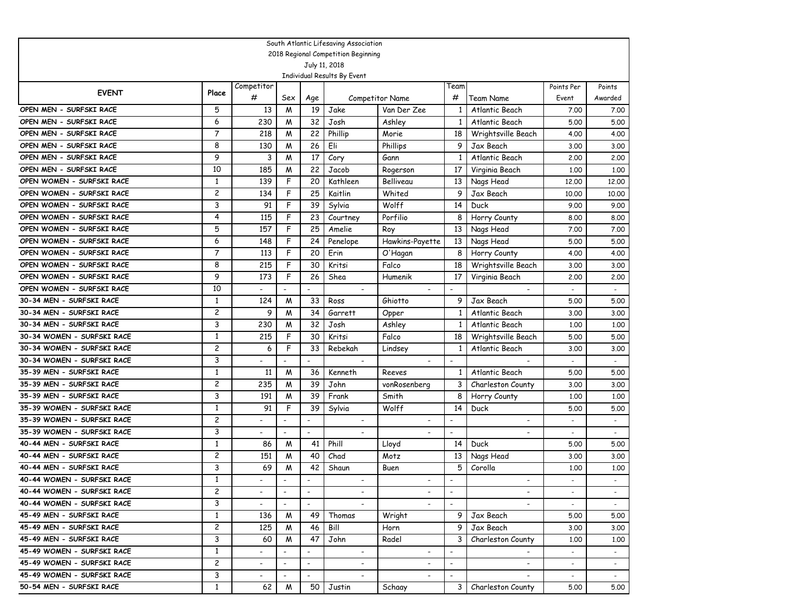|                            |                         |                          |                          |                          | South Atlantic Lifesaving Association        |                          |                          |                          |                          |                          |
|----------------------------|-------------------------|--------------------------|--------------------------|--------------------------|----------------------------------------------|--------------------------|--------------------------|--------------------------|--------------------------|--------------------------|
|                            |                         |                          |                          |                          | 2018 Regional Competition Beginning          |                          |                          |                          |                          |                          |
|                            |                         |                          |                          |                          | July 11, 2018<br>Individual Results By Event |                          |                          |                          |                          |                          |
|                            |                         | Competitor               |                          |                          |                                              |                          | Team                     |                          | Points Per               | Points                   |
| <b>EVENT</b>               | Place                   | #                        | Sex                      | Age                      |                                              | <b>Competitor Name</b>   | #                        | Team Name                | Event                    | Awarded                  |
| OPEN MEN - SURFSKI RACE    | 5                       | 13                       | M                        | 19                       | Jake                                         | Van Der Zee              | 1                        | Atlantic Beach           | 7.00                     | 7.00                     |
| OPEN MEN - SURFSKI RACE    | 6                       | 230                      | M                        | 32                       | Josh                                         | Ashley                   | 1                        | Atlantic Beach           | 5.00                     | 5.00                     |
| OPEN MEN - SURFSKI RACE    | 7                       | 218                      | M                        | 22                       | Phillip                                      | Morie                    | 18                       | Wrightsville Beach       | 4.00                     | 4.00                     |
| OPEN MEN - SURFSKI RACE    | 8                       | 130                      | M                        | 26                       | Eli                                          | Phillips                 | 9                        | Jax Beach                | 3.00                     | 3.00                     |
| OPEN MEN - SURFSKI RACE    | 9                       | 3                        | M                        | 17                       | Cory                                         | Gann                     | -1                       | Atlantic Beach           | 2,00                     | 2.00                     |
| OPEN MEN - SURFSKI RACE    | 10                      | 185                      | M                        | 22                       | Jacob                                        | Rogerson                 | 17                       | Virginia Beach           | 1,00                     | 1.00                     |
| OPEN WOMEN - SURFSKI RACE  | $\mathbf{1}$            | 139                      | F                        | 20                       | Kathleen                                     | Belliveau                | 13                       | Nags Head                | 12,00                    | 12,00                    |
| OPEN WOMEN - SURFSKI RACE  | $\overline{c}$          | 134                      | F                        | 25                       | Kaitlin                                      | Whited                   | 9                        | Jax Beach                | 10,00                    | 10,00                    |
| OPEN WOMEN - SURFSKI RACE  | 3                       | 91                       | F                        | 39                       | Sylvia                                       | Wolff                    | 14                       | Duck                     | 9.00                     | 9.00                     |
| OPEN WOMEN - SURFSKI RACE  | 4                       | 115                      | F                        | 23                       | Courtney                                     | Porfilio                 | 8                        | Horry County             | 8.00                     | 8.00                     |
| OPEN WOMEN - SURFSKI RACE  | 5                       | 157                      | F                        | 25                       | Amelie                                       | Roy                      | 13                       | Nags Head                | 7.00                     | 7.00                     |
| OPEN WOMEN - SURFSKI RACE  | 6                       | 148                      | F                        | 24                       | Penelope                                     | Hawkins-Payette          | 13                       | Nags Head                | 5.00                     | 5.00                     |
| OPEN WOMEN - SURFSKI RACE  | 7                       | 113                      | F                        | 20                       | Erin                                         | O'Hagan                  | 8                        | Horry County             | 4.00                     | 4.00                     |
| OPEN WOMEN - SURFSKI RACE  | 8                       | 215                      | F                        | 30                       | Kritsi                                       | Falco                    | 18                       | Wrightsville Beach       | 3.00                     | 3.00                     |
| OPEN WOMEN - SURFSKI RACE  | 9                       | 173                      | F                        | 26                       | Shea                                         | Humenik                  | 17                       | Virginia Beach           | 2,00                     | 2.00                     |
| OPEN WOMEN - SURFSKI RACE  | 10                      |                          |                          |                          | $\overline{a}$                               |                          | $\overline{a}$           | $\overline{a}$           |                          | $\overline{\phantom{a}}$ |
| 30-34 MEN - SURFSKI RACE   | 1                       | 124                      | M                        | 33                       | Ross                                         | Ghiotto                  | 9                        | Jax Beach                | 5.00                     | 5.00                     |
| 30-34 MEN - SURFSKI RACE   | 2                       | 9                        | M                        | 34                       | Garrett                                      | Opper                    | 1                        | Atlantic Beach           | 3.00                     | 3.00                     |
| 30-34 MEN - SURFSKI RACE   | 3                       | 230                      | M                        | 32                       | Josh                                         | Ashley                   | 1                        | Atlantic Beach           | 1,00                     | 1.00                     |
| 30-34 WOMEN - SURFSKI RACE | $\mathbf{1}$            | 215                      | F                        | 30                       | Kritsi                                       | Falco                    | 18                       | Wrightsville Beach       | 5.00                     | 5.00                     |
| 30-34 WOMEN - SURFSKI RACE | 2                       | 6                        | F                        | 33                       | Rebekah                                      | Lindsey                  | 1                        | Atlantic Beach           | 3.00                     | 3.00                     |
| 30-34 WOMEN - SURFSKI RACE | 3                       |                          |                          |                          |                                              |                          |                          |                          |                          |                          |
| 35-39 MEN - SURFSKI RACE   | 1                       | 11                       | M                        | 36                       | Kenneth                                      | Reeves                   | 1                        | Atlantic Beach           | 5.00                     | 5.00                     |
| 35-39 MEN - SURFSKI RACE   | 2                       | 235                      | M                        | 39                       | John                                         | vonRosenberg             | 3                        | Charleston County        | 3.00                     | 3.00                     |
| 35-39 MEN - SURFSKI RACE   | 3                       | 191                      | M                        | 39                       | Frank                                        | Smith                    | 8                        | Horry County             | 1,00                     | 1.00                     |
| 35-39 WOMEN - SURFSKI RACE | $\mathbf{1}$            | 91                       | F                        | 39                       | Sylvia                                       | Wolff                    | 14                       | Duck                     | 5.00                     | 5.00                     |
| 35-39 WOMEN - SURFSKI RACE | 2                       |                          | $\overline{\phantom{a}}$ | $\overline{\phantom{a}}$ |                                              |                          | $\overline{\phantom{0}}$ |                          |                          |                          |
| 35-39 WOMEN - SURFSKI RACE | 3                       |                          | ٠                        |                          |                                              |                          | $\overline{\phantom{0}}$ |                          |                          |                          |
| 40-44 MEN - SURFSKI RACE   | 1                       | 86                       | M                        | 41                       | Phill                                        | Lloyd                    | 14                       | Duck                     | 5.00                     | 5.00                     |
| 40-44 MEN - SURFSKI RACE   | $\overline{\mathbf{c}}$ | 151                      | M                        | 40                       | Chad                                         | Motz                     | 13                       | Nags Head                | 3.00                     | 3.00                     |
| 40-44 MEN - SURFSKI RACE   | 3                       | 69                       | M                        | 42                       | Shaun                                        | Buen                     | 5                        | Corolla                  | 1,00                     | 1.00                     |
| 40-44 WOMEN - SURFSKI RACE | $\mathbf{1}$            |                          |                          |                          | $\overline{\phantom{a}}$                     |                          |                          |                          |                          |                          |
| 40-44 WOMEN - SURFSKI RACE | $\overline{c}$          |                          | $\overline{\phantom{a}}$ | $\overline{\phantom{a}}$ | $\overline{\phantom{a}}$                     | $\overline{\phantom{a}}$ | $\overline{\phantom{a}}$ |                          | $\overline{\phantom{a}}$ |                          |
| 40-44 WOMEN - SURFSKI RACE | 3                       | $\overline{\phantom{0}}$ | $\mathbb{Z}^2$           | $\overline{\phantom{a}}$ |                                              |                          | $\overline{a}$           |                          | $\sim$                   | $\sim$                   |
| 45-49 MEN - SURFSKI RACE   | $\mathbf{1}$            | 136                      | M                        | 49                       | Thomas                                       | Wright                   | 9.                       | Jax Beach                | 5.00                     | 5.00                     |
| 45-49 MEN - SURFSKI RACE   | $\mathbf{2}$            | 125                      | M                        | 46                       | Bill                                         | Horn                     | 9                        | Jax Beach                | 3.00                     | 3.00                     |
| 45-49 MEN - SURFSKI RACE   | 3                       | 60                       | M                        | 47                       | John                                         | Radel                    | 3                        | Charleston County        | 1,00                     | 1.00                     |
| 45-49 WOMEN - SURFSKI RACE | $\mathbf{1}$            |                          | $\blacksquare$           | $\overline{\phantom{a}}$ | $\overline{\phantom{a}}$                     | $\overline{\phantom{a}}$ | $\overline{\phantom{a}}$ |                          |                          | $\sim$                   |
| 45-49 WOMEN - SURFSKI RACE | $\overline{c}$          |                          | $\overline{\phantom{a}}$ | $\overline{\phantom{a}}$ | $\overline{\phantom{a}}$                     | $\overline{\phantom{a}}$ | $\overline{\phantom{a}}$ | $\overline{\phantom{a}}$ |                          | $\sim$                   |
| 45-49 WOMEN - SURFSKI RACE | 3                       | $\overline{\phantom{0}}$ | $\overline{\phantom{a}}$ | $\overline{\phantom{a}}$ | $\overline{\phantom{a}}$                     | $\overline{\phantom{a}}$ | $\overline{\phantom{a}}$ |                          | $\overline{\phantom{a}}$ | $\sim$                   |
| 50-54 MEN - SURFSKI RACE   | $\mathbf{1}$            | 62                       | M                        | 50                       | Justin                                       | Schaay                   | 3 I                      | Charleston County        | 5.00                     | 5.00                     |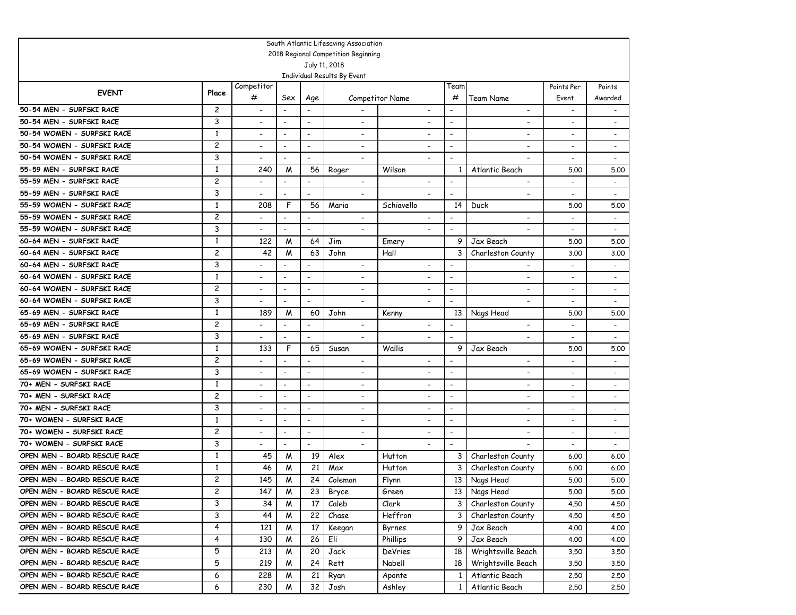|                                                      |                     |                          |                                            |                                            | South Atlantic Lifesaving Association |                          |                          |                                        |                          |                          |
|------------------------------------------------------|---------------------|--------------------------|--------------------------------------------|--------------------------------------------|---------------------------------------|--------------------------|--------------------------|----------------------------------------|--------------------------|--------------------------|
|                                                      |                     |                          |                                            |                                            | 2018 Regional Competition Beginning   |                          |                          |                                        |                          |                          |
|                                                      |                     |                          |                                            |                                            | July 11, 2018                         |                          |                          |                                        |                          |                          |
|                                                      |                     |                          |                                            |                                            | Individual Results By Event           |                          | Team                     |                                        |                          |                          |
| <b>EVENT</b>                                         | Place               | Competitor<br>#          | Sex                                        |                                            |                                       | <b>Competitor Name</b>   | #                        | Team Name                              | Points Per<br>Event      | Points<br>Awarded        |
| 50-54 MEN - SURFSKI RACE                             | $\overline{c}$      | $\overline{\phantom{a}}$ | $\overline{a}$                             | Age                                        |                                       | $\overline{\phantom{a}}$ | $\overline{\phantom{0}}$ | $\overline{\phantom{a}}$               | $\overline{\phantom{a}}$ |                          |
| 50-54 MEN - SURFSKI RACE                             | 3                   |                          | $\overline{a}$                             | $\overline{\phantom{a}}$                   | $\overline{\phantom{a}}$              |                          | $\overline{\phantom{0}}$ | $\overline{\phantom{0}}$               | $\overline{\phantom{a}}$ |                          |
| 50-54 WOMEN - SURFSKI RACE                           | $\mathbf{1}$        |                          | $\overline{\phantom{a}}$                   | $\overline{\phantom{a}}$                   |                                       |                          | $\overline{\phantom{0}}$ | $\overline{\phantom{0}}$               |                          |                          |
| 50-54 WOMEN - SURFSKI RACE                           | $\overline{c}$      | $\overline{\phantom{a}}$ | $\overline{\phantom{a}}$                   | $\overline{\phantom{a}}$                   | $\overline{a}$                        | $\overline{\phantom{0}}$ | $\overline{a}$           | $\blacksquare$                         | $\overline{\phantom{a}}$ | $\overline{\phantom{a}}$ |
| 50-54 WOMEN - SURFSKI RACE                           | 3                   |                          | $\overline{\phantom{a}}$                   | $\overline{\phantom{a}}$                   |                                       |                          | $\blacksquare$           |                                        |                          | $\blacksquare$           |
| 55-59 MEN - SURFSKI RACE                             | $\mathbf{1}$        | 240                      | M                                          | 56                                         | Roger                                 | Wilson                   | 1                        | Atlantic Beach                         | 5.00                     | 5.00                     |
| 55-59 MEN - SURFSKI RACE                             | $\overline{c}$      |                          | $\overline{a}$                             | $\overline{a}$                             | $\overline{\phantom{a}}$              |                          | $\blacksquare$           | $\overline{\phantom{a}}$               |                          | $\overline{\phantom{a}}$ |
| 55-59 MEN - SURFSKI RACE                             | 3                   |                          | $\overline{a}$                             | $\overline{\phantom{a}}$                   | $\overline{\phantom{a}}$              |                          | $\blacksquare$           |                                        |                          |                          |
| 55-59 WOMEN - SURFSKI RACE                           | $\mathbf{1}$        | 208                      | F                                          | 56                                         | Maria                                 | Schiavello               | 14                       | Duck                                   | 5.00                     | 5.00                     |
| 55-59 WOMEN - SURFSKI RACE                           | $\overline{c}$      |                          | $\overline{a}$                             | $\overline{\phantom{a}}$                   | $\overline{\phantom{a}}$              |                          | $\overline{\phantom{a}}$ |                                        |                          | $\overline{\phantom{a}}$ |
| 55-59 WOMEN - SURFSKI RACE                           | 3                   |                          | $\overline{\phantom{a}}$                   | $\overline{\phantom{a}}$                   | $\overline{\phantom{a}}$              |                          | $\overline{\phantom{a}}$ |                                        |                          |                          |
| 60-64 MEN - SURFSKI RACE                             | $\mathbf{1}$        | 122                      | M                                          | 64                                         | Jim                                   | Emery                    | 9                        | Jax Beach                              | 5.00                     | 5.00                     |
| 60-64 MEN - SURFSKI RACE                             | 2                   | 42                       | M                                          | 63                                         | John                                  | Hall                     | 3                        | Charleston County                      | 3.00                     | 3.00                     |
| 60-64 MEN - SURFSKI RACE                             | 3                   |                          | $\overline{\phantom{a}}$                   | $\overline{\phantom{a}}$                   | $\blacksquare$                        |                          | $\overline{\phantom{0}}$ |                                        |                          | $\overline{\phantom{a}}$ |
| 60-64 WOMEN - SURFSKI RACE                           | $\mathbf{1}$        | $\overline{\phantom{a}}$ | $\overline{\phantom{a}}$                   | $\overline{\phantom{a}}$                   | $\blacksquare$                        | $\overline{\phantom{0}}$ | $\overline{\phantom{0}}$ | $\overline{\phantom{a}}$               |                          | $\overline{\phantom{a}}$ |
| 60-64 WOMEN - SURFSKI RACE                           | 2                   | $\overline{\phantom{a}}$ | $\overline{a}$                             | $\overline{\phantom{a}}$                   | $\overline{\phantom{a}}$              | $\overline{a}$           | $\overline{a}$           | $\overline{a}$                         | $\overline{a}$           | $\overline{\phantom{a}}$ |
| 60-64 WOMEN - SURFSKI RACE                           | 3                   | $\overline{\phantom{0}}$ | $\overline{a}$                             | $\overline{a}$                             | $\overline{\phantom{a}}$              | $\overline{a}$           | $\overline{a}$           | $\overline{\phantom{a}}$               |                          | $\overline{\phantom{a}}$ |
| 65-69 MEN - SURFSKI RACE                             | $\mathbf{1}$        | 189                      | M                                          | 60                                         | John                                  | Kenny                    | 13                       | Nags Head                              | 5.00                     | 5.00                     |
| 65-69 MEN - SURFSKI RACE                             | $\overline{c}$      |                          | $\overline{\phantom{a}}$                   | $\overline{\phantom{a}}$                   | $\overline{\phantom{a}}$              | $\overline{\phantom{a}}$ |                          | $\overline{\phantom{a}}$               |                          |                          |
| 65-69 MEN - SURFSKI RACE                             | 3                   |                          |                                            | $\overline{a}$                             | $\overline{\phantom{a}}$              | $\overline{\phantom{a}}$ |                          | $\overline{\phantom{0}}$               |                          |                          |
| 65-69 WOMEN - SURFSKI RACE                           | 1                   | 133                      | F                                          | 65                                         | Susan                                 | Wallis                   | 9                        | Jax Beach                              | 5.00                     | 5.00                     |
| 65-69 WOMEN - SURFSKI RACE                           | 2                   |                          | $\overline{a}$                             |                                            | $\overline{\phantom{a}}$              |                          |                          |                                        | $\overline{\phantom{a}}$ |                          |
| 65-69 WOMEN - SURFSKI RACE                           | 3                   |                          |                                            | $\overline{\phantom{a}}$                   | $\overline{\phantom{a}}$              |                          |                          |                                        | $\overline{\phantom{a}}$ | $\overline{\phantom{a}}$ |
| 70+ MEN - SURFSKI RACE                               | 1                   | $\overline{\phantom{a}}$ | $\blacksquare$                             | $\overline{\phantom{a}}$                   | $\overline{\phantom{a}}$              | $\overline{\phantom{a}}$ | $\overline{\phantom{0}}$ | $\overline{\phantom{a}}$               | $\overline{\phantom{a}}$ |                          |
| 70+ MEN - SURFSKI RACE                               | 2                   | $\overline{\phantom{a}}$ | $\overline{\phantom{a}}$                   | $\overline{\phantom{a}}$                   | $\overline{\phantom{a}}$              | $\overline{\phantom{a}}$ | $\overline{\phantom{a}}$ | $\overline{\phantom{a}}$               | $\overline{\phantom{a}}$ | $\overline{\phantom{a}}$ |
| 70+ MEN - SURFSKI RACE                               | 3                   |                          | $\overline{\phantom{a}}$                   |                                            | $\overline{\phantom{a}}$              | $\overline{\phantom{a}}$ | $\overline{\phantom{a}}$ | $\overline{\phantom{0}}$               |                          |                          |
| 70+ WOMEN - SURFSKI RACE<br>70+ WOMEN - SURFSKI RACE | $\mathbf{1}$        | $\overline{\phantom{a}}$ | $\overline{\phantom{a}}$                   | $\overline{\phantom{a}}$                   | $\overline{\phantom{a}}$              | $\overline{\phantom{a}}$ | $\overline{a}$           | $\blacksquare$                         | $\overline{\phantom{a}}$ |                          |
| 70+ WOMEN - SURFSKI RACE                             | $\overline{c}$<br>3 |                          | $\overline{\phantom{a}}$<br>$\overline{a}$ | $\overline{\phantom{a}}$<br>$\overline{a}$ | $\overline{a}$                        |                          | $\overline{\phantom{0}}$ | $\overline{\phantom{a}}$               | $\overline{\phantom{a}}$ |                          |
| OPEN MEN - BOARD RESCUE RACE                         | $\mathbf{1}$        |                          |                                            |                                            |                                       |                          |                          |                                        |                          |                          |
| OPEN MEN - BOARD RESCUE RACE                         | 1                   | 45<br>46                 | M<br>M                                     | 19<br>21                                   | Alex<br>Max                           | Hutton<br>Hutton         | 3<br>3                   | Charleston County<br>Charleston County | 6.00<br>6.00             | 6.00<br>6.00             |
| OPEN MEN - BOARD RESCUE RACE                         | $\overline{c}$      | 145                      | W                                          | 24                                         | Coleman                               | Flynn                    | 13                       | Nags Head                              | 5.00                     | 5.00                     |
| OPEN MEN - BOARD RESCUE RACE                         | 2                   | 147                      | M                                          | 23                                         | Bryce                                 | Green                    |                          | 13 Nags Head                           | 5.00                     | 5.00                     |
| OPEN MEN - BOARD RESCUE RACE                         | 3                   | 34                       | M                                          | 17                                         | Caleb                                 | Clark                    | $\mathbf{3}$             | Charleston County                      | 4.50                     | 4.50                     |
| OPEN MEN - BOARD RESCUE RACE                         | 3                   | 44                       | M                                          | 22                                         | Chase                                 | Heffron                  | 3                        | Charleston County                      | 4.50                     | 4.50                     |
| OPEN MEN - BOARD RESCUE RACE                         | 4                   | 121                      | M                                          | 17                                         | Keegan                                | Byrnes                   | 9                        | Jax Beach                              | 4.00                     | 4.00                     |
| OPEN MEN - BOARD RESCUE RACE                         | 4                   | 130                      | M                                          | 26                                         | Eli                                   | Phillips                 | 9                        | Jax Beach                              | 4.00                     | 4.00                     |
| OPEN MEN - BOARD RESCUE RACE                         | 5                   | 213                      | M                                          | 20                                         | Jack                                  | DeVries                  | 18                       | Wrightsville Beach                     | 3.50                     | 3.50                     |
| OPEN MEN - BOARD RESCUE RACE                         | 5                   | 219                      | M                                          | 24                                         | Rett                                  | Nabell                   | 18                       | Wrightsville Beach                     | 3.50                     | 3.50                     |
| OPEN MEN - BOARD RESCUE RACE                         | 6                   | 228                      | M                                          | 21                                         | Ryan                                  | Aponte                   | $\mathbf{1}$             | Atlantic Beach                         | 2.50                     | 2.50                     |
| OPEN MEN - BOARD RESCUE RACE                         | 6                   | 230                      | M                                          | 32                                         | Josh                                  | Ashley                   | 1 <sup>1</sup>           | Atlantic Beach                         | 2.50                     | 2.50                     |
|                                                      |                     |                          |                                            |                                            |                                       |                          |                          |                                        |                          |                          |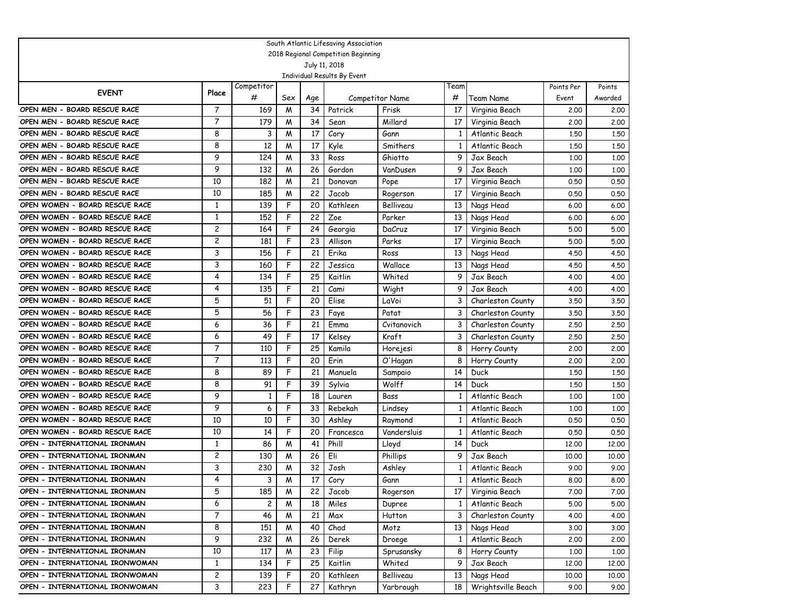|                                                                  |                    |                 |        |          | South Atlantic Lifesaving Association |                  |              |                    |            |         |
|------------------------------------------------------------------|--------------------|-----------------|--------|----------|---------------------------------------|------------------|--------------|--------------------|------------|---------|
|                                                                  |                    |                 |        |          | 2018 Regional Competition Beginning   |                  |              |                    |            |         |
|                                                                  |                    |                 |        |          | July 11, 2018                         |                  |              |                    |            |         |
|                                                                  |                    |                 |        |          | Individual Results By Event           |                  |              |                    |            |         |
| <b>EVENT</b>                                                     | Place              | Competitor<br># |        |          |                                       |                  | Team<br>#    |                    | Points Per | Points  |
|                                                                  |                    |                 | Sex    | Age      |                                       | Competitor Name  |              | Team Name          | Event      | Awarded |
| OPEN MEN - BOARD RESCUE RACE                                     | 7                  | 169             | M      | 34       | Patrick                               | Frisk            | 17           | Virginia Beach     | 2,00       | 2.00    |
| OPEN MEN - BOARD RESCUE RACE<br>OPEN MEN - BOARD RESCUE RACE     | $\overline{7}$     | 179             | W      | 34       | Sean                                  | Millard          | 17           | Virginia Beach     | 2,00       | 2,00    |
| OPEN MEN - BOARD RESCUE RACE                                     | 8<br>8             | 3               | W      | 17<br>17 | Cory                                  | Gann<br>Smithers | 1            | Atlantic Beach     | 1.50       | 1.50    |
| OPEN MEN - BOARD RESCUE RACE                                     | 9                  | 12<br>124       | W<br>W | 33       | Kyle                                  | Ghiotto          | 1<br>9       | Atlantic Beach     | 1,50       | 1.50    |
| OPEN MEN - BOARD RESCUE RACE                                     | 9                  |                 |        | 26       | Ross                                  |                  | 9            | Jax Beach          | 1,00       | 1,00    |
|                                                                  | 10                 | 132             | W      | 21       | Gordon                                | VanDusen         |              | Jax Beach          | 1,00       | 1.00    |
| OPEN MEN - BOARD RESCUE RACE                                     |                    | 182             | W      |          | Donovan                               | Pope             | 17           | Virginia Beach     | 0.50       | 0.50    |
| OPEN MEN - BOARD RESCUE RACE                                     | 10<br>$\mathbf{1}$ | 185             | W      | 22       | Jacob                                 | Rogerson         | 17           | Virginia Beach     | 0.50       | 0.50    |
| OPEN WOMEN - BOARD RESCUE RACE                                   |                    | 139             | F      | 20       | Kathleen                              | Belliveau        | 13           | Nags Head          | 6.00       | 6.00    |
| OPEN WOMEN - BOARD RESCUE RACE                                   | $\mathbf{1}$       | 152             | F<br>F | 22       | Zoe                                   | Parker           | 13           | Nags Head          | 6.00       | 6.00    |
| OPEN WOMEN - BOARD RESCUE RACE                                   | 2<br>2             | 164             |        | 24       | Georgia                               | DaCruz           | 17           | Virginia Beach     | 5.00       | 5.00    |
| OPEN WOMEN - BOARD RESCUE RACE<br>OPEN WOMEN - BOARD RESCUE RACE | 3                  | 181             | F<br>F | 23<br>21 | Allison<br>Erika                      | Parks            | 17           | Virginia Beach     | 5.00       | 5.00    |
| OPEN WOMEN - BOARD RESCUE RACE                                   |                    | 156             | F      | 22       |                                       | Ross<br>Wallace  | 13           | Nags Head          | 4.50       | 4.50    |
| OPEN WOMEN - BOARD RESCUE RACE                                   | 3                  | 160             | F      | 25       | Jessica                               |                  | 13           | Nags Head          | 4.50       | 4.50    |
| OPEN WOMEN - BOARD RESCUE RACE                                   | 4<br>4             | 134             | F      |          | Kaitlin                               | Whited           | 9            | Jax Beach          | 4.00       | 4.00    |
|                                                                  |                    | 135             |        | 21       | Cami                                  | Wight            | 9            | Jax Beach          | 4.00       | 4.00    |
| OPEN WOMEN - BOARD RESCUE RACE                                   | 5                  | 51              | F      | 20       | Elise                                 | LaVoi            | 3            | Charleston County  | 3.50       | 3.50    |
| OPEN WOMEN - BOARD RESCUE RACE                                   | 5                  | 56              | F      | 23       | Faye                                  | Patat            | 3            | Charleston County  | 3.50       | 3.50    |
| OPEN WOMEN - BOARD RESCUE RACE                                   | 6                  | 36              | F      | 21       | Emma                                  | Cvitanovich      | 3            | Charleston County  | 2.50       | 2.50    |
| OPEN WOMEN - BOARD RESCUE RACE                                   | 6                  | 49              | F      | 17       | Kelsey                                | Kraft            | 3            | Charleston County  | 2.50       | 2,50    |
| OPEN WOMEN - BOARD RESCUE RACE                                   | 7                  | 110             | F      | 25       | Kamila                                | Horejesi         | 8            | Horry County       | 2,00       | 2,00    |
| OPEN WOMEN - BOARD RESCUE RACE                                   | 7                  | 113             | F      | 20       | Erin                                  | O'Hagan          | 8            | Horry County       | 2,00       | 2,00    |
| OPEN WOMEN - BOARD RESCUE RACE                                   | 8                  | 89              | F      | 21       | Manuela                               | Sampaio          | 14           | Duck               | 1,50       | 1,50    |
| OPEN WOMEN - BOARD RESCUE RACE                                   | 8                  | 91              | F      | 39       | Sylvia                                | Wolff            | 14           | Duck               | 1,50       | 1,50    |
| OPEN WOMEN - BOARD RESCUE RACE                                   | 9                  | 1               | F      | 18       | Lauren                                | Bass             | 1            | Atlantic Beach     | 1,00       | 1,00    |
| OPEN WOMEN - BOARD RESCUE RACE                                   | 9                  | 6               | F      | 33       | Rebekah                               | Lindsey          | 1            | Atlantic Beach     | 1,00       | 1,00    |
| OPEN WOMEN - BOARD RESCUE RACE                                   | 10                 | 10              | F      | 30       | Ashley                                | Raymond          | 1            | Atlantic Beach     | 0.50       | 0.50    |
| OPEN WOMEN - BOARD RESCUE RACE<br>OPEN - INTERNATIONAL IRONMAN   | 10                 | 14              | F      | 20       | Francesca                             | Vandersluis      | 1            | Atlantic Beach     | 0.50       | 0.50    |
| OPEN - INTERNATIONAL IRONMAN                                     | $\mathbf{1}$       | 86              | М      | 41       | Phill                                 | Lloyd            | 14           | Duck               | 12,00      | 12,00   |
|                                                                  | $\overline{c}$     | 130             | W      | 26<br>32 | Eli                                   | Phillips         | 9            | Jax Beach          | 10,00      | 10.00   |
| OPEN - INTERNATIONAL IRONMAN<br>OPEN - INTERNATIONAL IRONMAN     | 3<br>4             | 230             | W      |          | Josh                                  | Ashley           | 1            | Atlantic Beach     | 9.00       | 9.00    |
|                                                                  |                    | 3               | W      | 17       | Cory                                  | Gann             | 1            | Atlantic Beach     | 8.00       | 8.00    |
| OPEN - INTERNATIONAL IRONMAN                                     | 5                  | 185             | M      | 22       | Jacob                                 | Rogerson         | 17           | Virginia Beach     | 7.00       | 7.00    |
| OPEN - INTERNATIONAL IRONMAN                                     | 6                  | 2               | M      | 18       | Miles                                 | Dupree           | $\mathbf{1}$ | Atlantic Beach     | 5.00       | 5.00    |
| OPEN - INTERNATIONAL IRONMAN                                     | 7                  | 46              | M      | 21       | Max                                   | Hutton           | 3            | Charleston County  | 4.00       | 4.00    |
| OPEN - INTERNATIONAL IRONMAN                                     | 8                  | 151             | M      | 40       | Chad                                  | Motz             | 13           | Nags Head          | 3.00       | 3.00    |
| OPEN - INTERNATIONAL IRONMAN                                     | 9                  | 232             | M      | 26       | Derek                                 | Droege           | $\mathbf{1}$ | Atlantic Beach     | 2.00       | 2.00    |
| OPEN - INTERNATIONAL IRONMAN                                     | 10                 | 117             | M      | 23       | Filip                                 | Sprusansky       | 8            | Horry County       | 1,00       | 1.00    |
| OPEN - INTERNATIONAL IRONWOMAN                                   | $\mathbf{1}$       | 134             | F      | 25       | Kaitlin                               | Whited           | 9            | Jax Beach          | 12.00      | 12.00   |
| OPEN - INTERNATIONAL IRONWOMAN                                   | $\overline{c}$     | 139             | F      | 20       | Kathleen                              | Belliveau        | 13           | Nags Head          | 10.00      | 10.00   |
| OPEN - INTERNATIONAL IRONWOMAN                                   | 3                  | 223             | F      | 27       | Kathryn                               | Yarbrough        | 18           | Wrightsville Beach | 9.00       | 9.00    |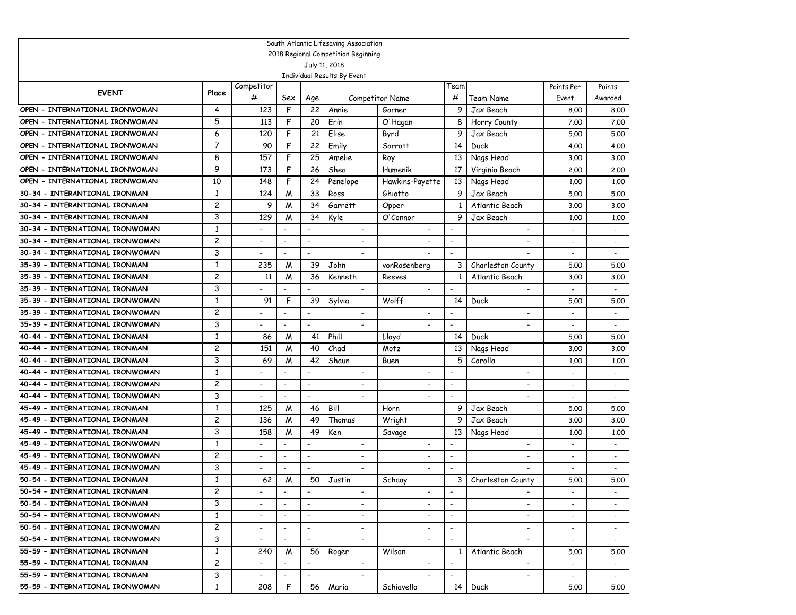|                                 |                |                          |                          |                              | South Atlantic Lifesaving Association        |                          |                          |                          |                          |                          |
|---------------------------------|----------------|--------------------------|--------------------------|------------------------------|----------------------------------------------|--------------------------|--------------------------|--------------------------|--------------------------|--------------------------|
|                                 |                |                          |                          |                              | 2018 Regional Competition Beginning          |                          |                          |                          |                          |                          |
|                                 |                |                          |                          |                              | July 11, 2018<br>Individual Results By Event |                          |                          |                          |                          |                          |
|                                 |                | Competitor               |                          |                              |                                              |                          | Team                     |                          | Points Per               | Points                   |
| <b>EVENT</b>                    | Place          | #                        | Sex                      | Age                          |                                              | <b>Competitor Name</b>   | #                        | Team Name                | Event                    | Awarded                  |
| OPEN - INTERNATIONAL IRONWOMAN  | 4              | 123                      | F                        | 22                           | Annie                                        | Garner                   | 9                        | Jax Beach                | 8.00                     | 8.00                     |
| OPEN - INTERNATIONAL IRONWOMAN  | 5              | 113                      | F                        | 20                           | Erin                                         | O'Hagan                  | 8                        | Horry County             | 7.00                     | 7.00                     |
| OPEN - INTERNATIONAL IRONWOMAN  | 6              | 120                      | F                        | 21                           | Elise                                        | Byrd                     | 9                        | Jax Beach                | 5.00                     | 5.00                     |
| OPEN - INTERNATIONAL IRONWOMAN  | 7              | 90                       | F                        | 22                           | Emily                                        | Sarratt                  | 14                       | Duck                     | 4.00                     | 4.00                     |
| OPEN - INTERNATIONAL IRONWOMAN  | 8              | 157                      | F                        | 25                           | Amelie                                       | Roy                      | 13                       | Nags Head                | 3.00                     | 3.00                     |
| OPEN - INTERNATIONAL IRONWOMAN  | 9              | 173                      | F                        | 26                           | Shea                                         | Humenik                  | 17                       | Virginia Beach           | 2,00                     | 2,00                     |
| OPEN - INTERNATIONAL IRONWOMAN  | 10             | 148                      | F                        | 24                           | Penelope                                     | Hawkins-Payette          | 13                       | Nags Head                | 1,00                     | 1.00                     |
| 30-34 - INTERANTIONAL IRONMAN   | $\mathbf{1}$   | 124                      | M                        | 33                           | Ross                                         | Ghiotto                  | 9                        | Jax Beach                | 5.00                     | 5.00                     |
| 30-34 - INTERANTIONAL IRONMAN   | 2              | 9                        | M                        | 34                           | Garrett                                      | Opper                    | 1                        | Atlantic Beach           | 3.00                     | 3.00                     |
| 30-34 - INTERANTIONAL IRONMAN   | 3              | 129                      | M                        | 34                           | Kyle                                         | O'Connor                 | 9                        | Jax Beach                | 1,00                     | 1,00                     |
| 30-34 - INTERNATIONAL IRONWOMAN | $\mathbf{1}$   | -                        | $\overline{\phantom{a}}$ | $\overline{\phantom{a}}$     | $\overline{\phantom{a}}$                     |                          | $\blacksquare$           | $\overline{\phantom{0}}$ |                          | $\overline{\phantom{a}}$ |
| 30-34 - INTERNATIONAL IRONWOMAN | $\overline{c}$ | ۰                        | $\overline{\phantom{a}}$ | $\overline{\phantom{a}}$     | $\overline{\phantom{a}}$                     |                          | $\blacksquare$           | $\overline{\phantom{0}}$ |                          | $\overline{\phantom{a}}$ |
| 30-34 - INTERNATIONAL IRONWOMAN | 3              | ٠                        | $\overline{\phantom{a}}$ | $\overline{\phantom{a}}$     | $\overline{\phantom{a}}$                     |                          | $\overline{a}$           |                          |                          |                          |
| 35-39 - INTERNATIONAL IRONMAN   | 1              | 235                      | M                        | 39                           | John                                         | vonRosenberg             | 3                        | Charleston County        | 5.00                     | 5.00                     |
| 35-39 - INTERNATIONAL IRONMAN   | $\overline{c}$ | 11                       | M                        | 36                           | Kenneth                                      | Reeves                   | 1                        | Atlantic Beach           | 3.00                     | 3.00                     |
| 35-39 - INTERNATIONAL IRONMAN   | 3              |                          |                          | $\overline{\phantom{a}}$     | $\overline{\phantom{a}}$                     |                          | $\overline{\phantom{0}}$ | $\overline{a}$           |                          |                          |
| 35-39 - INTERNATIONAL IRONWOMAN | 1              | 91                       | F                        | 39                           | Sylvia                                       | Wolff                    | 14                       | Duck                     | 5.00                     | 5.00                     |
| 35-39 - INTERNATIONAL IRONWOMAN | 2              | $\overline{\phantom{a}}$ | $\overline{\phantom{a}}$ | $\overline{\phantom{a}}$     | $\overline{\phantom{a}}$                     | $\overline{\phantom{0}}$ |                          | $\overline{a}$           |                          | $\overline{\phantom{a}}$ |
| 35-39 - INTERNATIONAL IRONWOMAN | 3              | $\overline{\phantom{0}}$ |                          | $\overline{\phantom{a}}$     | $\overline{\phantom{a}}$                     |                          |                          |                          |                          | $\overline{\phantom{a}}$ |
| 40-44 - INTERNATIONAL IRONMAN   | 1              | 86                       | M                        | 41                           | Phill                                        | Lloyd                    | 14                       | Duck                     | 5.00                     | 5.00                     |
| 40-44 - INTERNATIONAL IRONMAN   | 2              | 151                      | M                        | 40                           | Chad                                         | Motz                     | 13                       | Nags Head                | 3.00                     | 3.00                     |
| 40-44 - INTERNATIONAL IRONMAN   | 3              | 69                       | M                        | 42                           | Shaun                                        | Buen                     | 5                        | Corolla                  | 1,00                     | 1,00                     |
| 40-44 - INTERNATIONAL IRONWOMAN | 1              | ۰                        |                          | $\overline{\phantom{a}}$     | $\overline{\phantom{a}}$                     |                          |                          | $\overline{\phantom{0}}$ |                          | $\overline{\phantom{a}}$ |
| 40-44 - INTERNATIONAL IRONWOMAN | 2              | -                        |                          | $\qquad \qquad \blacksquare$ |                                              |                          | $\overline{\phantom{a}}$ |                          |                          | $\overline{a}$           |
| 40-44 - INTERNATIONAL IRONWOMAN | 3              | -                        |                          | $\overline{\phantom{a}}$     | $\overline{\phantom{a}}$                     |                          |                          |                          |                          |                          |
| 45-49 - INTERNATIONAL IRONMAN   | 1              | 125                      | M                        | 46                           | Bill                                         | Horn                     | 9                        | Jax Beach                | 5.00                     | 5.00                     |
| 45-49 - INTERNATIONAL IRONMAN   | 2              | 136                      | M                        | 49                           | Thomas                                       | Wright                   | 9                        | Jax Beach                | 3.00                     | 3.00                     |
| 45-49 - INTERNATIONAL IRONMAN   | 3              | 158                      | M                        | 49                           | Ken                                          | Savage                   | 13                       | Nags Head                | 1,00                     | 1,00                     |
| 45-49 - INTERNATIONAL IRONWOMAN | $\mathbf{1}$   |                          | $\overline{\phantom{a}}$ | $\overline{\phantom{a}}$     | $\overline{\phantom{a}}$                     |                          |                          |                          |                          |                          |
| 45-49 - INTERNATIONAL IRONWOMAN | 2              | -                        |                          | $\qquad \qquad \blacksquare$ |                                              |                          |                          |                          |                          |                          |
| 45-49 - INTERNATIONAL IRONWOMAN | 3              |                          |                          | $\overline{\phantom{a}}$     |                                              |                          |                          |                          |                          |                          |
| 50-54 - INTERNATIONAL IRONMAN   | $\mathbf{1}$   | 62                       | M                        | 50                           | Justin                                       | Schaay                   | 3                        | Charleston County        | 5.00                     | 5.00                     |
| 50-54 - INTERNATIONAL IRONMAN   | $\mathbf{2}$   | $\overline{\phantom{a}}$ | $\overline{\phantom{a}}$ | $\overline{\phantom{a}}$     | $\overline{\phantom{a}}$                     | $\overline{\phantom{a}}$ | $\overline{\phantom{0}}$ | $\overline{\phantom{a}}$ | $\overline{\phantom{a}}$ |                          |
| 50-54 - INTERNATIONAL IRONMAN   | 3              | $\overline{\phantom{0}}$ | $\overline{\phantom{a}}$ | $\overline{\phantom{a}}$     | $\overline{\phantom{a}}$                     | $\overline{\phantom{a}}$ | $\blacksquare$           | $\overline{\phantom{a}}$ | $\overline{\phantom{0}}$ | $\sim$                   |
| 50-54 - INTERNATIONAL IRONWOMAN | $\mathbf{1}$   | $\overline{\phantom{0}}$ | $\overline{\phantom{a}}$ | $\overline{\phantom{a}}$     | $\overline{\phantom{0}}$                     | $\overline{\phantom{a}}$ | $\overline{\phantom{a}}$ | $\overline{\phantom{a}}$ | $\overline{\phantom{a}}$ |                          |
| 50-54 - INTERNATIONAL IRONWOMAN | $\overline{c}$ | $\overline{\phantom{0}}$ | $\overline{\phantom{a}}$ | $\overline{\phantom{a}}$     | $\overline{\phantom{0}}$                     | $\overline{\phantom{a}}$ | $\overline{\phantom{a}}$ | $\blacksquare$           |                          | $\sim$                   |
| 50-54 - INTERNATIONAL IRONWOMAN | 3              | $\overline{\phantom{0}}$ | $\overline{\phantom{a}}$ | $\overline{\phantom{a}}$     | $\overline{\phantom{0}}$                     | $\overline{\phantom{a}}$ | $\blacksquare$           | $\overline{\phantom{0}}$ | $\overline{\phantom{a}}$ | $\sim$                   |
| 55-59 - INTERNATIONAL IRONMAN   | $\mathbf{1}$   | 240                      | M                        | 56                           | Roger                                        | Wilson                   | $\mathbf{1}$             | Atlantic Beach           | 5.00                     | 5.00                     |
| 55-59 - INTERNATIONAL IRONMAN   | 2              |                          | $\overline{\phantom{a}}$ | $\overline{\phantom{a}}$     | $\overline{\phantom{a}}$                     | $\overline{\phantom{a}}$ | $\blacksquare$           | $\overline{\phantom{a}}$ |                          |                          |
| 55-59 - INTERNATIONAL IRONMAN   | 3              | $\overline{\phantom{0}}$ | $\overline{\phantom{a}}$ | $\overline{\phantom{a}}$     | $\overline{\phantom{0}}$                     | $\overline{\phantom{a}}$ | $\overline{\phantom{0}}$ | Ξ.                       | $\overline{\phantom{a}}$ | $\sim$                   |
| 55-59 - INTERNATIONAL IRONWOMAN | $\mathbf{1}$   | 208                      | F                        | 56                           | Maria                                        | Schiavello               | 14 <sup>1</sup>          | Duck                     | 5.00                     | 5.00                     |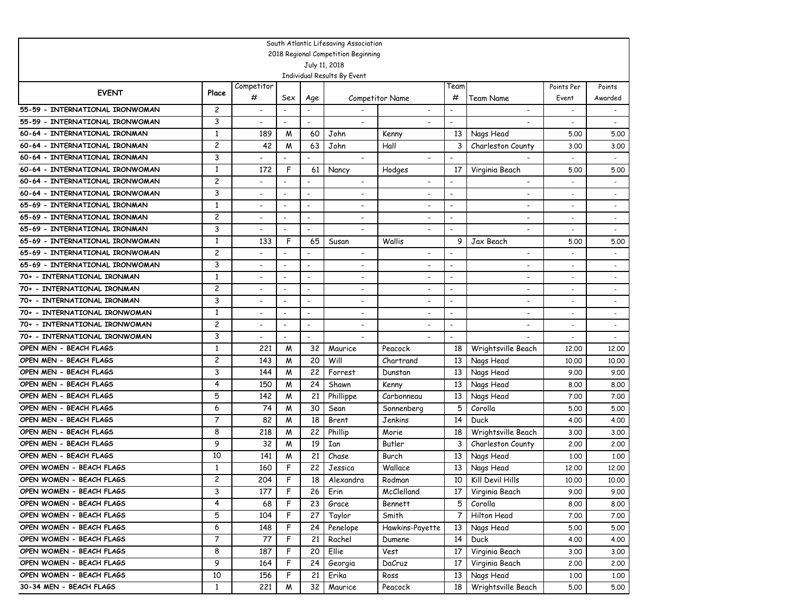|                                 |                |                          |                          |                              | South Atlantic Lifesaving Association        |                          |                          |                          |                          |                          |
|---------------------------------|----------------|--------------------------|--------------------------|------------------------------|----------------------------------------------|--------------------------|--------------------------|--------------------------|--------------------------|--------------------------|
|                                 |                |                          |                          |                              | 2018 Regional Competition Beginning          |                          |                          |                          |                          |                          |
|                                 |                |                          |                          |                              | July 11, 2018<br>Individual Results By Event |                          |                          |                          |                          |                          |
|                                 |                | Competitor               |                          |                              |                                              |                          | Team                     |                          | Points Per               | Points                   |
| <b>EVENT</b>                    | Place          | #                        | Sex                      | Age                          |                                              | <b>Competitor Name</b>   | #                        | Team Name                | Event                    | Awarded                  |
| 55-59 - INTERNATIONAL IRONWOMAN | 2              | $\overline{\phantom{a}}$ | $\overline{\phantom{a}}$ | $\overline{\phantom{a}}$     |                                              | $\overline{\phantom{a}}$ |                          | $\overline{\phantom{a}}$ | $\overline{\phantom{a}}$ | $\overline{\phantom{a}}$ |
| 55-59 - INTERNATIONAL IRONWOMAN | 3              | $\overline{\phantom{a}}$ | $\overline{\phantom{a}}$ | $\overline{\phantom{a}}$     | $\blacksquare$                               |                          | $\overline{\phantom{a}}$ |                          | $\overline{\phantom{a}}$ | $\overline{\phantom{a}}$ |
| 60-64 - INTERNATIONAL IRONMAN   | 1              | 189                      | M                        | 60                           | John                                         | Kenny                    | 13                       | Nags Head                | 5.00                     | 5.00                     |
| 60-64 - INTERNATIONAL IRONMAN   | 2              | 42                       | M                        | 63                           | John                                         | Hall                     | 3                        | Charleston County        | 3.00                     | 3.00                     |
| 60-64 - INTERNATIONAL IRONMAN   | 3              |                          |                          | $\blacksquare$               | $\blacksquare$                               |                          | $\overline{a}$           |                          |                          |                          |
| 60-64 - INTERNATIONAL IRONWOMAN | 1              | 172                      | F                        | 61                           | Nancy                                        | Hodges                   | 17                       | Virginia Beach           | 5.00                     | 5.00                     |
| 60-64 - INTERNATIONAL IRONWOMAN | 2              |                          |                          | $\overline{\phantom{a}}$     | $\blacksquare$                               | $\overline{\phantom{a}}$ | $\overline{a}$           | $\overline{\phantom{a}}$ |                          | $\overline{a}$           |
| 60-64 - INTERNATIONAL IRONWOMAN | 3              | $\overline{\phantom{a}}$ | $\overline{\phantom{a}}$ | $\overline{\phantom{a}}$     | $\overline{\phantom{a}}$                     |                          | $\blacksquare$           | $\overline{\phantom{a}}$ |                          |                          |
| 65-69 - INTERNATIONAL IRONMAN   | $\mathbf{1}$   | $\overline{\phantom{0}}$ | $\overline{\phantom{a}}$ | $\overline{\phantom{a}}$     | $\overline{\phantom{a}}$                     |                          | $\blacksquare$           | $\overline{\phantom{a}}$ |                          | $\overline{a}$           |
| 65-69 - INTERNATIONAL IRONMAN   | 2              |                          |                          | $\overline{a}$               |                                              |                          |                          | ٠                        |                          | $\overline{a}$           |
| 65-69 - INTERNATIONAL IRONMAN   | 3              | ٠                        | $\overline{\phantom{a}}$ | $\overline{\phantom{a}}$     | $\overline{\phantom{a}}$                     |                          | $\blacksquare$           |                          |                          | $\overline{a}$           |
| 65-69 - INTERNATIONAL IRONWOMAN | $\mathbf{1}$   | 133                      | F                        | 65                           | Susan                                        | Wallis                   | 9                        | Jax Beach                | 5.00                     | 5.00                     |
| 65-69 - INTERNATIONAL IRONWOMAN | $\overline{c}$ |                          | $\overline{\phantom{a}}$ | $\qquad \qquad \blacksquare$ | $\overline{\phantom{a}}$                     |                          | $\overline{\phantom{a}}$ |                          |                          | $\ddot{\phantom{1}}$     |
| 65-69 - INTERNATIONAL IRONWOMAN | 3              | $\overline{a}$           | $\overline{\phantom{a}}$ | $\qquad \qquad \blacksquare$ | $\overline{\phantom{a}}$                     |                          | $\overline{\phantom{0}}$ | ٠                        |                          | $\ddot{\phantom{1}}$     |
| 70+ - INTERNATIONAL IRONMAN     | $\mathbf{1}$   | $\overline{\phantom{a}}$ | $\overline{\phantom{a}}$ | $\overline{\phantom{a}}$     | $\overline{\phantom{0}}$                     | $\overline{\phantom{0}}$ | $\overline{\phantom{0}}$ | $\overline{\phantom{0}}$ | $\overline{\phantom{a}}$ | $\ddot{\phantom{1}}$     |
| 70+ - INTERNATIONAL IRONMAN     | 2              | $\overline{a}$           | $\overline{\phantom{a}}$ | $\qquad \qquad \blacksquare$ | $\overline{\phantom{0}}$                     | $\overline{\phantom{0}}$ | $\overline{\phantom{0}}$ | ٠                        | $\overline{\phantom{a}}$ | $\ddot{\phantom{1}}$     |
| 70+ - INTERNATIONAL IRONMAN     | 3              | $\overline{a}$           | $\overline{\phantom{a}}$ | $\overline{\phantom{a}}$     | $\overline{\phantom{a}}$                     | $\overline{\phantom{0}}$ | $\overline{\phantom{0}}$ | ٠                        |                          | $\ddot{\phantom{1}}$     |
| 70+ - INTERNATIONAL IRONWOMAN   | $\mathbf{1}$   | ٠                        | $\overline{\phantom{a}}$ | $\overline{\phantom{a}}$     | $\overline{\phantom{a}}$                     | $\overline{\phantom{0}}$ | $\overline{\phantom{0}}$ | $\overline{\phantom{a}}$ |                          | $\overline{\phantom{a}}$ |
| 70+ - INTERNATIONAL IRONWOMAN   | 2              | $\overline{\phantom{0}}$ | $\overline{\phantom{a}}$ | $\overline{\phantom{a}}$     | $\overline{\phantom{a}}$                     | $\overline{\phantom{0}}$ | $\overline{a}$           | $\overline{a}$           | $\overline{\phantom{a}}$ | $\sim$                   |
| 70+ - INTERNATIONAL IRONWOMAN   | 3              | $\overline{a}$           | $\overline{a}$           | $\overline{\phantom{a}}$     | $\overline{\phantom{a}}$                     |                          | $\overline{a}$           |                          |                          | $\sim$                   |
| OPEN MEN - BEACH FLAGS          | 1              | 221                      | M                        | 32                           | Maurice                                      | Peacock                  | 18                       | Wrightsville Beach       | 12,00                    | 12,00                    |
| OPEN MEN - BEACH FLAGS          | 2              | 143                      | M                        | 20                           | Will                                         | Chartrand                | 13                       | Nags Head                | 10,00                    | 10.00                    |
| OPEN MEN - BEACH FLAGS          | 3              | 144                      | M                        | 22                           | Forrest                                      | Dunstan                  | 13                       | Nags Head                | 9.00                     | 9.00                     |
| OPEN MEN - BEACH FLAGS          | 4              | 150                      | M                        | 24                           | Shawn                                        | Kenny                    | 13                       | Nags Head                | 8.00                     | 8.00                     |
| OPEN MEN - BEACH FLAGS          | 5              | 142                      | M                        | 21                           | Phillippe                                    | Carbonneau               | 13                       | Nags Head                | 7.00                     | 7.00                     |
| OPEN MEN - BEACH FLAGS          | 6              | 74                       | W                        | 30                           | Sean                                         | Sonnenberg               | 5                        | Corolla                  | 5.00                     | 5.00                     |
| OPEN MEN - BEACH FLAGS          | $\overline{7}$ | 82                       | M                        | 18                           | Brent                                        | Jenkins                  | 14                       | Duck                     | 4.00                     | 4.00                     |
| OPEN MEN - BEACH FLAGS          | 8              | 218                      | M                        | 22                           | Phillip                                      | Morie                    | 18                       | Wrightsville Beach       | 3.00                     | 3.00                     |
| OPEN MEN - BEACH FLAGS          | 9              | 32                       | M                        | 19                           | Ian                                          | Butler                   | 3                        | Charleston County        | 2,00                     | 2,00                     |
| OPEN MEN - BEACH FLAGS          | 10             | 141                      | M                        | 21                           | Chase                                        | Burch                    | 13                       | Nags Head                | 1,00                     | 1,00                     |
| OPEN WOMEN - BEACH FLAGS        | 1              | 160                      | F                        | 22                           | Jessica                                      | Wallace                  | 13                       | Nags Head                | 12,00                    | 12,00                    |
| OPEN WOMEN - BEACH FLAGS        | 2              | 204                      | F                        | 18                           | Alexandra                                    | Rodman                   | 10                       | Kill Devil Hills         | 10,00                    | 10,00                    |
| OPEN WOMEN - BEACH FLAGS        | 3              | 177                      | F                        | 26                           | Erin                                         | McClelland               | 17 I                     | Virginia Beach           | 9.00                     | 9.00                     |
| OPEN WOMEN - BEACH FLAGS        | 4              | 68                       | F                        | 23                           | Grace                                        | <b>Bennett</b>           | 5                        | Corolla                  | 8.00                     | 8.00                     |
| OPEN WOMEN - BEACH FLAGS        | 5              | 104                      | F                        | 27                           | Taylor                                       | Smith                    | 7                        | Hilton Head              | 7.00                     | 7.00                     |
| OPEN WOMEN - BEACH FLAGS        | 6              | 148                      | F                        | 24                           | Penelope                                     | Hawkins-Payette          | 13                       | Nags Head                | 5.00                     | 5.00                     |
| OPEN WOMEN - BEACH FLAGS        | $\overline{7}$ | 77                       | F                        | 21                           | Rachel                                       | Dumene                   | 14                       | <b>Duck</b>              | 4.00                     | 4.00                     |
| OPEN WOMEN - BEACH FLAGS        | 8              | 187                      | F                        | 20                           | Ellie                                        | Vest                     | 17                       | Virginia Beach           | 3.00                     | 3.00                     |
| OPEN WOMEN - BEACH FLAGS        | 9              | 164                      | F                        | 24                           | Georgia                                      | DaCruz                   | 17                       | Virginia Beach           | 2.00                     | 2.00                     |
| OPEN WOMEN - BEACH FLAGS        | 10             | 156                      | F                        | 21                           | Erika                                        | Ross                     | 13                       | Nags Head                | 1,00                     | 1.00                     |
| 30-34 MEN - BEACH FLAGS         | $\mathbf{1}$   | 221                      | W                        | 32                           | Maurice                                      | Peacock                  | 18                       | Wrightsville Beach       | 5.00                     | 5.00                     |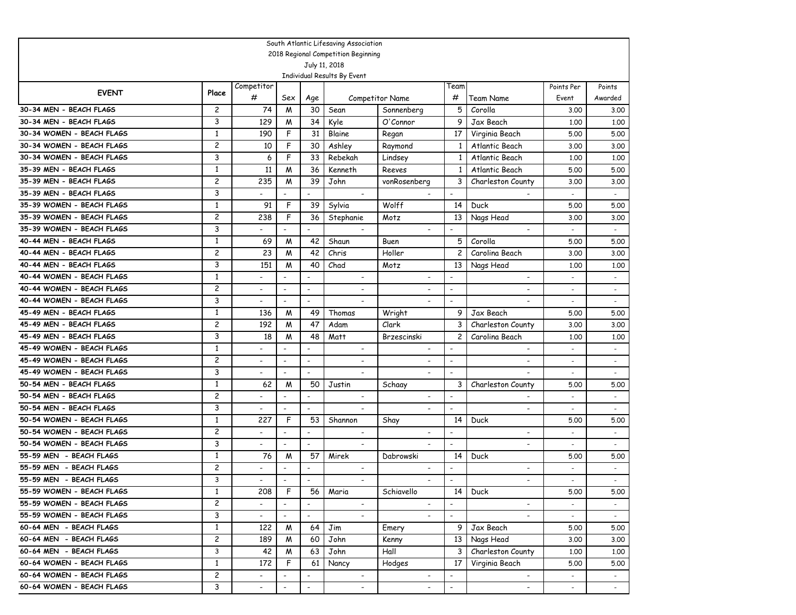|                           |                         |                          |                           |                              | South Atlantic Lifesaving Association                |                          |                          |                          |                          |                             |
|---------------------------|-------------------------|--------------------------|---------------------------|------------------------------|------------------------------------------------------|--------------------------|--------------------------|--------------------------|--------------------------|-----------------------------|
|                           |                         |                          |                           |                              | 2018 Regional Competition Beginning<br>July 11, 2018 |                          |                          |                          |                          |                             |
|                           |                         |                          |                           |                              | Individual Results By Event                          |                          |                          |                          |                          |                             |
|                           |                         | Competitor               |                           |                              |                                                      |                          | Team                     |                          | Points Per               | Points                      |
| <b>EVENT</b>              | Place                   | #                        | Sex                       | Age                          |                                                      | <b>Competitor Name</b>   | #                        | Team Name                | Event                    | Awarded                     |
| 30-34 MEN - BEACH FLAGS   | $\overline{c}$          | 74                       | M                         | 30                           | Sean                                                 | Sonnenberg               | 5                        | Corolla                  | 3.00                     | 3.00                        |
| 30-34 MEN - BEACH FLAGS   | 3                       | 129                      | M                         | 34                           | Kyle                                                 | O'Connor                 | 9                        | Jax Beach                | 1,00                     | 1.00                        |
| 30-34 WOMEN - BEACH FLAGS | 1                       | 190                      | F                         | 31                           | Blaine                                               | Regan                    | 17                       | Virginia Beach           | 5.00                     | 5.00                        |
| 30-34 WOMEN - BEACH FLAGS | $\overline{\mathbf{c}}$ | 10                       | F                         | 30                           | Ashley                                               | Raymond                  | 1                        | Atlantic Beach           | 3.00                     | 3.00                        |
| 30-34 WOMEN - BEACH FLAGS | 3                       | 6                        | F                         | 33                           | Rebekah                                              | Lindsey                  | 1                        | Atlantic Beach           | 1,00                     | 1,00                        |
| 35-39 MEN - BEACH FLAGS   | 1                       | 11                       | M                         | 36                           | Kenneth                                              | Reeves                   | 1                        | Atlantic Beach           | 5.00                     | 5.00                        |
| 35-39 MEN - BEACH FLAGS   | $\overline{c}$          | 235                      | M                         | 39                           | John                                                 | vonRosenberg             | 3                        | Charleston County        | 3.00                     | 3.00                        |
| 35-39 MEN - BEACH FLAGS   | 3                       |                          | $\overline{a}$            | $\overline{a}$               | $\overline{\phantom{a}}$                             |                          | $\overline{\phantom{a}}$ |                          |                          | $\mathcal{L}_{\mathcal{A}}$ |
| 35-39 WOMEN - BEACH FLAGS | $\mathbf{1}$            | 91                       | F                         | 39                           | Sylvia                                               | Wolff                    | 14                       | Duck                     | 5.00                     | 5.00                        |
| 35-39 WOMEN - BEACH FLAGS | $\overline{c}$          | 238                      | F                         | 36                           | Stephanie                                            | Motz                     | 13                       | Nags Head                | 3.00                     | 3.00                        |
| 35-39 WOMEN - BEACH FLAGS | 3                       |                          | $\blacksquare$            | $\qquad \qquad \blacksquare$ | $\overline{\phantom{a}}$                             |                          | $\overline{\phantom{a}}$ | $\overline{\phantom{a}}$ |                          | $\sim$                      |
| 40-44 MEN - BEACH FLAGS   | $\mathbf{1}$            | 69                       | M                         | 42                           | Shaun                                                | Buen                     | 5                        | Corolla                  | 5.00                     | 5.00                        |
| 40-44 MEN - BEACH FLAGS   | 2                       | 23                       | M                         | 42                           | Chris                                                | Holler                   | $\overline{c}$           | Carolina Beach           | 3.00                     | 3.00                        |
| 40-44 MEN - BEACH FLAGS   | 3                       | 151                      | M                         | 40                           | Chad                                                 | Motz                     | 13                       | Nags Head                | 1,00                     | 1,00                        |
| 40-44 WOMEN - BEACH FLAGS | $\mathbf{1}$            |                          | $\overline{a}$            | $\overline{\phantom{a}}$     | $\overline{\phantom{a}}$                             |                          | $\overline{\phantom{a}}$ | $\overline{\phantom{a}}$ | $\blacksquare$           | $\overline{\phantom{a}}$    |
| 40-44 WOMEN - BEACH FLAGS | 2                       |                          | $\overline{a}$            | $\overline{\phantom{a}}$     |                                                      |                          | $\overline{\phantom{a}}$ |                          |                          | $\overline{\phantom{a}}$    |
| 40-44 WOMEN - BEACH FLAGS | 3                       |                          | $\overline{\phantom{a}}$  | $\overline{\phantom{a}}$     |                                                      |                          | $\overline{\phantom{a}}$ | $\overline{\phantom{0}}$ |                          |                             |
| 45-49 MEN - BEACH FLAGS   | $\mathbf{1}$            | 136                      | M                         | 49                           | Thomas                                               | Wright                   | 9                        | Jax Beach                | 5.00                     | 5.00                        |
| 45-49 MEN - BEACH FLAGS   | 2                       | 192                      | M                         | 47                           | Adam                                                 | Clark                    | 3                        | Charleston County        | 3.00                     | 3.00                        |
| 45-49 MEN - BEACH FLAGS   | 3                       | 18                       | M                         | 48                           | Matt                                                 | Brzescinski              | $\overline{c}$           | Carolina Beach           | 1,00                     | 1,00                        |
| 45-49 WOMEN - BEACH FLAGS | $\mathbf{1}$            | $\overline{a}$           | $\overline{\phantom{a}}$  | $\overline{\phantom{a}}$     | $\overline{\phantom{a}}$                             | $\blacksquare$           | $\overline{\phantom{a}}$ | $\blacksquare$           | $\overline{\phantom{0}}$ | $\overline{\phantom{a}}$    |
| 45-49 WOMEN - BEACH FLAGS | $\overline{c}$          | $\overline{\phantom{a}}$ | $\overline{\phantom{a}}$  | $\overline{\phantom{a}}$     | $\overline{\phantom{a}}$                             | $\overline{\phantom{a}}$ | $\overline{\phantom{a}}$ | $\overline{\phantom{0}}$ | $\overline{\phantom{a}}$ | $\overline{\phantom{a}}$    |
| 45-49 WOMEN - BEACH FLAGS | 3                       |                          | $\overline{a}$            | $\overline{\phantom{a}}$     | $\overline{\phantom{a}}$                             |                          | $\overline{\phantom{a}}$ |                          |                          | $\overline{\phantom{a}}$    |
| 50-54 MEN - BEACH FLAGS   | $\mathbf{1}$            | 62                       | M                         | 50                           | Justin                                               | Schaay                   | 3                        | Charleston County        | 5.00                     | 5.00                        |
| 50-54 MEN - BEACH FLAGS   | 2                       |                          | $\overline{a}$            | $\overline{\phantom{a}}$     | $\overline{\phantom{a}}$                             | $\tilde{\phantom{a}}$    | $\blacksquare$           | $\overline{\phantom{a}}$ |                          | $\overline{\phantom{a}}$    |
| 50-54 MEN - BEACH FLAGS   | 3                       |                          | $\overline{a}$            | $\overline{\phantom{a}}$     | $\overline{\phantom{a}}$                             | $\tilde{\phantom{a}}$    | $\overline{\phantom{a}}$ | $\overline{\phantom{a}}$ |                          | $\overline{\phantom{a}}$    |
| 50-54 WOMEN - BEACH FLAGS | 1                       | 227                      | F                         | 53                           | Shannon                                              | Shay                     | 14                       | Duck                     | 5.00                     | 5.00                        |
| 50-54 WOMEN - BEACH FLAGS | 2                       |                          | $\overline{\phantom{a}}$  | $\overline{\phantom{a}}$     | $\overline{\phantom{a}}$                             |                          |                          |                          | $\overline{\phantom{a}}$ | $\overline{\phantom{a}}$    |
| 50-54 WOMEN - BEACH FLAGS | 3                       |                          | $\overline{\phantom{a}}$  | $\overline{\phantom{a}}$     | $\overline{\phantom{a}}$                             |                          | $\overline{\phantom{a}}$ | $\overline{\phantom{a}}$ |                          |                             |
| 55-59 MEN - BEACH FLAGS   | 1                       | 76                       | M                         | 57                           | Mirek                                                | Dabrowski                | 14                       | Duck                     | 5.00                     | 5.00                        |
| 55-59 MEN - BEACH FLAGS   | 2                       |                          | $\overline{\phantom{a}}$  | $\overline{\phantom{a}}$     | $\overline{\phantom{a}}$                             | $\overline{\phantom{a}}$ | $\overline{\phantom{a}}$ | $\overline{\phantom{0}}$ |                          | $\overline{\phantom{a}}$    |
| 55-59 MEN - BEACH FLAGS   | 3                       |                          | $\overline{a}$            | $\overline{\phantom{a}}$     | $\overline{\phantom{a}}$                             | $\overline{\phantom{a}}$ | $\overline{\phantom{a}}$ | $\overline{\phantom{a}}$ |                          |                             |
| 55-59 WOMEN - BEACH FLAGS | 1                       | 208                      | F                         | 56                           | Maria                                                | Schiavello               | 14                       | Duck                     | 5.00                     | 5.00                        |
| 55-59 WOMEN - BEACH FLAGS | $\overline{c}$          |                          |                           |                              |                                                      |                          |                          |                          |                          |                             |
| 55-59 WOMEN - BEACH FLAGS | 3                       | $\overline{\phantom{0}}$ | $\mathbb{Z}^{\mathbb{Z}}$ | $\blacksquare$               |                                                      |                          | $\blacksquare$           |                          |                          |                             |
| 60-64 MEN - BEACH FLAGS   | $\mathbf{1}$            | 122                      | M                         | 64                           | Jim                                                  | Emery                    | 9                        | Jax Beach                | 5.00                     | 5.00                        |
| 60-64 MEN - BEACH FLAGS   | $\mathbf{2}$            | 189                      | M                         | 60                           | John                                                 | Kenny                    | 13                       | Nags Head                | 3.00                     | 3.00                        |
| 60-64 MEN - BEACH FLAGS   | 3                       | 42                       | M                         | 63                           | John                                                 | Hall                     | 3                        | Charleston County        | 1.00                     | 1.00                        |
| 60-64 WOMEN - BEACH FLAGS | $\mathbf{1}$            | 172                      | F                         | 61                           | Nancy                                                | Hodges                   | 17                       | Virginia Beach           | 5.00                     | 5.00                        |
| 60-64 WOMEN - BEACH FLAGS | $\overline{c}$          |                          | $\overline{\phantom{a}}$  | $\overline{\phantom{a}}$     | $\overline{\phantom{a}}$                             | $\overline{\phantom{a}}$ | $\overline{\phantom{a}}$ | $\overline{\phantom{a}}$ |                          | $\sim$                      |
| 60-64 WOMEN - BEACH FLAGS | 3                       |                          | $\blacksquare$            | $\overline{\phantom{a}}$     | $\overline{\phantom{a}}$                             | $\blacksquare$           | $\blacksquare$           | $\blacksquare$           |                          | $\sim$                      |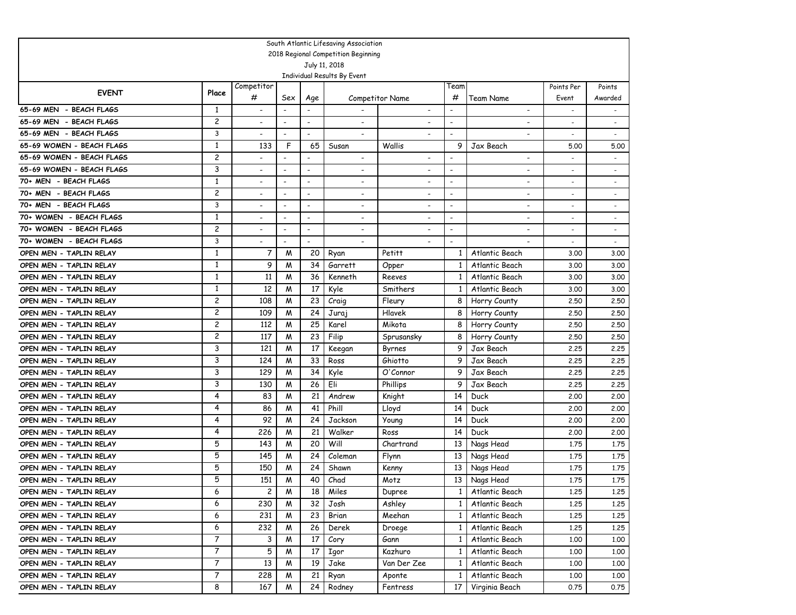|                                                    |              |                          |                          |                          | South Atlantic Lifesaving Association |                          |                          |                          |              |                          |
|----------------------------------------------------|--------------|--------------------------|--------------------------|--------------------------|---------------------------------------|--------------------------|--------------------------|--------------------------|--------------|--------------------------|
|                                                    |              |                          |                          |                          | 2018 Regional Competition Beginning   |                          |                          |                          |              |                          |
|                                                    |              |                          |                          |                          | July 11, 2018                         |                          |                          |                          |              |                          |
|                                                    |              | Competitor               |                          |                          | Individual Results By Event           |                          | Team                     |                          | Points Per   | Points                   |
| <b>EVENT</b>                                       | Place        | #                        | Sex                      | Age                      |                                       | <b>Competitor Name</b>   | #                        | Team Name                | Event        | Awarded                  |
| 65-69 MEN - BEACH FLAGS                            | 1            | $\overline{\phantom{a}}$ |                          |                          |                                       | $\overline{\phantom{a}}$ | $\overline{a}$           | $\overline{\phantom{a}}$ |              |                          |
| 65-69 MEN - BEACH FLAGS                            | 2            | $\overline{a}$           | $\overline{\phantom{a}}$ | $\overline{\phantom{a}}$ |                                       |                          | $\overline{\phantom{0}}$ |                          |              |                          |
| 65-69 MEN - BEACH FLAGS                            | 3            |                          |                          | $\overline{\phantom{a}}$ |                                       |                          | $\overline{\phantom{a}}$ |                          |              |                          |
| 65-69 WOMEN - BEACH FLAGS                          | $\mathbf{1}$ | 133                      | F                        | 65                       | Susan                                 | Wallis                   | 9                        | Jax Beach                | 5.00         | 5.00                     |
| 65-69 WOMEN - BEACH FLAGS                          | 2            |                          | $\overline{\phantom{a}}$ | $\overline{\phantom{a}}$ | $\overline{\phantom{a}}$              | $\overline{\phantom{a}}$ | $\overline{\phantom{a}}$ | $\overline{\phantom{a}}$ |              |                          |
| 65-69 WOMEN - BEACH FLAGS                          | 3            | $\overline{a}$           | $\overline{a}$           | $\overline{a}$           |                                       | $\overline{\phantom{a}}$ | $\overline{\phantom{a}}$ | $\overline{\phantom{a}}$ |              | $\blacksquare$           |
| 70+ MEN - BEACH FLAGS                              | $\mathbf{1}$ | $\overline{a}$           | $\overline{\phantom{a}}$ | $\overline{\phantom{a}}$ |                                       |                          | $\overline{\phantom{a}}$ |                          |              |                          |
| 70+ MEN - BEACH FLAGS                              | 2            | $\overline{a}$           | $\overline{\phantom{a}}$ | $\overline{\phantom{a}}$ | $\blacksquare$                        | $\overline{\phantom{a}}$ | $\overline{\phantom{a}}$ | $\overline{\phantom{a}}$ |              |                          |
| 70+ MEN - BEACH FLAGS                              | 3            | ٠                        | $\overline{\phantom{a}}$ | $\overline{\phantom{a}}$ | $\overline{\phantom{a}}$              |                          | $\overline{\phantom{a}}$ |                          |              | $\overline{\phantom{a}}$ |
| 70+ WOMEN - BEACH FLAGS                            | $\mathbf{1}$ |                          | $\overline{\phantom{a}}$ | $\overline{\phantom{0}}$ | $\overline{\phantom{a}}$              |                          | $\overline{\phantom{a}}$ |                          |              |                          |
| 70+ WOMEN - BEACH FLAGS                            | 2            | $\overline{a}$           | $\overline{\phantom{a}}$ | $\overline{\phantom{a}}$ | $\overline{\phantom{a}}$              | $\overline{\phantom{a}}$ | $\overline{\phantom{0}}$ | $\overline{a}$           |              | $\overline{\phantom{a}}$ |
| 70+ WOMEN - BEACH FLAGS                            | 3            | -                        | $\overline{\phantom{a}}$ | $\overline{\phantom{a}}$ | $\overline{\phantom{a}}$              |                          | $\blacksquare$           |                          |              | $\overline{\phantom{a}}$ |
| OPEN MEN - TAPLIN RELAY                            | $\mathbf{1}$ | $\overline{7}$           | M                        | 20                       | Ryan                                  | Petitt                   | 1                        | Atlantic Beach           | 3.00         | 3.00                     |
| OPEN MEN - TAPLIN RELAY                            | $\mathbf{1}$ | 9                        | M                        | 34                       | Garrett                               | Opper                    | 1                        | Atlantic Beach           | 3.00         | 3.00                     |
| OPEN MEN - TAPLIN RELAY                            | $\mathbf{1}$ | 11                       | M                        | 36                       | Kenneth                               | Reeves                   | 1                        | Atlantic Beach           | 3.00         | 3.00                     |
| OPEN MEN - TAPLIN RELAY                            | 1            | 12                       | M                        | 17                       | Kyle                                  | Smithers                 | 1                        | Atlantic Beach           | 3.00         | 3.00                     |
| OPEN MEN - TAPLIN RELAY                            | 2            | 108                      | M                        | 23                       | Craig                                 | Fleury                   | 8                        | Horry County             | 2.50         | 2.50                     |
| OPEN MEN - TAPLIN RELAY                            | 2            | 109                      | M                        | 24                       | Juraj                                 | Hlavek                   | 8                        | Horry County             | 2.50         | 2.50                     |
| OPEN MEN - TAPLIN RELAY                            | 2            | 112                      | M                        | 25                       | Karel                                 | Mikota                   | 8                        | Horry County             | 2.50         | 2.50                     |
| OPEN MEN - TAPLIN RELAY                            | 2            | 117                      | M                        | 23                       | Filip                                 | Sprusansky               | 8                        | Horry County             | 2.50         | 2.50                     |
| OPEN MEN - TAPLIN RELAY                            | 3            | 121                      | M                        | 17                       | Keegan                                | Byrnes                   | 9                        | Jax Beach                | 2.25         | 2.25                     |
| OPEN MEN - TAPLIN RELAY                            | 3            | 124                      | M                        | 33                       | Ross                                  | Ghiotto                  | 9                        | Jax Beach                | 2,25         | 2.25                     |
| OPEN MEN - TAPLIN RELAY                            | 3            | 129                      | M                        | 34                       | Kyle                                  | O'Connor                 | 9                        | Jax Beach                | 2,25         | 2.25                     |
| OPEN MEN - TAPLIN RELAY                            | 3            | 130                      | M                        | 26                       | Eli                                   | Phillips                 | 9                        | Jax Beach                | 2,25         | 2.25                     |
| OPEN MEN - TAPLIN RELAY                            | 4            | 83                       | M                        | 21                       | Andrew                                | Knight                   | 14                       | Duck                     | 2,00         | 2,00                     |
| OPEN MEN - TAPLIN RELAY                            | 4            | 86                       | M                        | 41                       | Phill                                 | Lloyd                    | 14                       | Duck                     | 2,00         | 2,00                     |
| OPEN MEN - TAPLIN RELAY                            | 4<br>4       | 92<br>226                | M<br>M                   | 24<br>21                 | Jackson<br>Walker                     | Young                    | 14<br>14                 | Duck                     | 2,00         | 2,00                     |
| OPEN MEN - TAPLIN RELAY<br>OPEN MEN - TAPLIN RELAY | 5            | 143                      | M                        | 20                       | Will                                  | Ross<br>Chartrand        | 13                       | Duck                     | 2,00<br>1.75 | 2.00<br>1.75             |
| OPEN MEN - TAPLIN RELAY                            | 5            | 145                      | M                        | 24                       | Coleman                               | Flynn                    | 13                       | Nags Head                | 1.75         | 1.75                     |
| OPEN MEN - TAPLIN RELAY                            | 5            | 150                      | M                        | 24                       | Shawn                                 | Kenny                    | 13                       | Nags Head<br>Nags Head   | 1.75         | 1.75                     |
| OPEN MEN - TAPLIN RELAY                            | 5            | 151                      | W                        | 40                       | Chad                                  | Motz                     | 13                       | Nags Head                | 1,75         | 1.75                     |
| OPEN MEN - TAPLIN RELAY                            | 6            | $\mathbf{2}$             | M                        | 18                       | Miles                                 | Dupree                   |                          | 1 Atlantic Beach         | 1.25         | 1.25                     |
| OPEN MEN - TAPLIN RELAY                            | 6            | 230                      | M                        | 32                       | Josh                                  | Ashley                   | $\mathbf{1}$             | Atlantic Beach           | 1.25         | 1.25                     |
| OPEN MEN - TAPLIN RELAY                            | 6            | 231                      | M                        | 23                       | Brian                                 | Meehan                   | $\mathbf{1}$             | Atlantic Beach           | 1.25         | 1.25                     |
| OPEN MEN - TAPLIN RELAY                            | 6            | 232                      | M                        | 26                       | Derek                                 | Droege                   | $\mathbf{1}$             | Atlantic Beach           | 1.25         | 1.25                     |
| OPEN MEN - TAPLIN RELAY                            | 7            | 3                        | M                        | 17                       | Cory                                  | Gann                     | $\mathbf{1}$             | Atlantic Beach           | 1.00         | 1.00                     |
| OPEN MEN - TAPLIN RELAY                            | 7            | 5                        | M                        | 17                       | Igor                                  | Kazhuro                  | $\mathbf{1}$             | Atlantic Beach           | 1.00         | 1.00                     |
| OPEN MEN - TAPLIN RELAY                            | 7            | 13                       | M                        | 19                       | Jake                                  | Van Der Zee              | $\mathbf{1}$             | Atlantic Beach           | 1.00         | 1.00                     |
| OPEN MEN - TAPLIN RELAY                            | 7            | 228                      | M                        | 21                       | Ryan                                  | Aponte                   | 1                        | Atlantic Beach           | 1.00         | 1.00                     |
| OPEN MEN - TAPLIN RELAY                            | 8            | 167                      | M                        | 24                       | Rodney                                | Fentress                 | 17                       | Virginia Beach           | 0.75         | 0.75                     |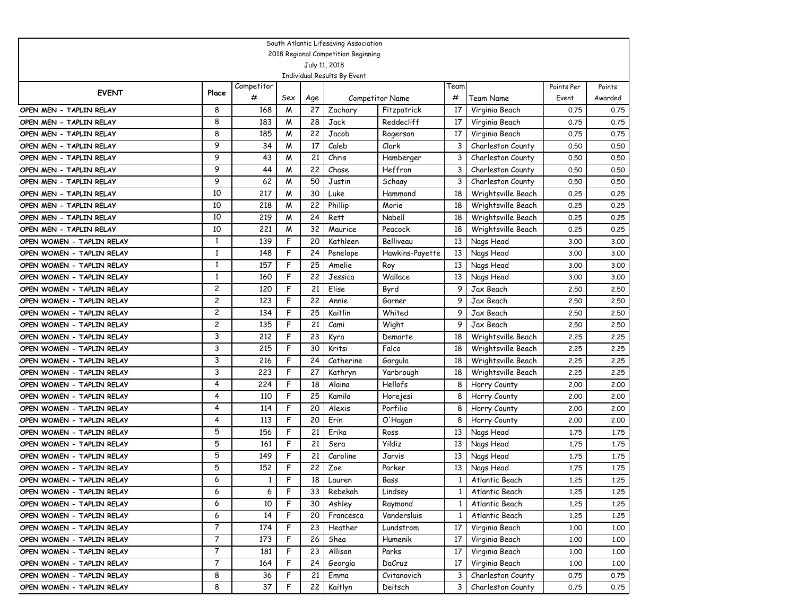|                           |              |            |     |     | South Atlantic Lifesaving Association        |                        |                |                    |            |         |
|---------------------------|--------------|------------|-----|-----|----------------------------------------------|------------------------|----------------|--------------------|------------|---------|
|                           |              |            |     |     | 2018 Regional Competition Beginning          |                        |                |                    |            |         |
|                           |              |            |     |     | July 11, 2018<br>Individual Results By Event |                        |                |                    |            |         |
|                           |              | Competitor |     |     |                                              |                        | Team           |                    | Points Per | Points  |
| <b>EVENT</b>              | Place        | #          | Sex | Age |                                              | <b>Competitor Name</b> | #              | Team Name          | Event      | Awarded |
| OPEN MEN - TAPLIN RELAY   | 8            | 168        | M   | 27  | Zachary                                      | Fitzpatrick            | 17             | Virginia Beach     | 0.75       | 0.75    |
| OPEN MEN - TAPLIN RELAY   | 8            | 183        | M   | 28  | Jack                                         | Reddecliff             | 17             | Virginia Beach     | 0.75       | 0.75    |
| OPEN MEN - TAPLIN RELAY   | 8            | 185        | M   | 22  | Jacob                                        | Rogerson               | 17             | Virginia Beach     | 0.75       | 0.75    |
| OPEN MEN - TAPLIN RELAY   | 9            | 34         | M   | 17  | Caleb                                        | Clark                  | 3              | Charleston County  | 0.50       | 0.50    |
| OPEN MEN - TAPLIN RELAY   | 9            | 43         | M   | 21  | Chris                                        | Hamberger              | 3              | Charleston County  | 0.50       | 0.50    |
| OPEN MEN - TAPLIN RELAY   | 9            | 44         | M   | 22  | Chase                                        | Heffron                | 3              | Charleston County  | 0.50       | 0.50    |
| OPEN MEN - TAPLIN RELAY   | 9            | 62         | M   | 50  | Justin                                       | Schaay                 | 3              | Charleston County  | 0.50       | 0.50    |
| OPEN MEN - TAPLIN RELAY   | 10           | 217        | M   | 30  | Luke                                         | Hammond                | 18             | Wrightsville Beach | 0.25       | 0.25    |
| OPEN MEN - TAPLIN RELAY   | 10           | 218        | M   | 22  | Phillip                                      | Morie                  | 18             | Wrightsville Beach | 0.25       | 0.25    |
| OPEN MEN - TAPLIN RELAY   | 10           | 219        | M   | 24  | Rett                                         | Nabell                 | 18             | Wrightsville Beach | 0.25       | 0.25    |
| OPEN MEN - TAPLIN RELAY   | 10           | 221        | M   | 32  | Maurice                                      | Peacock                | 18             | Wrightsville Beach | 0.25       | 0.25    |
| OPEN WOMEN - TAPLIN RELAY | 1            | 139        | F   | 20  | Kathleen                                     | Belliveau              | 13             | Nags Head          | 3.00       | 3.00    |
| OPEN WOMEN - TAPLIN RELAY | $\mathbf{1}$ | 148        | F   | 24  | Penelope                                     | Hawkins-Payette        | 13             | Nags Head          | 3.00       | 3.00    |
| OPEN WOMEN - TAPLIN RELAY | $\mathbf{1}$ | 157        | F   | 25  | Amelie                                       | Roy                    | 13             | Nags Head          | 3.00       | 3.00    |
| OPEN WOMEN - TAPLIN RELAY | $\mathbf{1}$ | 160        | F   | 22  | Jessica                                      | Wallace                | 13             | Nags Head          | 3.00       | 3.00    |
| OPEN WOMEN - TAPLIN RELAY | 2            | 120        | F   | 21  | Elise                                        | Byrd                   | 9              | Jax Beach          | 2.50       | 2,50    |
| OPEN WOMEN - TAPLIN RELAY | 2            | 123        | F   | 22  | Annie                                        | Garner                 | 9              | Jax Beach          | 2.50       | 2,50    |
| OPEN WOMEN - TAPLIN RELAY | 2            | 134        | F   | 25  | Kaitlin                                      | Whited                 | 9              | Jax Beach          | 2.50       | 2.50    |
| OPEN WOMEN - TAPLIN RELAY | 2            | 135        | F   | 21  | Cami                                         | Wight                  | 9              | Jax Beach          | 2.50       | 2.50    |
| OPEN WOMEN - TAPLIN RELAY | 3            | 212        | F   | 23  | Kyra                                         | Demarte                | 18             | Wrightsville Beach | 2.25       | 2.25    |
| OPEN WOMEN - TAPLIN RELAY | 3            | 215        | F   | 30  | Kritsi                                       | Falco                  | 18             | Wrightsville Beach | 2.25       | 2.25    |
| OPEN WOMEN - TAPLIN RELAY | 3            | 216        | F   | 24  | Catherine                                    | Gargula                | 18             | Wrightsville Beach | 2.25       | 2.25    |
| OPEN WOMEN - TAPLIN RELAY | 3            | 223        | F   | 27  | Kathryn                                      | Yarbrough              | 18             | Wrightsville Beach | 2.25       | 2.25    |
| OPEN WOMEN - TAPLIN RELAY | 4            | 224        | F   | 18  | Alaina                                       | Hellofs                | 8              | Horry County       | 2,00       | 2,00    |
| OPEN WOMEN - TAPLIN RELAY | 4            | 110        | F   | 25  | Kamila                                       | Horejesi               | 8              | Horry County       | 2,00       | 2,00    |
| OPEN WOMEN - TAPLIN RELAY | 4            | 114        | F   | 20  | Alexis                                       | Porfilio               | 8              | Horry County       | 2,00       | 2,00    |
| OPEN WOMEN - TAPLIN RELAY | 4            | 113        | F   | 20  | Erin                                         | O'Hagan                | 8              | Horry County       | 2,00       | 2,00    |
| OPEN WOMEN - TAPLIN RELAY | 5            | 156        | F   | 21  | Erika                                        | Ross                   | 13             | Nags Head          | 1.75       | 1.75    |
| OPEN WOMEN - TAPLIN RELAY | 5            | 161        | F   | 21  | Sera                                         | Yildiz                 | 13             | Nags Head          | 1.75       | 1.75    |
| OPEN WOMEN - TAPLIN RELAY | 5            | 149        | F   | 21  | Caroline                                     | Jarvis                 | 13             | Nags Head          | 1.75       | 1.75    |
| OPEN WOMEN - TAPLIN RELAY | 5            | 152        | F   | 22  | Zoe                                          | Parker                 | 13             | Nags Head          | 1.75       | 1.75    |
| OPEN WOMEN - TAPLIN RELAY | 6            | 1          | F   | 18  | Lauren                                       | Bass                   | 1              | Atlantic Beach     | 1,25       | 1.25    |
| OPEN WOMEN - TAPLIN RELAY | 6            | 6          | F   | 33  | Rebekah                                      | Lindsey                | $1\phantom{0}$ | Atlantic Beach     | 1.25       | 1.25    |
| OPEN WOMEN - TAPLIN RELAY | 6            | 10         | F   | 30  | Ashley                                       | Raymond                | $\mathbf{1}$   | Atlantic Beach     | 1.25       | 1.25    |
| OPEN WOMEN - TAPLIN RELAY | 6            | 14         | F   | 20  | Francesca                                    | Vandersluis            | 1              | Atlantic Beach     | 1.25       | 1.25    |
| OPEN WOMEN - TAPLIN RELAY | 7            | 174        | F   | 23  | Heather                                      | Lundstrom              | 17             | Virginia Beach     | 1.00       | 1.00    |
| OPEN WOMEN - TAPLIN RELAY | 7            | 173        | F   | 26  | Shea                                         | Humenik                | 17             | Virginia Beach     | 1,00       | 1.00    |
| OPEN WOMEN - TAPLIN RELAY | 7            | 181        | F   | 23  | Allison                                      | Parks                  | 17             | Virginia Beach     | 1.00       | 1.00    |
| OPEN WOMEN - TAPLIN RELAY | 7            | 164        | F   | 24  | Georgia                                      | DaCruz                 | 17             | Virginia Beach     | 1,00       | 1.00    |
| OPEN WOMEN - TAPLIN RELAY | 8            | 36         | F   | 21  | Emma                                         | Cvitanovich            | 3              | Charleston County  | 0.75       | 0.75    |
| OPEN WOMEN - TAPLIN RELAY | 8            | 37         | F   | 22  | Kaitlyn                                      | Deitsch                | 3              | Charleston County  | 0.75       | 0.75    |